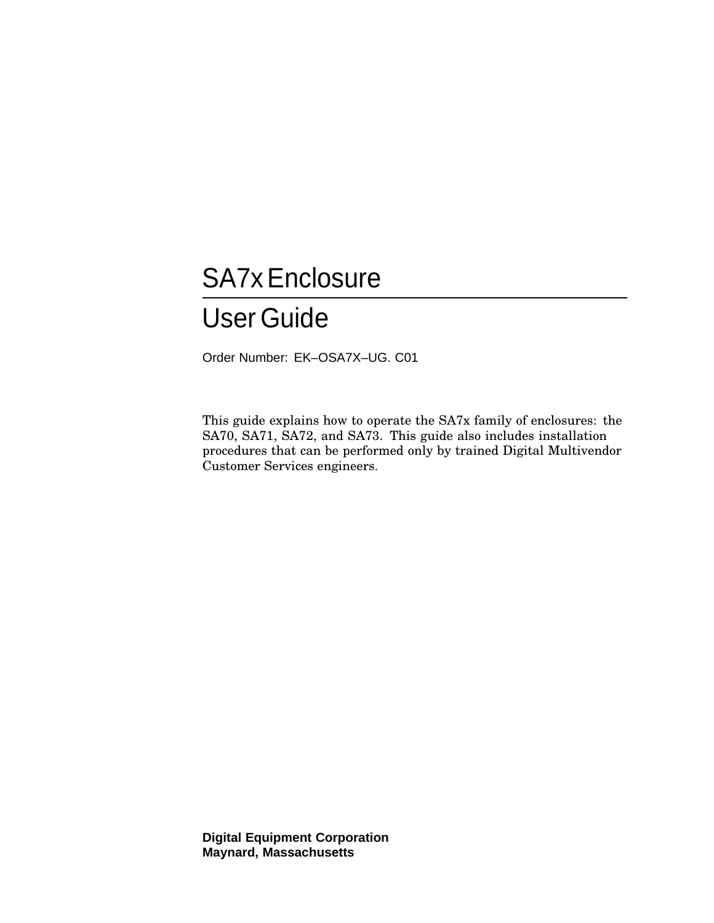# SA7xEnclosure

# UserGuide

Order Number: EK–OSA7X–UG. C01

This guide explains how to operate the SA7x family of enclosures: the SA70, SA71, SA72, and SA73. This guide also includes installation procedures that can be performed only by trained Digital Multivendor Customer Services engineers.

**Digital Equipment Corporation Maynard, Massachusetts**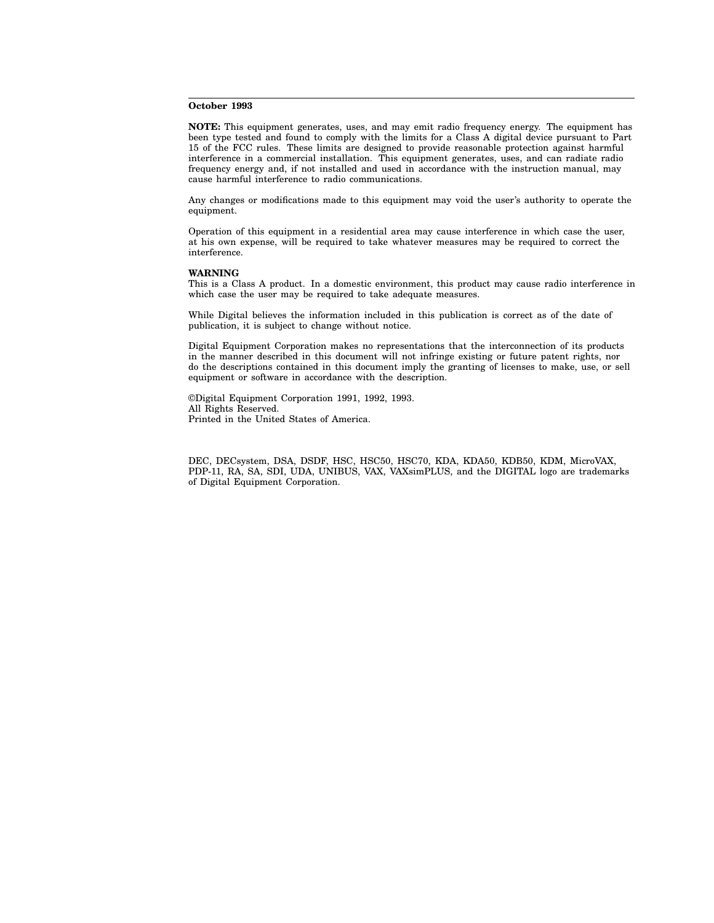#### **October 1993**

**NOTE:** This equipment generates, uses, and may emit radio frequency energy. The equipment has been type tested and found to comply with the limits for a Class A digital device pursuant to Part 15 of the FCC rules. These limits are designed to provide reasonable protection against harmful interference in a commercial installation. This equipment generates, uses, and can radiate radio frequency energy and, if not installed and used in accordance with the instruction manual, may cause harmful interference to radio communications.

Any changes or modifications made to this equipment may void the user's authority to operate the equipment.

Operation of this equipment in a residential area may cause interference in which case the user, at his own expense, will be required to take whatever measures may be required to correct the interference.

#### **WARNING**

This is a Class A product. In a domestic environment, this product may cause radio interference in which case the user may be required to take adequate measures.

While Digital believes the information included in this publication is correct as of the date of publication, it is subject to change without notice.

Digital Equipment Corporation makes no representations that the interconnection of its products in the manner described in this document will not infringe existing or future patent rights, nor do the descriptions contained in this document imply the granting of licenses to make, use, or sell equipment or software in accordance with the description.

©Digital Equipment Corporation 1991, 1992, 1993. All Rights Reserved. Printed in the United States of America.

DEC, DECsystem, DSA, DSDF, HSC, HSC50, HSC70, KDA, KDA50, KDB50, KDM, MicroVAX, PDP-11, RA, SA, SDI, UDA, UNIBUS, VAX, VAXsimPLUS, and the DIGITAL logo are trademarks of Digital Equipment Corporation.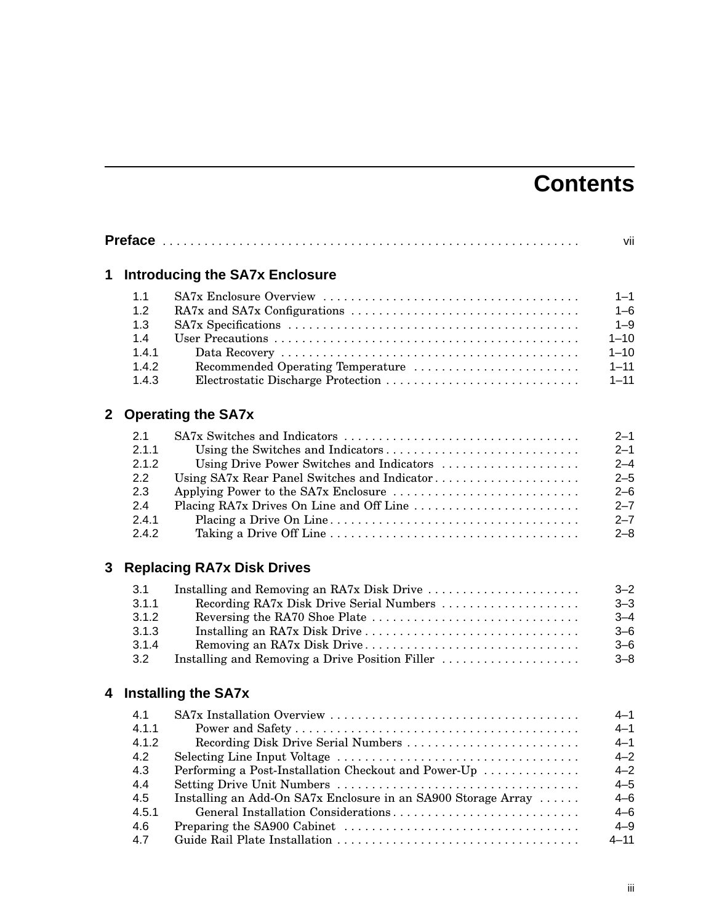# **Contents**

|              |                                                                   |                                                                                                                                                                                                     | vii                                                                                     |
|--------------|-------------------------------------------------------------------|-----------------------------------------------------------------------------------------------------------------------------------------------------------------------------------------------------|-----------------------------------------------------------------------------------------|
| 1            |                                                                   | <b>Introducing the SA7x Enclosure</b>                                                                                                                                                               |                                                                                         |
|              | 1.1<br>1.2<br>1.3<br>1.4<br>1.4.1<br>1.4.2<br>1.4.3               | Recommended Operating Temperature<br>Electrostatic Discharge Protection                                                                                                                             | $1 - 1$<br>$1 - 6$<br>$1 - 9$<br>$1 - 10$<br>$1 - 10$<br>$1 - 11$<br>$1 - 11$           |
| $\mathbf{2}$ |                                                                   | <b>Operating the SA7x</b>                                                                                                                                                                           |                                                                                         |
|              | 2.1<br>2.1.1<br>2.1.2<br>2.2<br>2.3<br>2.4<br>2.4.1<br>2.4.2      | Using Drive Power Switches and Indicators<br>Using SA7x Rear Panel Switches and Indicator<br>Applying Power to the SA7x Enclosure<br>Placing RA7x Drives On Line and Off Line                       | $2 - 1$<br>$2 - 1$<br>$2 - 4$<br>$2 - 5$<br>$2 - 6$<br>$2 - 7$<br>$2 - 7$<br>$2 - 8$    |
| 3            |                                                                   | <b>Replacing RA7x Disk Drives</b>                                                                                                                                                                   |                                                                                         |
|              | 3.1<br>3.1.1<br>3.1.2<br>3.1.3<br>3.1.4<br>3.2                    | Installing and Removing an RA7x Disk Drive<br>Recording RA7x Disk Drive Serial Numbers<br>Removing an RA7x Disk Drive<br>Installing and Removing a Drive Position Filler                            | $3 - 2$<br>$3 - 3$<br>$3 - 4$<br>$3 - 6$<br>$3 - 6$<br>$3 - 8$                          |
| 4            |                                                                   | <b>Installing the SA7x</b>                                                                                                                                                                          |                                                                                         |
|              | 4.1<br>4.1.1<br>4.1.2<br>4.2<br>4.3<br>4.4<br>4.5<br>4.5.1<br>4.6 | Recording Disk Drive Serial Numbers<br>Performing a Post-Installation Checkout and Power-Up<br>Installing an Add-On SA7x Enclosure in an SA900 Storage Array<br>General Installation Considerations | $4 - 1$<br>4–1<br>4–1<br>$4 - 2$<br>$4 - 2$<br>$4 - 5$<br>$4 - 6$<br>$4 - 6$<br>$4 - 9$ |

4.7 Guide Rail Plate Installation . . . . . . . . . . . . . . . . . . . . . . . . . . . . . . . . . . . 4–11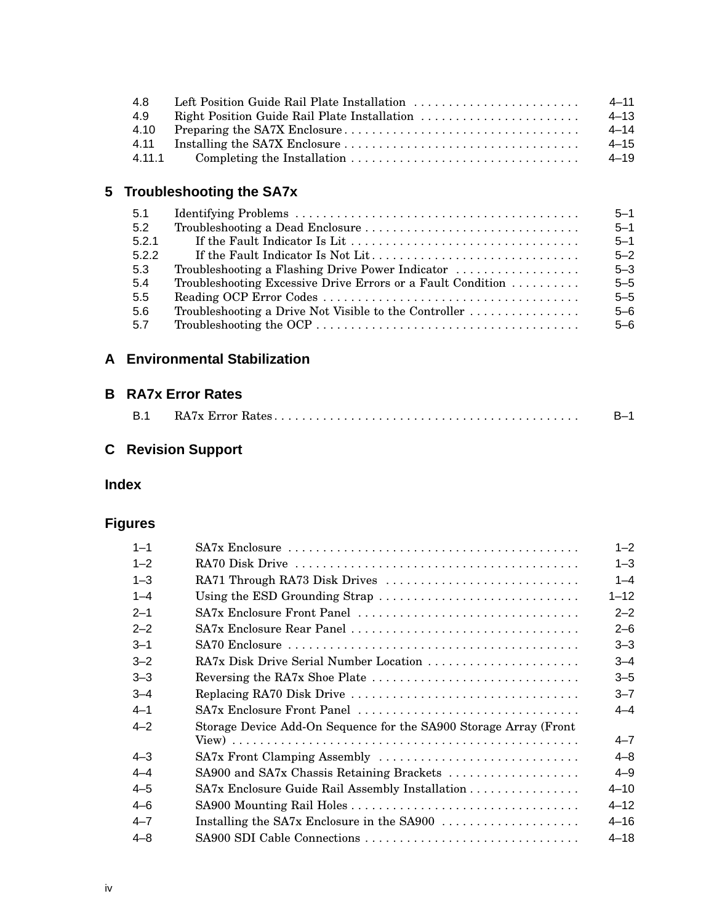| 4.8    | $4 - 11$ |
|--------|----------|
| 4.9    | $4 - 13$ |
| 4.10   | $4 - 14$ |
| 4.11   | $4 - 15$ |
| 4.11.1 | $4 - 19$ |

# **5 Troubleshooting the SA7x**

| 5.1   |                                                             | $5 - 1$ |
|-------|-------------------------------------------------------------|---------|
| 5.2   |                                                             | $5 - 1$ |
| 5.2.1 |                                                             | $5 - 1$ |
| 5.2.2 |                                                             | $5 - 2$ |
| 5.3   | Troubleshooting a Flashing Drive Power Indicator            | $5 - 3$ |
| 5.4   | Troubleshooting Excessive Drive Errors or a Fault Condition | $5 - 5$ |
| 5.5   |                                                             | $5 - 5$ |
| 5.6   | Troubleshooting a Drive Not Visible to the Controller       | $5 - 6$ |
| 5.7   |                                                             | $5 - 6$ |
|       |                                                             |         |

# **A Environmental Stabilization**

# **B RA7x Error Rates**

| B.1 |  |
|-----|--|
|     |  |

# **C Revision Support**

# **Index**

# **Figures**

| $1 - 1$ |                                                                   | $1 - 2$  |
|---------|-------------------------------------------------------------------|----------|
| $1 - 2$ |                                                                   | $1 - 3$  |
| $1 - 3$ | RA71 Through RA73 Disk Drives                                     | $1 - 4$  |
| $1 - 4$ | Using the ESD Grounding Strap                                     | $1 - 12$ |
| $2 - 1$ | SA7x Enclosure Front Panel                                        | $2 - 2$  |
| $2 - 2$ | SA7x Enclosure Rear Panel                                         | $2 - 6$  |
| $3 - 1$ |                                                                   | $3 - 3$  |
| $3 - 2$ | RA7x Disk Drive Serial Number Location                            | $3 - 4$  |
| $3 - 3$ |                                                                   | $3 - 5$  |
| $3 - 4$ |                                                                   | $3 - 7$  |
| $4 - 1$ | SA7x Enclosure Front Panel                                        | $4 - 4$  |
| $4 - 2$ | Storage Device Add-On Sequence for the SA900 Storage Array (Front |          |
|         |                                                                   | $4 - 7$  |
| $4 - 3$ |                                                                   | $4 - 8$  |
| $4 - 4$ | SA900 and SA7x Chassis Retaining Brackets                         | $4 - 9$  |
| $4 - 5$ | SA7x Enclosure Guide Rail Assembly Installation                   | $4 - 10$ |
| $4 - 6$ |                                                                   | $4 - 12$ |
| $4 - 7$ | Installing the SA7x Enclosure in the SA900                        | $4 - 16$ |
| $4 - 8$ | SA900 SDI Cable Connections                                       | $4 - 18$ |
|         |                                                                   |          |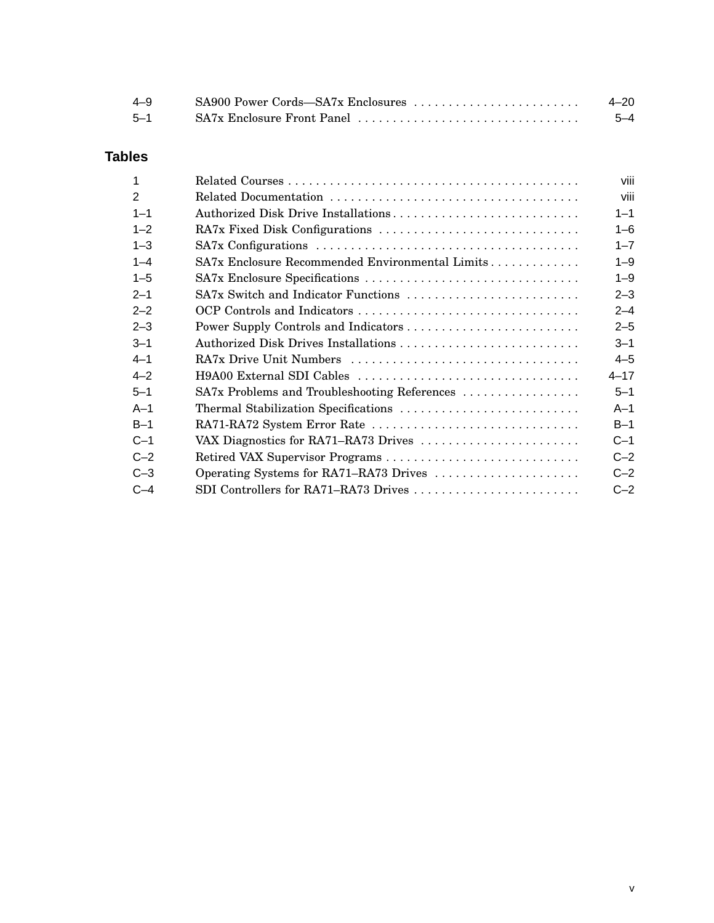| $4 - 9$ | SA900 Power Cords—SA7x Enclosures | $4 - 20$ |
|---------|-----------------------------------|----------|
| $5 - 1$ | SA7x Enclosure Front Panel        | $5 - 4$  |

# **Tables**

| 1             |                                                 | viii     |
|---------------|-------------------------------------------------|----------|
| $\mathcal{P}$ |                                                 | viii     |
| $1 - 1$       | Authorized Disk Drive Installations             | $1 - 1$  |
| $1 - 2$       | RA7x Fixed Disk Configurations                  | $1 - 6$  |
| $1 - 3$       |                                                 | $1 - 7$  |
| $1 - 4$       | SA7x Enclosure Recommended Environmental Limits | $1 - 9$  |
| $1 - 5$       |                                                 | $1 - 9$  |
| $2 - 1$       | SA7x Switch and Indicator Functions             | $2 - 3$  |
| $2 - 2$       |                                                 | $2 - 4$  |
| $2 - 3$       |                                                 | $2 - 5$  |
| $3 - 1$       | Authorized Disk Drives Installations            | $3 - 1$  |
| $4 - 1$       | RA7x Drive Unit Numbers                         | $4 - 5$  |
| $4 - 2$       | H9A00 External SDI Cables                       | $4 - 17$ |
| $5 - 1$       | SA7x Problems and Troubleshooting References    | $5 - 1$  |
| $A-1$         |                                                 | $A-1$    |
| $B-1$         | RA71-RA72 System Error Rate                     | $B-1$    |
| $C-1$         | VAX Diagnostics for RA71-RA73 Drives            | $C-1$    |
| $C-2$         | Retired VAX Supervisor Programs                 | $C-2$    |
| $C-3$         | Operating Systems for RA71–RA73 Drives          | $C-2$    |
| $C-4$         | SDI Controllers for RA71–RA73 Drives            | $C-2$    |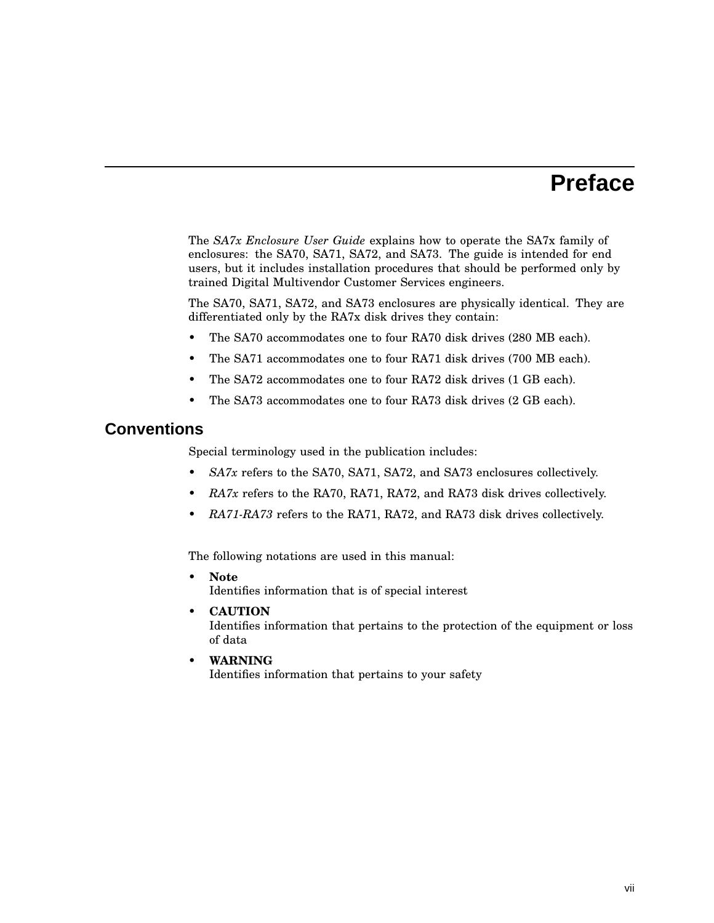# **Preface**

The *SA7x Enclosure User Guide* explains how to operate the SA7x family of enclosures: the SA70, SA71, SA72, and SA73. The guide is intended for end users, but it includes installation procedures that should be performed only by trained Digital Multivendor Customer Services engineers.

The SA70, SA71, SA72, and SA73 enclosures are physically identical. They are differentiated only by the RA7x disk drives they contain:

- The SA70 accommodates one to four RA70 disk drives (280 MB each).
- The SA71 accommodates one to four RA71 disk drives (700 MB each).
- The SA72 accommodates one to four RA72 disk drives (1 GB each).
- The SA73 accommodates one to four RA73 disk drives (2 GB each).

## **Conventions**

Special terminology used in the publication includes:

- *SA7x* refers to the SA70, SA71, SA72, and SA73 enclosures collectively.
- *RA7x* refers to the RA70, RA71, RA72, and RA73 disk drives collectively.
- *RA71-RA73* refers to the RA71, RA72, and RA73 disk drives collectively.

The following notations are used in this manual:

- **Note** Identifies information that is of special interest
- **CAUTION**

Identifies information that pertains to the protection of the equipment or loss of data

• **WARNING**

Identifies information that pertains to your safety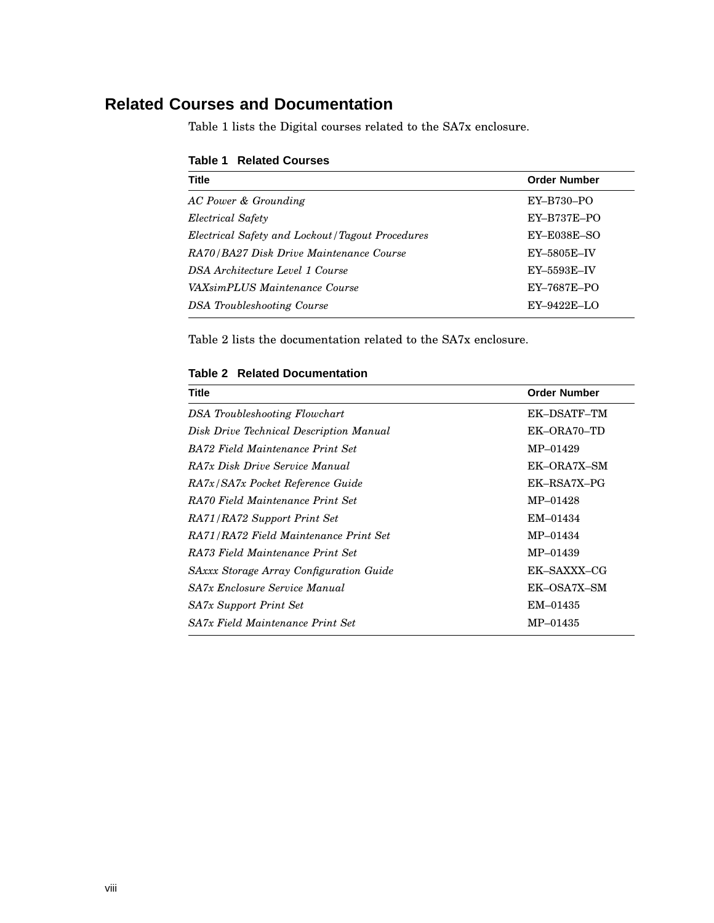# **Related Courses and Documentation**

Table 1 lists the Digital courses related to the SA7x enclosure.

#### **Table 1 Related Courses**

| <b>Title</b>                                    | <b>Order Number</b> |
|-------------------------------------------------|---------------------|
| AC Power & Grounding                            | $EY-B730-PO$        |
| Electrical Safety                               | $EY-B737E-PO$       |
| Electrical Safety and Lockout/Tagout Procedures | $EY - E038E - SO$   |
| RA70/BA27 Disk Drive Maintenance Course         | EY-5805E-IV         |
| DSA Architecture Level 1 Course                 | $EY$ –5593E–IV      |
| VAXsimPLUS Maintenance Course                   | EY-7687E-PO         |
| DSA Troubleshooting Course                      | $EY-9422E-LO$       |

Table 2 lists the documentation related to the SA7x enclosure.

## **Table 2 Related Documentation**

| Title                                          | <b>Order Number</b> |
|------------------------------------------------|---------------------|
| DSA Troubleshooting Flowchart                  | EK-DSATF-TM         |
| Disk Drive Technical Description Manual        | EK-ORA70-TD         |
| BA72 Field Maintenance Print Set               | MP-01429            |
| RA7x Disk Drive Service Manual                 | EK-ORA7X-SM         |
| RA7x/SA7x Pocket Reference Guide               | EK-RSA7X-PG         |
| RA70 Field Maintenance Print Set               | MP-01428            |
| RA71/RA72 Support Print Set                    | EM-01434            |
| RA71/RA72 Field Maintenance Print Set          | MP-01434            |
| RA73 Field Maintenance Print Set               | MP-01439            |
| <b>SAxxx Storage Array Configuration Guide</b> | EK-SAXXX-CG         |
| SA7x Enclosure Service Manual                  | EK-OSA7X-SM         |
| SA7x Support Print Set                         | EM-01435            |
| SA7x Field Maintenance Print Set               | MP-01435            |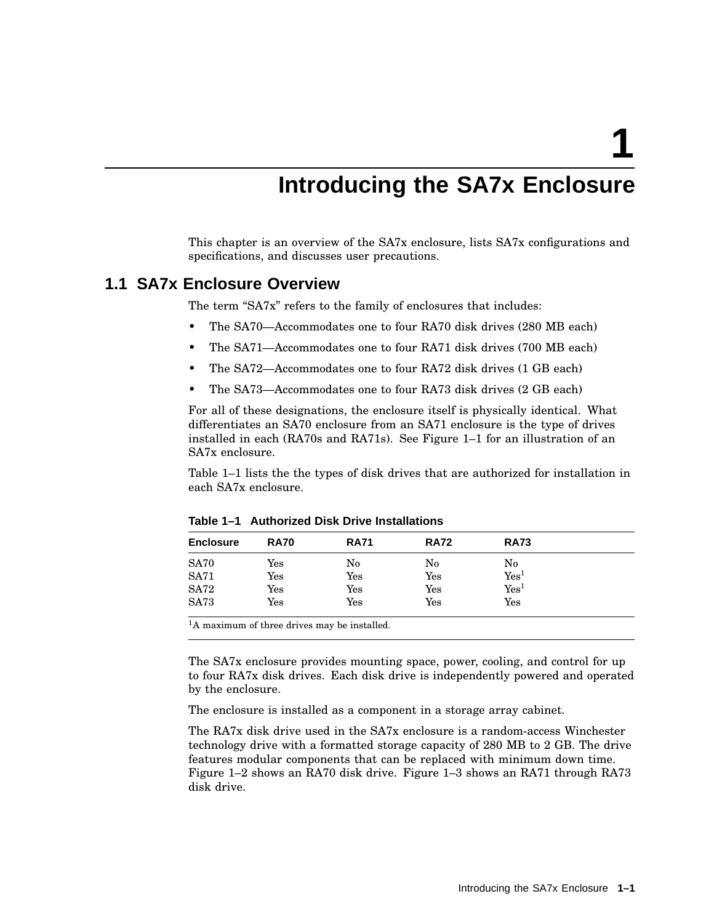**1**

# **Introducing the SA7x Enclosure**

This chapter is an overview of the SA7x enclosure, lists SA7x configurations and specifications, and discusses user precautions.

## **1.1 SA7x Enclosure Overview**

The term "SA7x" refers to the family of enclosures that includes:

- The SA70—Accommodates one to four RA70 disk drives (280 MB each)
- The SA71—Accommodates one to four RA71 disk drives (700 MB each)
- The SA72—Accommodates one to four RA72 disk drives (1 GB each)
- The SA73—Accommodates one to four RA73 disk drives (2 GB each)

For all of these designations, the enclosure itself is physically identical. What differentiates an SA70 enclosure from an SA71 enclosure is the type of drives installed in each (RA70s and RA71s). See Figure 1–1 for an illustration of an SA7x enclosure.

Table 1–1 lists the the types of disk drives that are authorized for installation in each SA7x enclosure.

| <b>Enclosure</b> | <b>RA70</b>          | <b>RA71</b> | <b>RA72</b>          | <b>RA73</b>      |
|------------------|----------------------|-------------|----------------------|------------------|
| <b>SA70</b>      | $\operatorname{Yes}$ | $\rm No$    | No                   | $\rm No$         |
| <b>SA71</b>      | $\operatorname{Yes}$ | Yes         | $\operatorname{Yes}$ | Yes <sup>1</sup> |
| <b>SA72</b>      | $\operatorname{Yes}$ | Yes         | $\operatorname{Yes}$ | Yes <sup>1</sup> |
| <b>SA73</b>      | $\operatorname{Yes}$ | Yes         | $\operatorname{Yes}$ | Yes              |

**Table 1–1 Authorized Disk Drive Installations**

 $<sup>1</sup>A$  maximum of three drives may be installed.</sup>

The SA7x enclosure provides mounting space, power, cooling, and control for up to four RA7x disk drives. Each disk drive is independently powered and operated by the enclosure.

The enclosure is installed as a component in a storage array cabinet.

The RA7x disk drive used in the SA7x enclosure is a random-access Winchester technology drive with a formatted storage capacity of 280 MB to 2 GB. The drive features modular components that can be replaced with minimum down time. Figure 1–2 shows an RA70 disk drive. Figure 1–3 shows an RA71 through RA73 disk drive.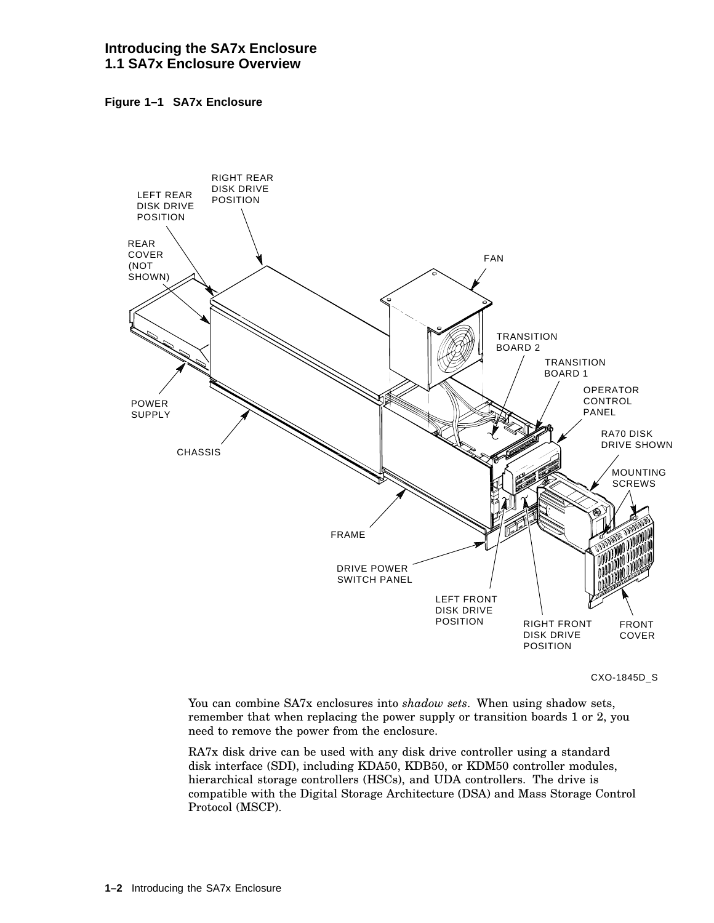#### **Introducing the SA7x Enclosure 1.1 SA7x Enclosure Overview**





CXO-1845D\_S

You can combine SA7x enclosures into *shadow sets*. When using shadow sets, remember that when replacing the power supply or transition boards 1 or 2, you need to remove the power from the enclosure.

RA7x disk drive can be used with any disk drive controller using a standard disk interface (SDI), including KDA50, KDB50, or KDM50 controller modules, hierarchical storage controllers (HSCs), and UDA controllers. The drive is compatible with the Digital Storage Architecture (DSA) and Mass Storage Control Protocol (MSCP).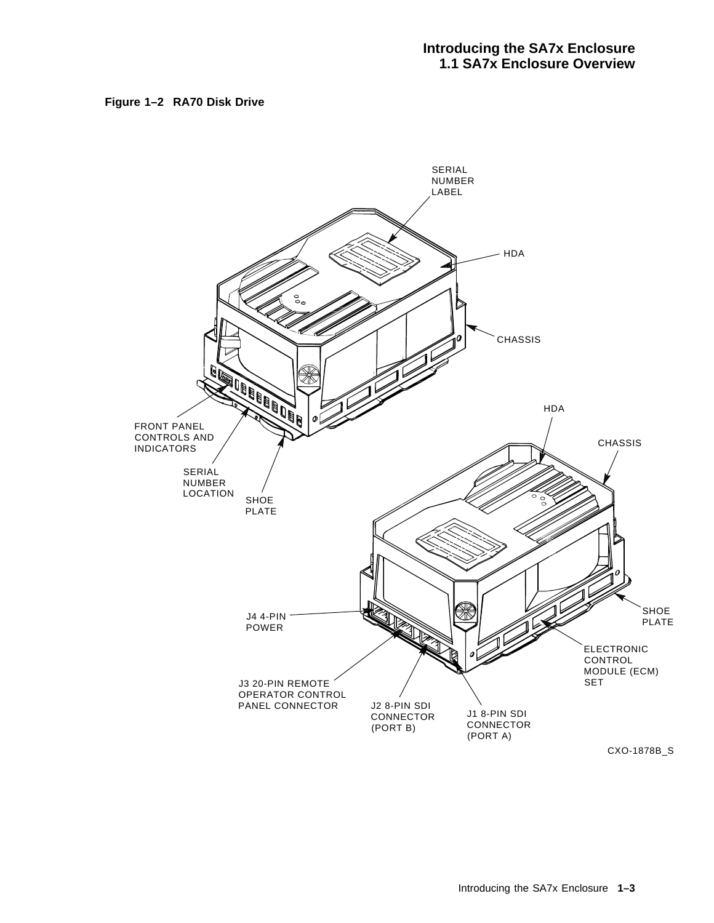#### **Figure 1–2 RA70 Disk Drive**

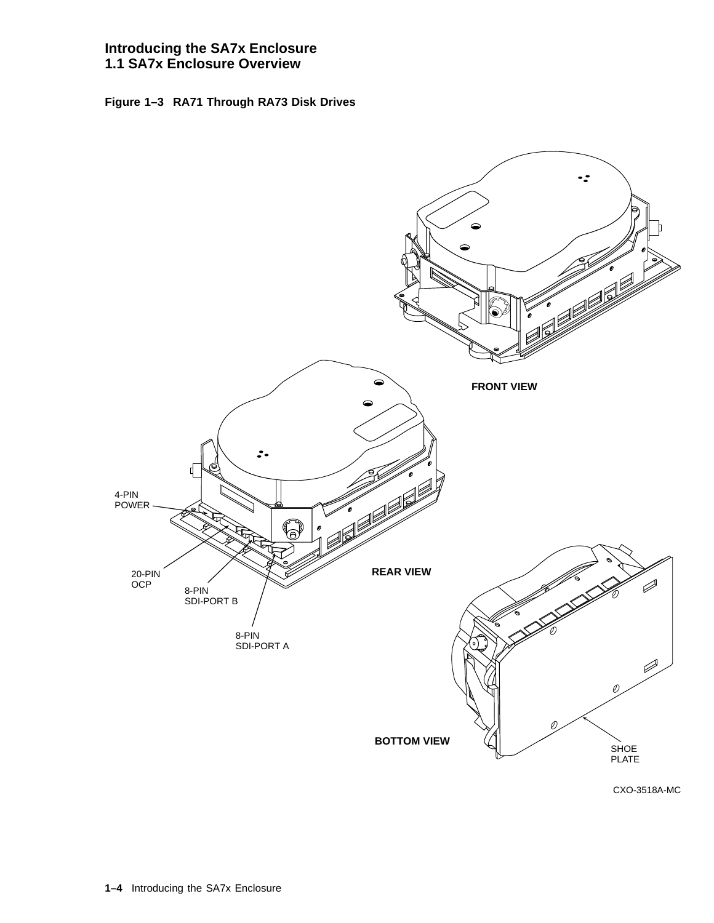#### **Introducing the SA7x Enclosure 1.1 SA7x Enclosure Overview**





CXO-3518A-MC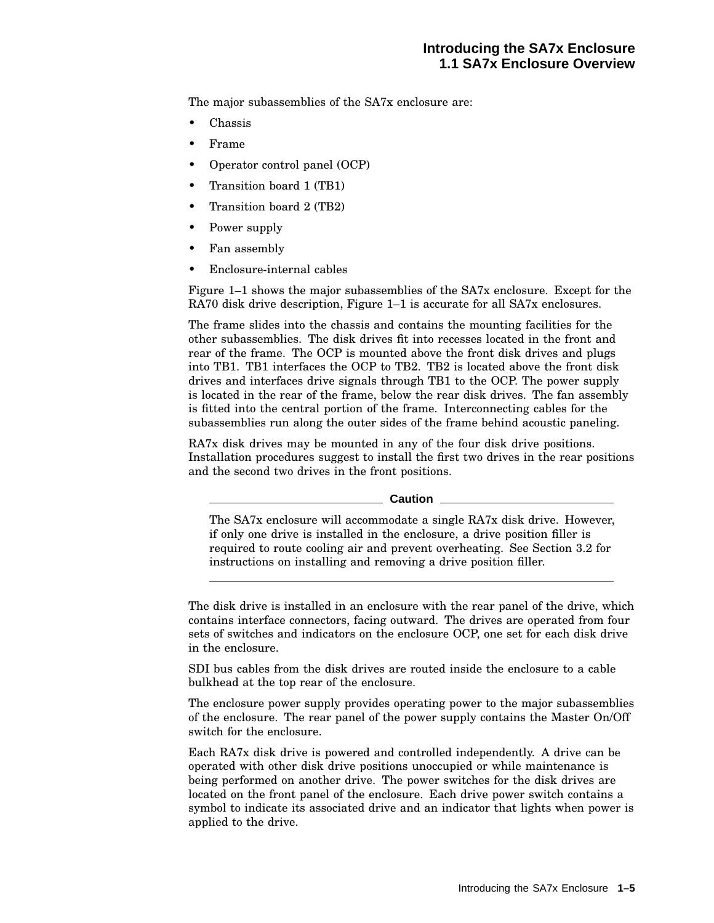The major subassemblies of the SA7x enclosure are:

- Chassis
- Frame
- Operator control panel (OCP)
- Transition board 1 (TB1)
- Transition board 2 (TB2)
- Power supply
- Fan assembly
- Enclosure-internal cables

Figure 1–1 shows the major subassemblies of the SA7x enclosure. Except for the RA70 disk drive description, Figure 1–1 is accurate for all SA7x enclosures.

The frame slides into the chassis and contains the mounting facilities for the other subassemblies. The disk drives fit into recesses located in the front and rear of the frame. The OCP is mounted above the front disk drives and plugs into TB1. TB1 interfaces the OCP to TB2. TB2 is located above the front disk drives and interfaces drive signals through TB1 to the OCP. The power supply is located in the rear of the frame, below the rear disk drives. The fan assembly is fitted into the central portion of the frame. Interconnecting cables for the subassemblies run along the outer sides of the frame behind acoustic paneling.

RA7x disk drives may be mounted in any of the four disk drive positions. Installation procedures suggest to install the first two drives in the rear positions and the second two drives in the front positions.

**Caution**

The SA7x enclosure will accommodate a single RA7x disk drive. However, if only one drive is installed in the enclosure, a drive position filler is required to route cooling air and prevent overheating. See Section 3.2 for instructions on installing and removing a drive position filler.

The disk drive is installed in an enclosure with the rear panel of the drive, which contains interface connectors, facing outward. The drives are operated from four sets of switches and indicators on the enclosure OCP, one set for each disk drive in the enclosure.

SDI bus cables from the disk drives are routed inside the enclosure to a cable bulkhead at the top rear of the enclosure.

The enclosure power supply provides operating power to the major subassemblies of the enclosure. The rear panel of the power supply contains the Master On/Off switch for the enclosure.

Each RA7x disk drive is powered and controlled independently. A drive can be operated with other disk drive positions unoccupied or while maintenance is being performed on another drive. The power switches for the disk drives are located on the front panel of the enclosure. Each drive power switch contains a symbol to indicate its associated drive and an indicator that lights when power is applied to the drive.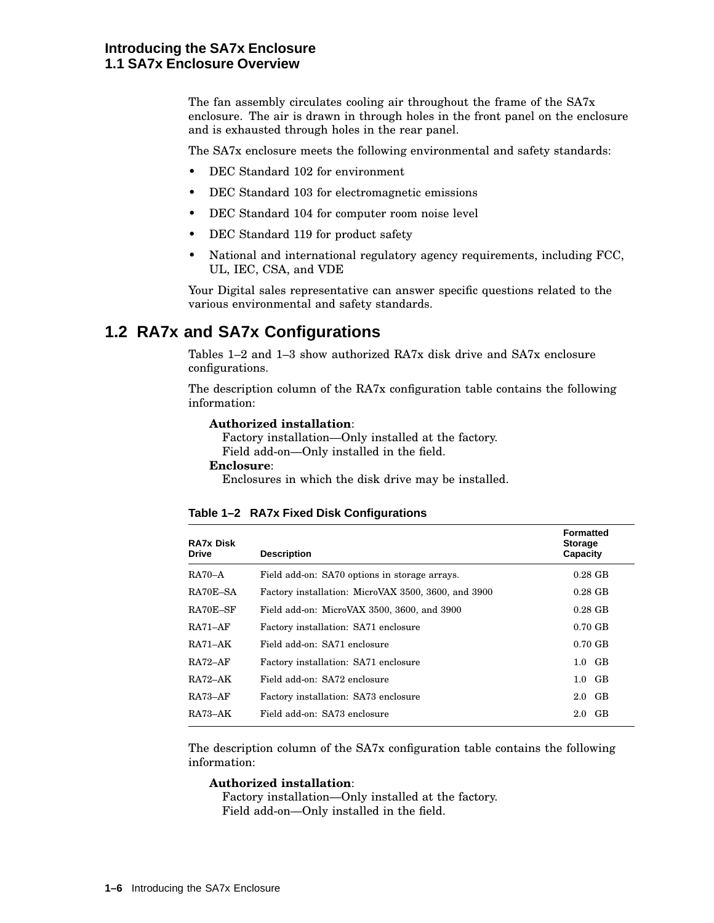The fan assembly circulates cooling air throughout the frame of the SA7x enclosure. The air is drawn in through holes in the front panel on the enclosure and is exhausted through holes in the rear panel.

The SA7x enclosure meets the following environmental and safety standards:

- DEC Standard 102 for environment
- DEC Standard 103 for electromagnetic emissions
- DEC Standard 104 for computer room noise level
- DEC Standard 119 for product safety
- National and international regulatory agency requirements, including FCC, UL, IEC, CSA, and VDE

Your Digital sales representative can answer specific questions related to the various environmental and safety standards.

# **1.2 RA7x and SA7x Configurations**

Tables 1–2 and 1–3 show authorized RA7x disk drive and SA7x enclosure configurations.

The description column of the RA7x configuration table contains the following information:

#### **Authorized installation**:

Factory installation—Only installed at the factory.

Field add-on—Only installed in the field.

#### **Enclosure**:

Enclosures in which the disk drive may be installed.

|  |  |  | Table 1-2 RA7x Fixed Disk Configurations |
|--|--|--|------------------------------------------|
|--|--|--|------------------------------------------|

| <b>RA7x Disk</b><br><b>Drive</b> | <b>Description</b>                                  | <b>Formatted</b><br><b>Storage</b><br>Capacity |
|----------------------------------|-----------------------------------------------------|------------------------------------------------|
| $RA70-A$                         | Field add-on: SA70 options in storage arrays.       | $0.28$ GB                                      |
| RA70E–SA                         | Factory installation: MicroVAX 3500, 3600, and 3900 | $0.28$ GB                                      |
| RA70E-SF                         | Field add-on: MicroVAX 3500, 3600, and 3900         | $0.28$ GB                                      |
| $RA71-AF$                        | Factory installation: SA71 enclosure                | $0.70$ GB                                      |
| $RA71-AK$                        | Field add-on: SA71 enclosure                        | $0.70$ GB                                      |
| $RA72-AF$                        | Factory installation: SA71 enclosure                | $1.0$ GB                                       |
| $RA72-AK$                        | Field add-on: SA72 enclosure                        | $1.0$ GB                                       |
| $RA73-AF$                        | Factory installation: SA73 enclosure                | $2.0$ GB                                       |
| $RA73-AK$                        | Field add-on: SA73 enclosure                        | GB<br>2.0                                      |

The description column of the SA7x configuration table contains the following information:

#### **Authorized installation**:

Factory installation—Only installed at the factory. Field add-on—Only installed in the field.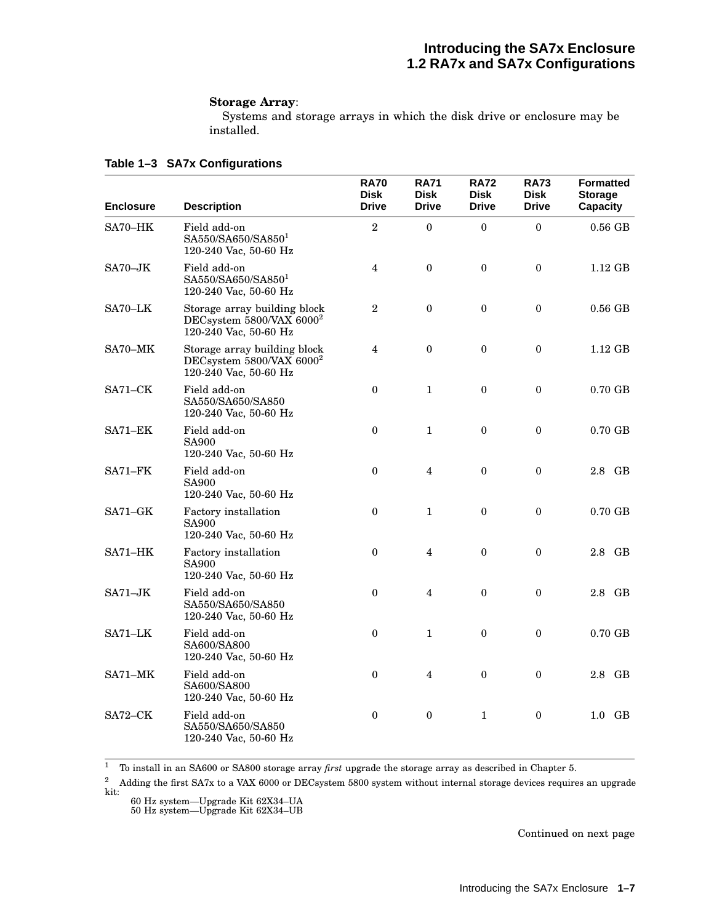#### **Storage Array**:

Systems and storage arrays in which the disk drive or enclosure may be installed.

| <b>Enclosure</b> | <b>Description</b>                                                                            | <b>RA70</b><br>Disk<br><b>Drive</b> | <b>RA71</b><br><b>Disk</b><br><b>Drive</b> | <b>RA72</b><br><b>Disk</b><br><b>Drive</b> | <b>RA73</b><br>Disk<br><b>Drive</b> | <b>Formatted</b><br><b>Storage</b><br><b>Capacity</b> |
|------------------|-----------------------------------------------------------------------------------------------|-------------------------------------|--------------------------------------------|--------------------------------------------|-------------------------------------|-------------------------------------------------------|
| SA70-HK          | Field add-on<br>SA550/SA650/SA850 <sup>1</sup><br>120-240 Vac, 50-60 Hz                       | $\boldsymbol{2}$                    | $\theta$                                   | $\Omega$                                   | $\Omega$                            | $0.56$ GB                                             |
| $SA70 - JK$      | Field add-on<br>SA550/SA650/SA850 <sup>1</sup><br>120-240 Vac, 50-60 Hz                       | $\overline{4}$                      | $\mathbf{0}$                               | $\boldsymbol{0}$                           | $\boldsymbol{0}$                    | $1.12$ GB                                             |
| SA70-LK          | Storage array building block<br>DECsystem 5800/VAX 6000 <sup>2</sup><br>120-240 Vac, 50-60 Hz | $\mathbf{2}$                        | $\mathbf{0}$                               | $\mathbf{0}$                               | $\mathbf{0}$                        | $0.56$ GB                                             |
| SA70-MK          | Storage array building block<br>DECsystem 5800/VAX 6000 <sup>2</sup><br>120-240 Vac, 50-60 Hz | $\overline{4}$                      | $\mathbf{0}$                               | $\mathbf{0}$                               | $\mathbf{0}$                        | $1.12$ GB                                             |
| SA71-CK          | Field add-on<br>SA550/SA650/SA850<br>120-240 Vac, 50-60 Hz                                    | $\boldsymbol{0}$                    | $\mathbf{1}$                               | $\theta$                                   | $\boldsymbol{0}$                    | $0.70$ GB                                             |
| SA71–EK          | Field add-on<br><b>SA900</b><br>120-240 Vac, 50-60 Hz                                         | $\mathbf{0}$                        | $\mathbf{1}$                               | $\mathbf{0}$                               | $\mathbf{0}$                        | $0.70$ GB                                             |
| SA71-FK          | Field add-on<br><b>SA900</b><br>120-240 Vac, 50-60 Hz                                         | $\mathbf{0}$                        | $\overline{4}$                             | $\theta$                                   | $\mathbf{0}$                        | 2.8 GB                                                |
| SA71-GK          | Factory installation<br><b>SA900</b><br>120-240 Vac, 50-60 Hz                                 | $\boldsymbol{0}$                    | $\mathbf{1}$                               | $\mathbf{0}$                               | $\mathbf{0}$                        | $0.70$ GB                                             |
| SA71–HK          | Factory installation<br><b>SA900</b><br>120-240 Vac, 50-60 Hz                                 | $\boldsymbol{0}$                    | $\overline{4}$                             | $\Omega$                                   | $\mathbf{0}$                        | 2.8 GB                                                |
| $SA71 - JK$      | Field add-on<br>SA550/SA650/SA850<br>120-240 Vac, 50-60 Hz                                    | $\boldsymbol{0}$                    | 4                                          | $\theta$                                   | $\mathbf{0}$                        | 2.8 GB                                                |
| SA71-LK          | Field add-on<br>SA600/SA800<br>120-240 Vac, 50-60 Hz                                          | $\boldsymbol{0}$                    | $\mathbf{1}$                               | $\mathbf{0}$                               | $\mathbf{0}$                        | $0.70$ GB                                             |
| SA71-MK          | Field add-on<br>SA600/SA800<br>120-240 Vac, 50-60 Hz                                          | $\boldsymbol{0}$                    | $\overline{4}$                             | $\mathbf{0}$                               | $\boldsymbol{0}$                    | 2.8 GB                                                |
| SA72-CK          | Field add-on<br>SA550/SA650/SA850<br>120-240 Vac, 50-60 Hz                                    | $\boldsymbol{0}$                    | $\mathbf{0}$                               | $\mathbf{1}$                               | $\boldsymbol{0}$                    | $1.0$ GB                                              |

#### **Table 1–3 SA7x Configurations**

<sup>1</sup> To install in an SA600 or SA800 storage array *first* upgrade the storage array as described in Chapter 5.

 $2$ . Adding the first SA7x to a VAX 6000 or DECsystem 5800 system without internal storage devices requires an upgrade kit:

60 Hz system—Upgrade Kit 62X34–UA 50 Hz system—Upgrade Kit 62X34–UB

Continued on next page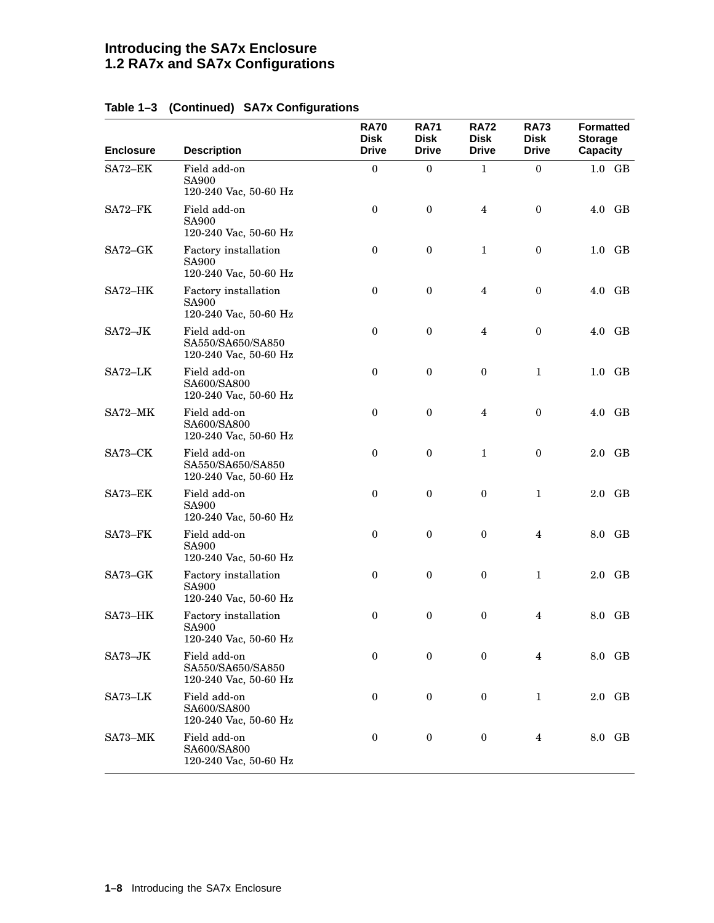#### **Introducing the SA7x Enclosure 1.2 RA7x and SA7x Configurations**

| <b>Enclosure</b> | <b>Description</b>                                            | <b>RA70</b><br><b>Disk</b><br><b>Drive</b> | <b>RA71</b><br><b>Disk</b><br><b>Drive</b> | <b>RA72</b><br>Disk<br>Drive | <b>RA73</b><br><b>Disk</b><br><b>Drive</b> | <b>Formatted</b><br><b>Storage</b><br><b>Capacity</b> |
|------------------|---------------------------------------------------------------|--------------------------------------------|--------------------------------------------|------------------------------|--------------------------------------------|-------------------------------------------------------|
| SA72-EK          | Field add-on<br><b>SA900</b><br>120-240 Vac, 50-60 Hz         | $\boldsymbol{0}$                           | $\mathbf{0}$                               | $\mathbf{1}$                 | $\boldsymbol{0}$                           | $1.0$ GB                                              |
| SA72-FK          | Field add-on<br><b>SA900</b><br>120-240 Vac, 50-60 Hz         | $\boldsymbol{0}$                           | $\bf{0}$                                   | 4                            | $\mathbf{0}$                               | $4.0$ GB                                              |
| $SA72-GK$        | Factory installation<br><b>SA900</b><br>120-240 Vac, 50-60 Hz | $\boldsymbol{0}$                           | $\bf{0}$                                   | $\mathbf{1}$                 | $\bf{0}$                                   | $1.0$ GB                                              |
| SA72-HK          | Factory installation<br><b>SA900</b><br>120-240 Vac, 50-60 Hz | $\boldsymbol{0}$                           | $\bf{0}$                                   | 4                            | 0                                          | 4.0 GB                                                |
| $SA72-JK$        | Field add-on<br>SA550/SA650/SA850<br>120-240 Vac, 50-60 Hz    | $\boldsymbol{0}$                           | $\mathbf{0}$                               | 4                            | $\mathbf{0}$                               | $4.0$ GB                                              |
| SA72-LK          | Field add-on<br>SA600/SA800<br>120-240 Vac, 50-60 Hz          | $\boldsymbol{0}$                           | $\mathbf{0}$                               | $\boldsymbol{0}$             | $\mathbf{1}$                               | $1.0$ GB                                              |
| SA72-MK          | Field add-on<br>SA600/SA800<br>120-240 Vac, 50-60 Hz          | $\mathbf{0}$                               | $\mathbf{0}$                               | 4                            | $\mathbf{0}$                               | 4.0 GB                                                |
| SA73-CK          | Field add-on<br>SA550/SA650/SA850<br>120-240 Vac, 50-60 Hz    | $\boldsymbol{0}$                           | $\mathbf{0}$                               | $\mathbf{1}$                 | $\boldsymbol{0}$                           | 2.0 GB                                                |
| SA73-EK          | Field add-on<br><b>SA900</b><br>120-240 Vac, 50-60 Hz         | $\bf{0}$                                   | $\bf{0}$                                   | $\mathbf{0}$                 | $\mathbf{1}$                               | 2.0 GB                                                |
| SA73-FK          | Field add-on<br><b>SA900</b><br>120-240 Vac, 50-60 Hz         | $\boldsymbol{0}$                           | $\mathbf{0}$                               | $\mathbf{0}$                 | $\overline{\mathbf{4}}$                    | 8.0 GB                                                |
| SA73-GK          | Factory installation<br><b>SA900</b><br>120-240 Vac, 50-60 Hz | $\boldsymbol{0}$                           | $\mathbf{0}$                               | $\mathbf{0}$                 | $\mathbf{1}$                               | 2.0 GB                                                |
| SA73-HK          | Factory installation<br><b>SA900</b><br>120-240 Vac, 50-60 Hz | $\bf{0}$                                   | $\bf{0}$                                   | $\mathbf{0}$                 | 4                                          | 8.0 GB                                                |
| SA73–JK          | Field add-on<br>SA550/SA650/SA850<br>120-240 Vac, 50-60 Hz    | $\boldsymbol{0}$                           | $\mathbf{0}$                               | $\mathbf{0}$                 | 4                                          | 8.0 GB                                                |
| SA73-LK          | Field add-on<br>SA600/SA800<br>120-240 Vac, 50-60 Hz          | $\boldsymbol{0}$                           | $\mathbf{0}$                               | $\boldsymbol{0}$             | $\mathbf{1}$                               | 2.0 GB                                                |
| SA73-MK          | Field add-on<br>SA600/SA800<br>120-240 Vac, 50-60 Hz          | $\boldsymbol{0}$                           | $\bf{0}$                                   | $\boldsymbol{0}$             | $\overline{4}$                             | 8.0 GB                                                |

## **Table 1–3 (Continued) SA7x Configurations**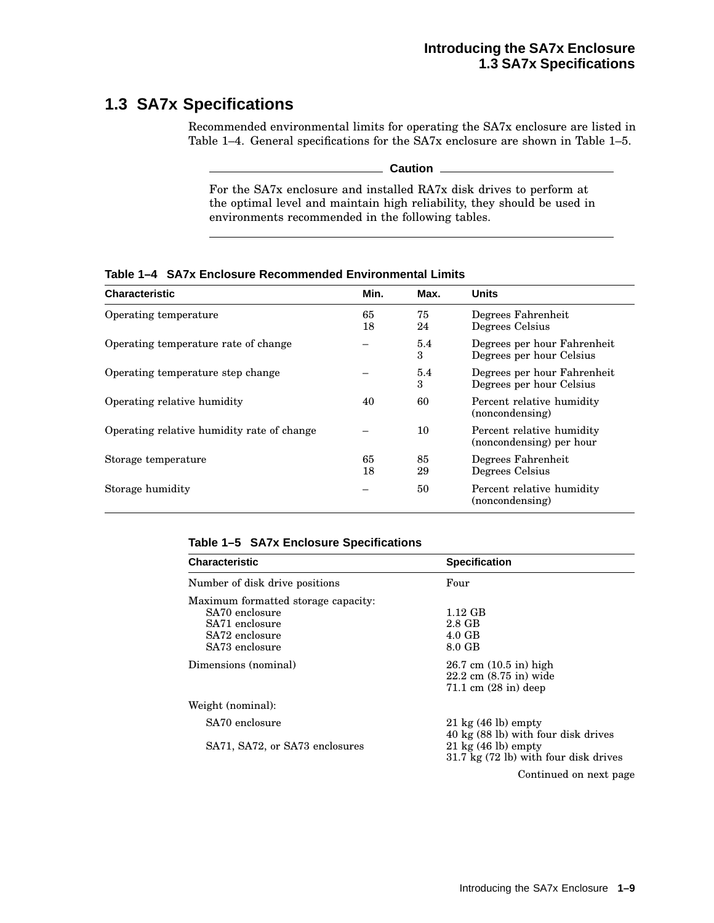# **1.3 SA7x Specifications**

Recommended environmental limits for operating the SA7x enclosure are listed in Table 1–4. General specifications for the SA7x enclosure are shown in Table 1–5.

#### **Caution**

For the SA7x enclosure and installed RA7x disk drives to perform at the optimal level and maintain high reliability, they should be used in environments recommended in the following tables.

| IQDIG T T OATA LIIGIOSUIG ROODIIIIIGIIGOG LIIVII OIIIIIGIIGI LIIIIIG |          |                                                         |  |
|----------------------------------------------------------------------|----------|---------------------------------------------------------|--|
| Min.                                                                 | Max.     | Units                                                   |  |
| 65<br>18                                                             | 75<br>24 | Degrees Fahrenheit<br>Degrees Celsius                   |  |
|                                                                      | 5.4<br>3 | Degrees per hour Fahrenheit<br>Degrees per hour Celsius |  |
|                                                                      | 5.4<br>3 | Degrees per hour Fahrenheit<br>Degrees per hour Celsius |  |
| 40                                                                   | 60       | Percent relative humidity<br>(noncondensing)            |  |
|                                                                      | 10       | Percent relative humidity<br>(noncondensing) per hour   |  |
| 65<br>18                                                             | 85<br>29 | Degrees Fahrenheit<br>Degrees Celsius                   |  |
|                                                                      | 50       | Percent relative humidity<br>(noncondensing)            |  |
|                                                                      |          |                                                         |  |

**Table 1–4 SA7x Enclosure Recommended Environmental Limits**

|  | Table 1-5 SA7x Enclosure Specifications |  |
|--|-----------------------------------------|--|
|--|-----------------------------------------|--|

| <b>Characteristic</b>                                                                                       | <b>Specification</b>                                                                                                                                     |
|-------------------------------------------------------------------------------------------------------------|----------------------------------------------------------------------------------------------------------------------------------------------------------|
| Number of disk drive positions                                                                              | Four                                                                                                                                                     |
| Maximum formatted storage capacity:<br>SA70 enclosure<br>SA71 enclosure<br>SA72 enclosure<br>SA73 enclosure | $1.12$ GB<br>2.8 GB<br>$4.0 \text{ GB}$<br>8.0 GB                                                                                                        |
| Dimensions (nominal)                                                                                        | $26.7 \text{ cm } (10.5 \text{ in}) \text{ high}$<br>$22.2 \text{ cm } (8.75 \text{ in}) \text{ wide}$<br>$71.1 \text{ cm} (28 \text{ in}) \text{ deep}$ |
| Weight (nominal):                                                                                           |                                                                                                                                                          |
| SA70 enclosure                                                                                              | $21 \text{ kg}$ (46 lb) empty<br>40 kg (88 lb) with four disk drives                                                                                     |
| SA71, SA72, or SA73 enclosures                                                                              | $21 \text{ kg}$ (46 lb) empty<br>31.7 kg (72 lb) with four disk drives                                                                                   |
|                                                                                                             | Continued on next page                                                                                                                                   |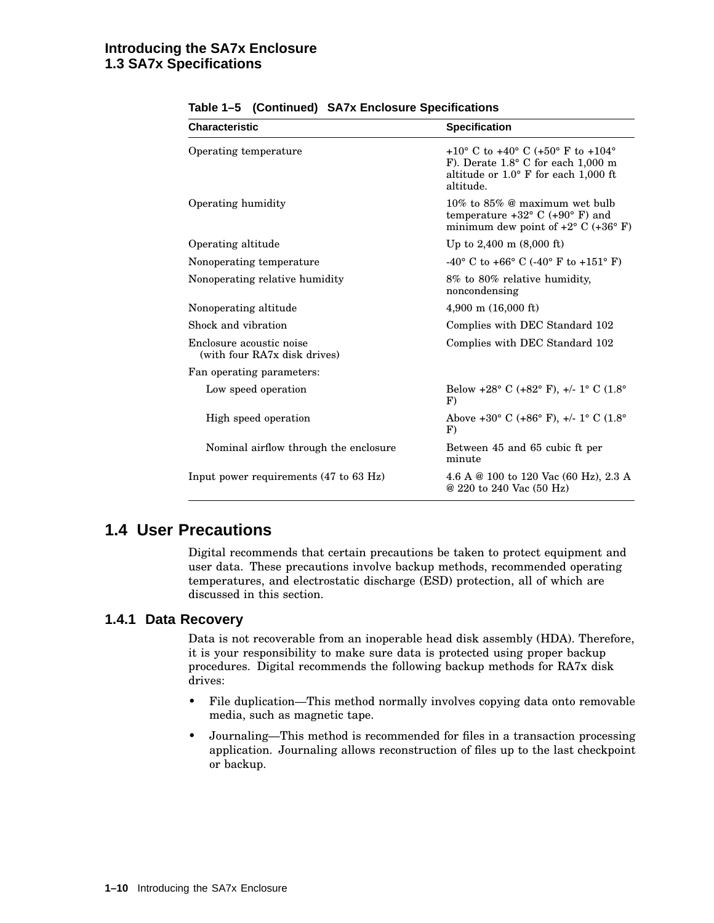## **Introducing the SA7x Enclosure 1.3 SA7x Specifications**

| <b>Characteristic</b>                                    | <b>Specification</b>                                                                                                                                                                 |
|----------------------------------------------------------|--------------------------------------------------------------------------------------------------------------------------------------------------------------------------------------|
| Operating temperature                                    | +10 $\degree$ C to +40 $\degree$ C (+50 $\degree$ F to +104 $\degree$<br>F). Derate $1.8^{\circ}$ C for each $1,000$ m<br>altitude or $1.0^{\circ}$ F for each 1,000 ft<br>altitude. |
| Operating humidity                                       | 10% to $85\%$ @ maximum wet bulb<br>temperature +32 $^{\circ}$ C (+90 $^{\circ}$ F) and<br>minimum dew point of $+2^{\circ}$ C ( $+36^{\circ}$ F)                                    |
| Operating altitude                                       | Up to $2,400 \text{ m}$ (8,000 ft)                                                                                                                                                   |
| Nonoperating temperature                                 | $-40^{\circ}$ C to $+66^{\circ}$ C ( $-40^{\circ}$ F to $+151^{\circ}$ F)                                                                                                            |
| Nonoperating relative humidity                           | 8% to 80% relative humidity,<br>noncondensing                                                                                                                                        |
| Nonoperating altitude                                    | $4,900 \text{ m}$ (16,000 ft)                                                                                                                                                        |
| Shock and vibration                                      | Complies with DEC Standard 102                                                                                                                                                       |
| Enclosure acoustic noise<br>(with four RA7x disk drives) | Complies with DEC Standard 102                                                                                                                                                       |
| Fan operating parameters:                                |                                                                                                                                                                                      |
| Low speed operation                                      | Below +28° C (+82° F), +/- 1° C (1.8°<br>F)                                                                                                                                          |
| High speed operation                                     | Above $+30^{\circ}$ C ( $+86^{\circ}$ F), $+/-1^{\circ}$ C (1.8°<br>F)                                                                                                               |
| Nominal airflow through the enclosure                    | Between 45 and 65 cubic ft per<br>minute                                                                                                                                             |
| Input power requirements (47 to 63 Hz)                   | 4.6 A $\circledcirc$ 100 to 120 Vac (60 Hz), 2.3 A<br>@ 220 to 240 Vac (50 Hz)                                                                                                       |

**Table 1–5 (Continued) SA7x Enclosure Specifications**

# **1.4 User Precautions**

Digital recommends that certain precautions be taken to protect equipment and user data. These precautions involve backup methods, recommended operating temperatures, and electrostatic discharge (ESD) protection, all of which are discussed in this section.

#### **1.4.1 Data Recovery**

Data is not recoverable from an inoperable head disk assembly (HDA). Therefore, it is your responsibility to make sure data is protected using proper backup procedures. Digital recommends the following backup methods for RA7x disk drives:

- File duplication—This method normally involves copying data onto removable media, such as magnetic tape.
- Journaling—This method is recommended for files in a transaction processing application. Journaling allows reconstruction of files up to the last checkpoint or backup.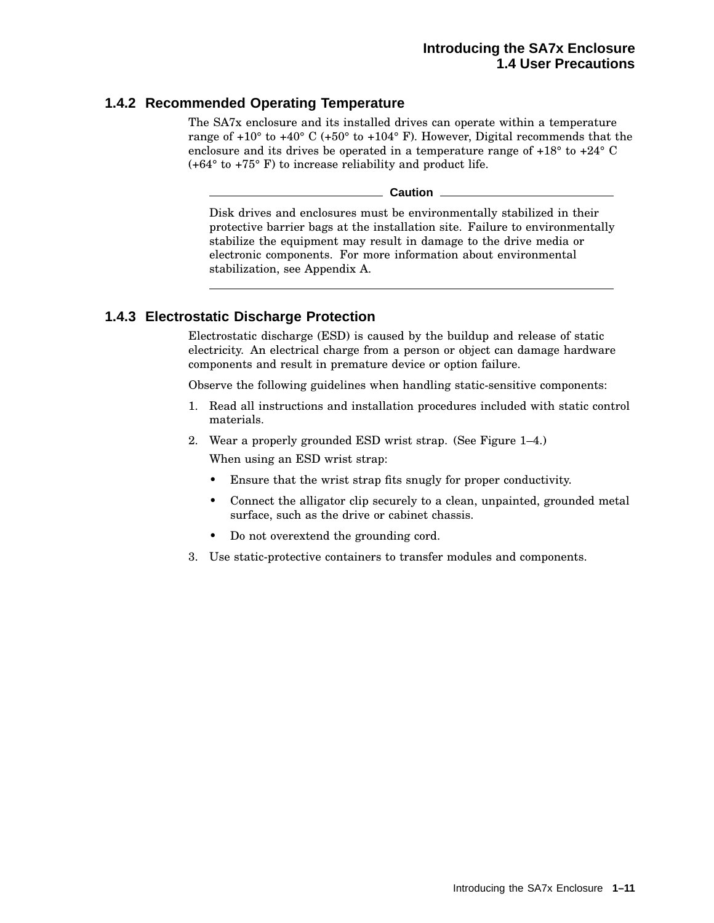#### **1.4.2 Recommended Operating Temperature**

The SA7x enclosure and its installed drives can operate within a temperature range of  $+10^{\circ}$  to  $+40^{\circ}$  C ( $+50^{\circ}$  to  $+104^{\circ}$  F). However, Digital recommends that the enclosure and its drives be operated in a temperature range of +18° to +24° C (+64° to +75° F) to increase reliability and product life.

**Caution**

Disk drives and enclosures must be environmentally stabilized in their protective barrier bags at the installation site. Failure to environmentally stabilize the equipment may result in damage to the drive media or electronic components. For more information about environmental stabilization, see Appendix A.

## **1.4.3 Electrostatic Discharge Protection**

Electrostatic discharge (ESD) is caused by the buildup and release of static electricity. An electrical charge from a person or object can damage hardware components and result in premature device or option failure.

Observe the following guidelines when handling static-sensitive components:

- 1. Read all instructions and installation procedures included with static control materials.
- 2. Wear a properly grounded ESD wrist strap. (See Figure 1–4.)

When using an ESD wrist strap:

- Ensure that the wrist strap fits snugly for proper conductivity.
- Connect the alligator clip securely to a clean, unpainted, grounded metal surface, such as the drive or cabinet chassis.
- Do not overextend the grounding cord.
- 3. Use static-protective containers to transfer modules and components.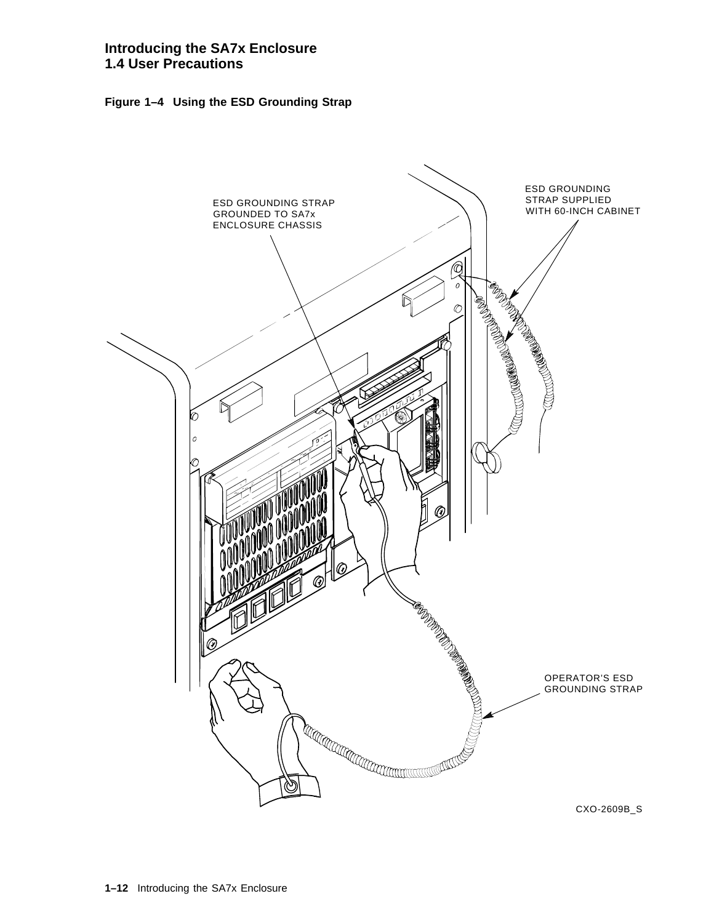#### **Introducing the SA7x Enclosure 1.4 User Precautions**

**Figure 1–4 Using the ESD Grounding Strap**

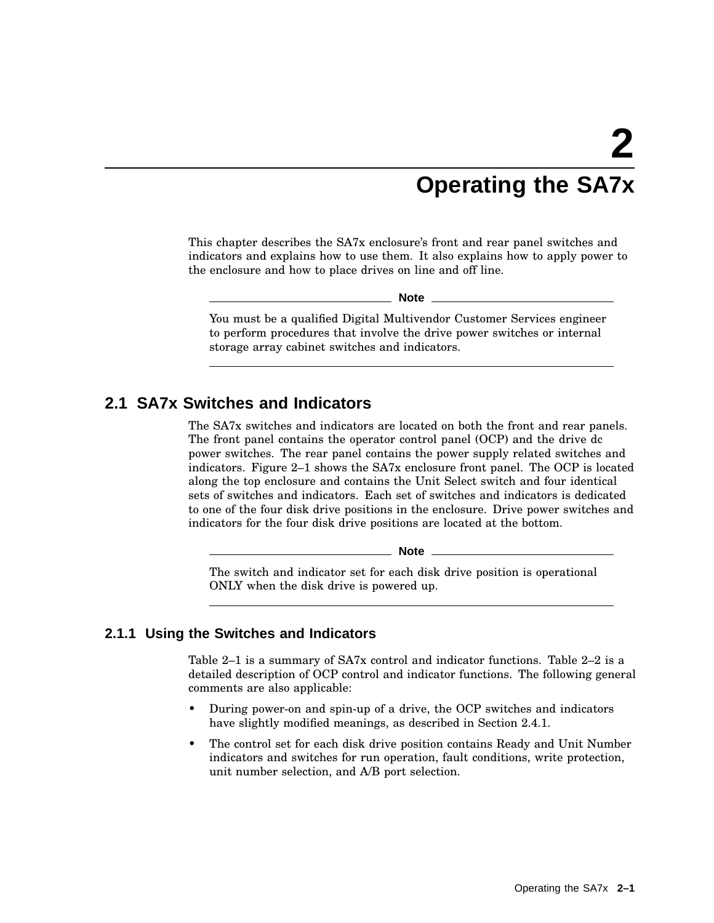# **2 Operating the SA7x**

This chapter describes the SA7x enclosure's front and rear panel switches and indicators and explains how to use them. It also explains how to apply power to the enclosure and how to place drives on line and off line.

**Note** 

You must be a qualified Digital Multivendor Customer Services engineer to perform procedures that involve the drive power switches or internal storage array cabinet switches and indicators.

# **2.1 SA7x Switches and Indicators**

The SA7x switches and indicators are located on both the front and rear panels. The front panel contains the operator control panel (OCP) and the drive dc power switches. The rear panel contains the power supply related switches and indicators. Figure 2–1 shows the SA7x enclosure front panel. The OCP is located along the top enclosure and contains the Unit Select switch and four identical sets of switches and indicators. Each set of switches and indicators is dedicated to one of the four disk drive positions in the enclosure. Drive power switches and indicators for the four disk drive positions are located at the bottom.

**Note**

The switch and indicator set for each disk drive position is operational ONLY when the disk drive is powered up.

#### **2.1.1 Using the Switches and Indicators**

Table 2–1 is a summary of SA7x control and indicator functions. Table 2–2 is a detailed description of OCP control and indicator functions. The following general comments are also applicable:

- During power-on and spin-up of a drive, the OCP switches and indicators have slightly modified meanings, as described in Section 2.4.1.
- The control set for each disk drive position contains Ready and Unit Number indicators and switches for run operation, fault conditions, write protection, unit number selection, and A/B port selection.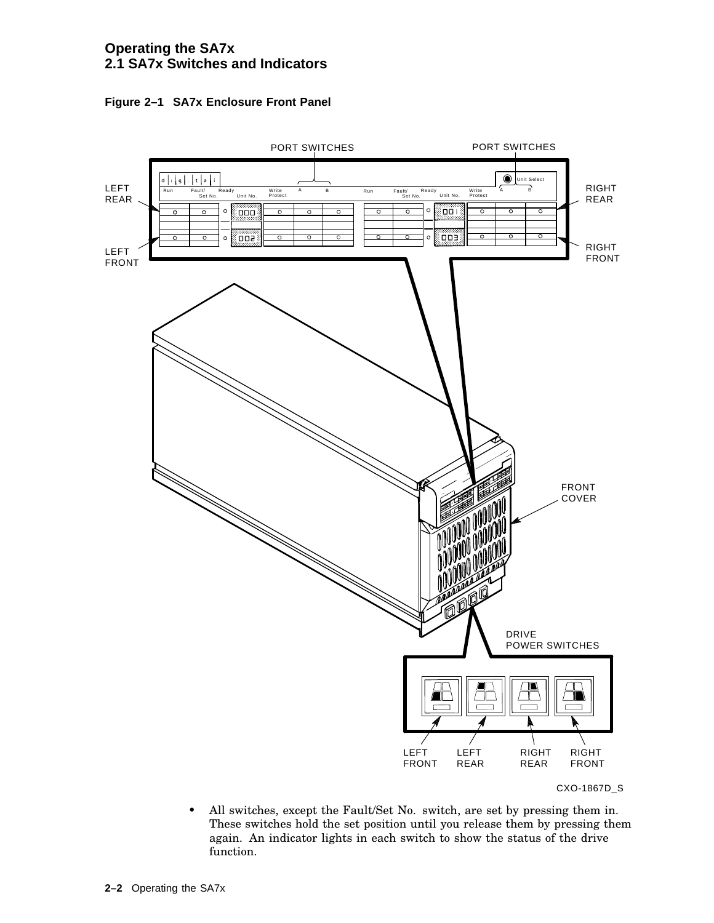#### **Operating the SA7x 2.1 SA7x Switches and Indicators**





• All switches, except the Fault/Set No. switch, are set by pressing them in. These switches hold the set position until you release them by pressing them again. An indicator lights in each switch to show the status of the drive function.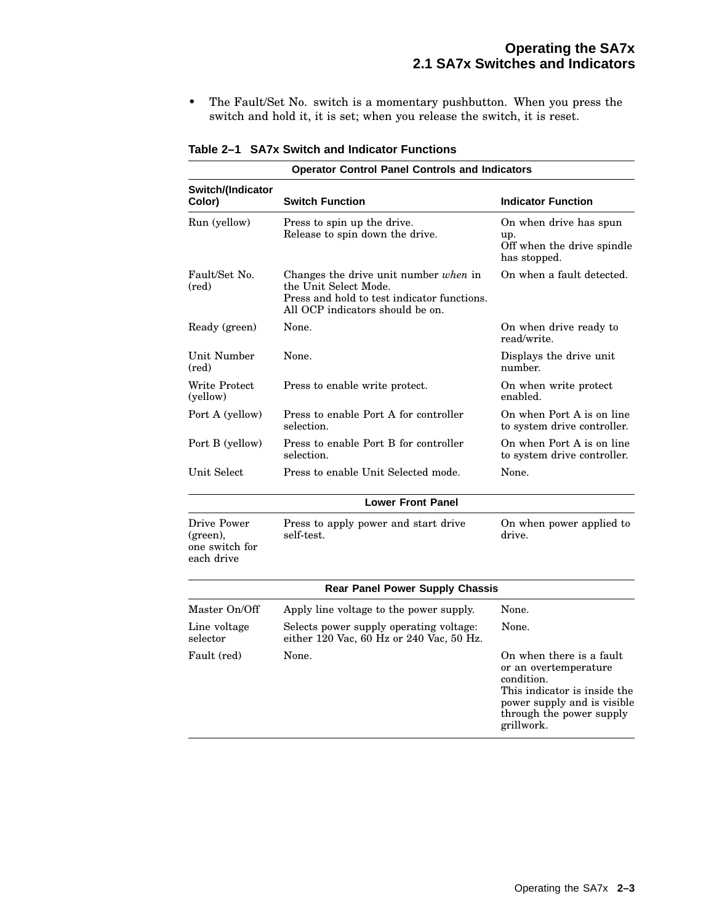• The Fault/Set No. switch is a momentary pushbutton. When you press the switch and hold it, it is set; when you release the switch, it is reset.

| <b>Switch/(Indicator</b>  |                                                                                                                                                   |                                                                             |  |  |
|---------------------------|---------------------------------------------------------------------------------------------------------------------------------------------------|-----------------------------------------------------------------------------|--|--|
| Color)                    | <b>Switch Function</b>                                                                                                                            | <b>Indicator Function</b>                                                   |  |  |
| Run (yellow)              | Press to spin up the drive.<br>Release to spin down the drive.                                                                                    | On when drive has spun<br>up.<br>Off when the drive spindle<br>has stopped. |  |  |
| Fault/Set No.<br>(red)    | Changes the drive unit number when in<br>the Unit Select Mode.<br>Press and hold to test indicator functions.<br>All OCP indicators should be on. | On when a fault detected.                                                   |  |  |
| Ready (green)             | None.                                                                                                                                             | On when drive ready to<br>read/write.                                       |  |  |
| Unit Number<br>(red)      | None.                                                                                                                                             | Displays the drive unit<br>number.                                          |  |  |
| Write Protect<br>(yellow) | Press to enable write protect.                                                                                                                    | On when write protect<br>enabled.                                           |  |  |
| Port A (yellow)           | Press to enable Port A for controller<br>selection.                                                                                               | On when Port A is on line<br>to system drive controller.                    |  |  |
| Port B (yellow)           | Press to enable Port B for controller<br>selection.                                                                                               | On when Port A is on line<br>to system drive controller.                    |  |  |
| Unit Select               | Press to enable Unit Selected mode.                                                                                                               | None.                                                                       |  |  |

#### **Table 2–1 SA7x Switch and Indicator Functions**

**Front** Panel

| Drive Power    | Press to apply power and start drive | On when power applied |
|----------------|--------------------------------------|-----------------------|
| (green),       | self-test.                           | drive.                |
| one switch for |                                      |                       |

one s each drive On when power applied to

|                          | <b>Rear Panel Power Supply Chassis</b>                                              |                                                                                                                                                                          |  |
|--------------------------|-------------------------------------------------------------------------------------|--------------------------------------------------------------------------------------------------------------------------------------------------------------------------|--|
| Master On/Off            | Apply line voltage to the power supply.                                             | None.                                                                                                                                                                    |  |
| Line voltage<br>selector | Selects power supply operating voltage:<br>either 120 Vac, 60 Hz or 240 Vac, 50 Hz. | None.                                                                                                                                                                    |  |
| Fault (red)              | None.                                                                               | On when there is a fault<br>or an overtemperature<br>condition.<br>This indicator is inside the<br>power supply and is visible<br>through the power supply<br>grillwork. |  |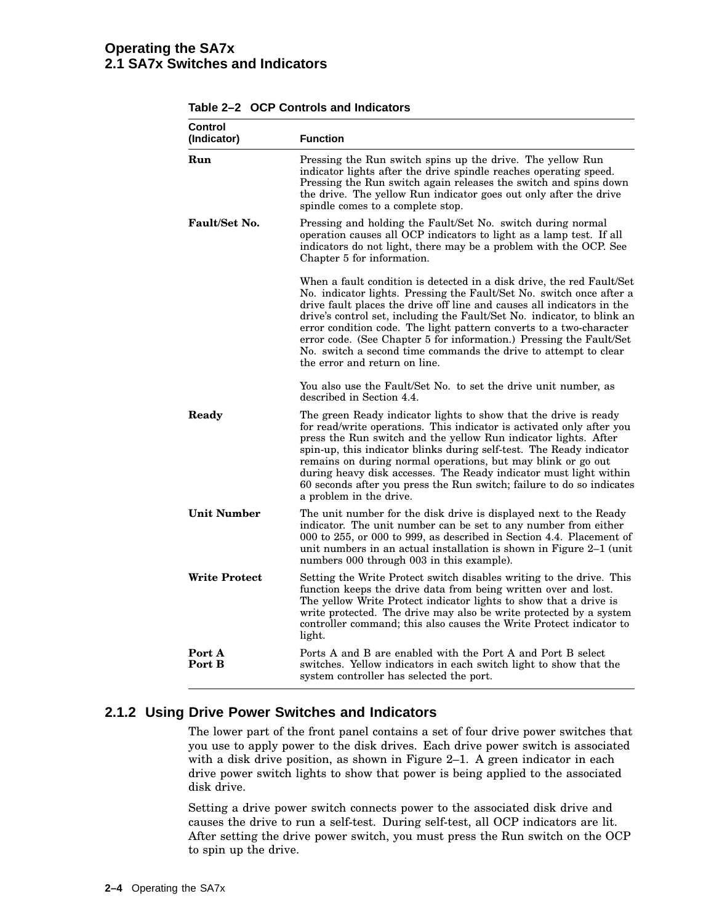#### **Operating the SA7x 2.1 SA7x Switches and Indicators**

| Control<br>(Indicator) | <b>Function</b>                                                                                                                                                                                                                                                                                                                                                                                                                                                                                                                                      |
|------------------------|------------------------------------------------------------------------------------------------------------------------------------------------------------------------------------------------------------------------------------------------------------------------------------------------------------------------------------------------------------------------------------------------------------------------------------------------------------------------------------------------------------------------------------------------------|
| Run                    | Pressing the Run switch spins up the drive. The yellow Run<br>indicator lights after the drive spindle reaches operating speed.<br>Pressing the Run switch again releases the switch and spins down<br>the drive. The yellow Run indicator goes out only after the drive<br>spindle comes to a complete stop.                                                                                                                                                                                                                                        |
| Fault/Set No.          | Pressing and holding the Fault/Set No. switch during normal<br>operation causes all OCP indicators to light as a lamp test. If all<br>indicators do not light, there may be a problem with the OCP. See<br>Chapter 5 for information.                                                                                                                                                                                                                                                                                                                |
|                        | When a fault condition is detected in a disk drive, the red Fault/Set<br>No. indicator lights. Pressing the Fault/Set No. switch once after a<br>drive fault places the drive off line and causes all indicators in the<br>drive's control set, including the Fault/Set No. indicator, to blink an<br>error condition code. The light pattern converts to a two-character<br>error code. (See Chapter 5 for information.) Pressing the Fault/Set<br>No. switch a second time commands the drive to attempt to clear<br>the error and return on line. |
|                        | You also use the Fault/Set No. to set the drive unit number, as<br>described in Section 4.4.                                                                                                                                                                                                                                                                                                                                                                                                                                                         |
| Ready                  | The green Ready indicator lights to show that the drive is ready<br>for read/write operations. This indicator is activated only after you<br>press the Run switch and the yellow Run indicator lights. After<br>spin-up, this indicator blinks during self-test. The Ready indicator<br>remains on during normal operations, but may blink or go out<br>during heavy disk accesses. The Ready indicator must light within<br>60 seconds after you press the Run switch; failure to do so indicates<br>a problem in the drive.                        |
| <b>Unit Number</b>     | The unit number for the disk drive is displayed next to the Ready<br>indicator. The unit number can be set to any number from either<br>000 to 255, or 000 to 999, as described in Section 4.4. Placement of<br>unit numbers in an actual installation is shown in Figure 2–1 (unit<br>numbers 000 through 003 in this example).                                                                                                                                                                                                                     |
| Write Protect          | Setting the Write Protect switch disables writing to the drive. This<br>function keeps the drive data from being written over and lost.<br>The yellow Write Protect indicator lights to show that a drive is<br>write protected. The drive may also be write protected by a system<br>controller command; this also causes the Write Protect indicator to<br>light.                                                                                                                                                                                  |
| Port A<br>Port B       | Ports A and B are enabled with the Port A and Port B select<br>switches. Yellow indicators in each switch light to show that the<br>system controller has selected the port.                                                                                                                                                                                                                                                                                                                                                                         |

#### **Table 2–2 OCP Controls and Indicators**

#### **2.1.2 Using Drive Power Switches and Indicators**

The lower part of the front panel contains a set of four drive power switches that you use to apply power to the disk drives. Each drive power switch is associated with a disk drive position, as shown in Figure 2–1. A green indicator in each drive power switch lights to show that power is being applied to the associated disk drive.

Setting a drive power switch connects power to the associated disk drive and causes the drive to run a self-test. During self-test, all OCP indicators are lit. After setting the drive power switch, you must press the Run switch on the OCP to spin up the drive.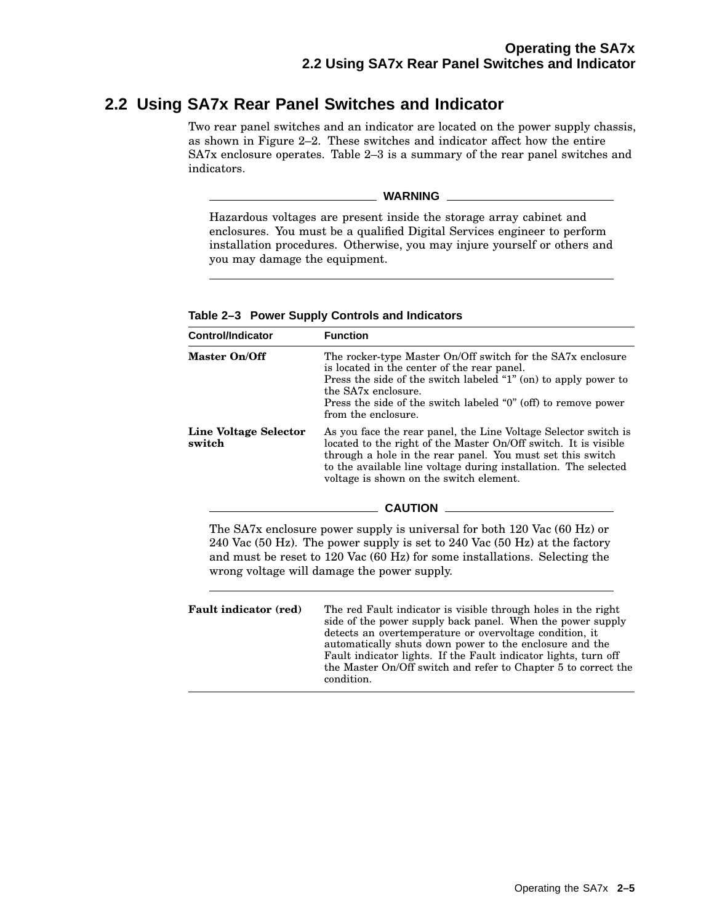# **2.2 Using SA7x Rear Panel Switches and Indicator**

Two rear panel switches and an indicator are located on the power supply chassis, as shown in Figure 2–2. These switches and indicator affect how the entire SA7x enclosure operates. Table 2–3 is a summary of the rear panel switches and indicators.

**WARNING**

Hazardous voltages are present inside the storage array cabinet and enclosures. You must be a qualified Digital Services engineer to perform installation procedures. Otherwise, you may injure yourself or others and you may damage the equipment.

|  |  | Table 2-3 Power Supply Controls and Indicators |  |  |
|--|--|------------------------------------------------|--|--|
|--|--|------------------------------------------------|--|--|

| <b>Control/Indicator</b>        | <b>Function</b>                                                                                                                                                                                                                                                                                                |
|---------------------------------|----------------------------------------------------------------------------------------------------------------------------------------------------------------------------------------------------------------------------------------------------------------------------------------------------------------|
| Master On/Off                   | The rocker-type Master On/Off switch for the SA7x enclosure<br>is located in the center of the rear panel.<br>Press the side of the switch labeled "1" (on) to apply power to<br>the SA7x enclosure.<br>Press the side of the switch labeled "0" (off) to remove power<br>from the enclosure.                  |
| Line Voltage Selector<br>switch | As you face the rear panel, the Line Voltage Selector switch is<br>located to the right of the Master On/Off switch. It is visible<br>through a hole in the rear panel. You must set this switch<br>to the available line voltage during installation. The selected<br>voltage is shown on the switch element. |
|                                 | <b>CAUTION</b>                                                                                                                                                                                                                                                                                                 |
|                                 | The SA7x enclosure power supply is universal for both 120 Vac (60 Hz) or                                                                                                                                                                                                                                       |
|                                 | 240 Vac (50 Hz). The power supply is set to 240 Vac (50 Hz) at the factory                                                                                                                                                                                                                                     |

240 Vac (50 Hz). The power supply is set to 240 Vac (50 Hz) at the factory and must be reset to 120 Vac (60 Hz) for some installations. Selecting the wrong voltage will damage the power supply.

| Fault indicator (red) | The red Fault indicator is visible through holes in the right<br>side of the power supply back panel. When the power supply<br>detects an overtemperature or overvoltage condition, it<br>automatically shuts down power to the enclosure and the<br>Fault indicator lights. If the Fault indicator lights, turn off<br>the Master On/Off switch and refer to Chapter 5 to correct the<br>condition. |
|-----------------------|------------------------------------------------------------------------------------------------------------------------------------------------------------------------------------------------------------------------------------------------------------------------------------------------------------------------------------------------------------------------------------------------------|
|-----------------------|------------------------------------------------------------------------------------------------------------------------------------------------------------------------------------------------------------------------------------------------------------------------------------------------------------------------------------------------------------------------------------------------------|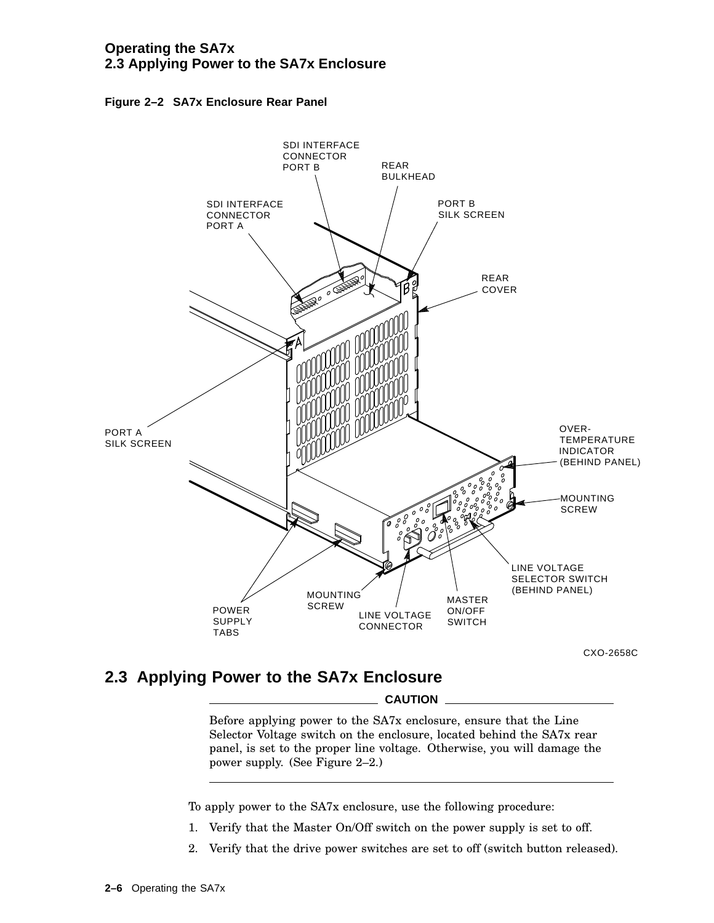



CXO-2658C

# **2.3 Applying Power to the SA7x Enclosure**

**CAUTION**

Before applying power to the SA7x enclosure, ensure that the Line Selector Voltage switch on the enclosure, located behind the SA7x rear panel, is set to the proper line voltage. Otherwise, you will damage the power supply. (See Figure 2–2.)

To apply power to the SA7x enclosure, use the following procedure:

- 1. Verify that the Master On/Off switch on the power supply is set to off.
- 2. Verify that the drive power switches are set to off (switch button released).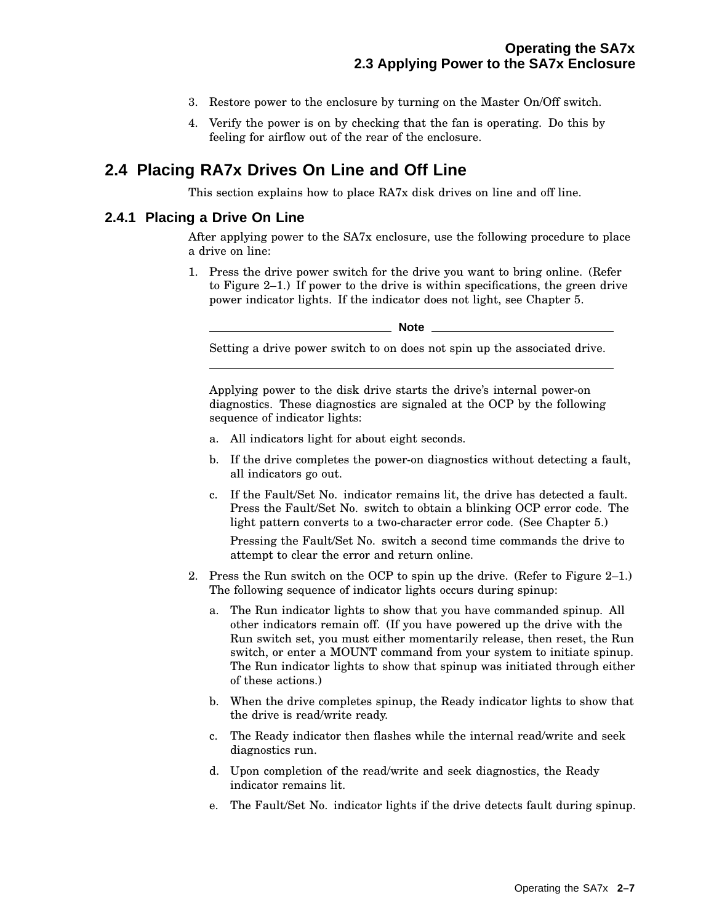- 3. Restore power to the enclosure by turning on the Master On/Off switch.
- 4. Verify the power is on by checking that the fan is operating. Do this by feeling for airflow out of the rear of the enclosure.

# **2.4 Placing RA7x Drives On Line and Off Line**

This section explains how to place RA7x disk drives on line and off line.

#### **2.4.1 Placing a Drive On Line**

After applying power to the SA7x enclosure, use the following procedure to place a drive on line:

1. Press the drive power switch for the drive you want to bring online. (Refer to Figure 2–1.) If power to the drive is within specifications, the green drive power indicator lights. If the indicator does not light, see Chapter 5.

**Note**

Setting a drive power switch to on does not spin up the associated drive.

Applying power to the disk drive starts the drive's internal power-on diagnostics. These diagnostics are signaled at the OCP by the following sequence of indicator lights:

- a. All indicators light for about eight seconds.
- b. If the drive completes the power-on diagnostics without detecting a fault, all indicators go out.
- c. If the Fault/Set No. indicator remains lit, the drive has detected a fault. Press the Fault/Set No. switch to obtain a blinking OCP error code. The light pattern converts to a two-character error code. (See Chapter 5.)

Pressing the Fault/Set No. switch a second time commands the drive to attempt to clear the error and return online.

- 2. Press the Run switch on the OCP to spin up the drive. (Refer to Figure 2–1.) The following sequence of indicator lights occurs during spinup:
	- a. The Run indicator lights to show that you have commanded spinup. All other indicators remain off. (If you have powered up the drive with the Run switch set, you must either momentarily release, then reset, the Run switch, or enter a MOUNT command from your system to initiate spinup. The Run indicator lights to show that spinup was initiated through either of these actions.)
	- b. When the drive completes spinup, the Ready indicator lights to show that the drive is read/write ready.
	- c. The Ready indicator then flashes while the internal read/write and seek diagnostics run.
	- d. Upon completion of the read/write and seek diagnostics, the Ready indicator remains lit.
	- e. The Fault/Set No. indicator lights if the drive detects fault during spinup.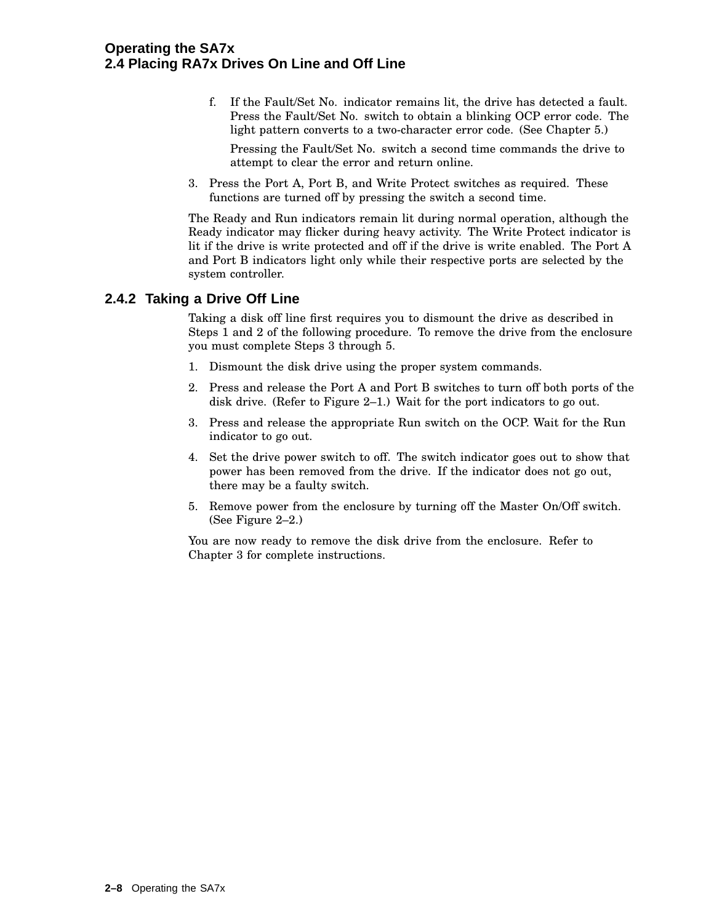f. If the Fault/Set No. indicator remains lit, the drive has detected a fault. Press the Fault/Set No. switch to obtain a blinking OCP error code. The light pattern converts to a two-character error code. (See Chapter 5.)

Pressing the Fault/Set No. switch a second time commands the drive to attempt to clear the error and return online.

3. Press the Port A, Port B, and Write Protect switches as required. These functions are turned off by pressing the switch a second time.

The Ready and Run indicators remain lit during normal operation, although the Ready indicator may flicker during heavy activity. The Write Protect indicator is lit if the drive is write protected and off if the drive is write enabled. The Port A and Port B indicators light only while their respective ports are selected by the system controller.

#### **2.4.2 Taking a Drive Off Line**

Taking a disk off line first requires you to dismount the drive as described in Steps 1 and 2 of the following procedure. To remove the drive from the enclosure you must complete Steps 3 through 5.

- 1. Dismount the disk drive using the proper system commands.
- 2. Press and release the Port A and Port B switches to turn off both ports of the disk drive. (Refer to Figure 2–1.) Wait for the port indicators to go out.
- 3. Press and release the appropriate Run switch on the OCP. Wait for the Run indicator to go out.
- 4. Set the drive power switch to off. The switch indicator goes out to show that power has been removed from the drive. If the indicator does not go out, there may be a faulty switch.
- 5. Remove power from the enclosure by turning off the Master On/Off switch. (See Figure 2–2.)

You are now ready to remove the disk drive from the enclosure. Refer to Chapter 3 for complete instructions.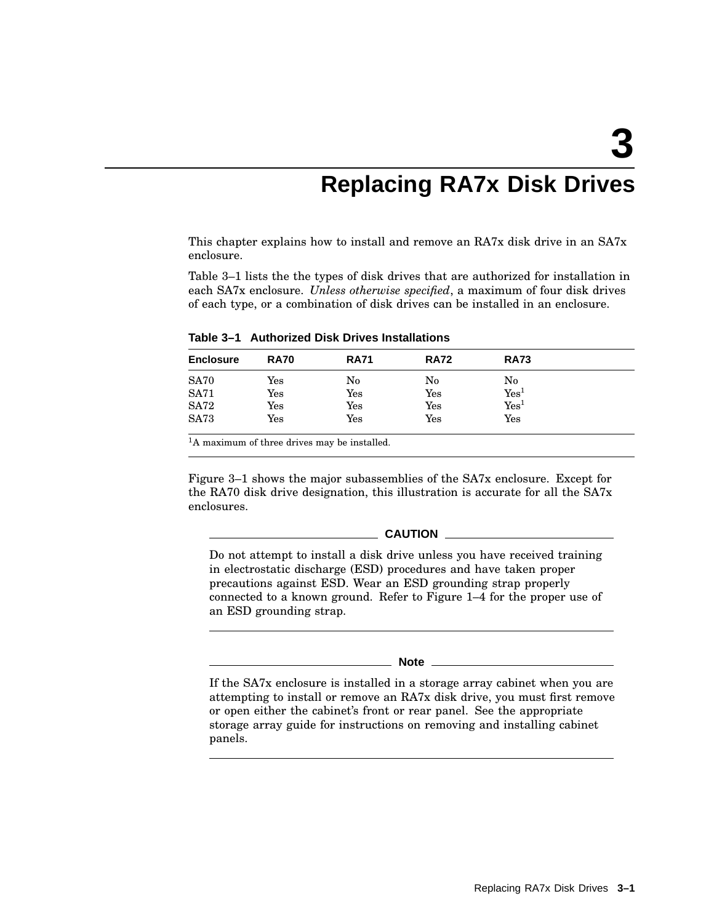# **Replacing RA7x Disk Drives**

This chapter explains how to install and remove an RA7x disk drive in an SA7x enclosure.

Table 3–1 lists the the types of disk drives that are authorized for installation in each SA7x enclosure. *Unless otherwise specified*, a maximum of four disk drives of each type, or a combination of disk drives can be installed in an enclosure.

**Table 3–1 Authorized Disk Drives Installations**

| <b>Enclosure</b> | <b>RA70</b>          | <b>RA71</b> | <b>RA72</b>          | <b>RA73</b>      |  |
|------------------|----------------------|-------------|----------------------|------------------|--|
| <b>SA70</b>      | $\operatorname{Yes}$ | No          | No                   | No               |  |
| <b>SA71</b>      | $\operatorname{Yes}$ | Yes         | $\operatorname{Yes}$ | Yes <sup>1</sup> |  |
| <b>SA72</b>      | $\operatorname{Yes}$ | Yes         | $\operatorname{Yes}$ | $\mathrm{Yes}^1$ |  |
| <b>SA73</b>      | $\operatorname{Yes}$ | Yes         | $\operatorname{Yes}$ | Yes              |  |

<sup>1</sup>A maximum of three drives may be installed.

Figure 3–1 shows the major subassemblies of the SA7x enclosure. Except for the RA70 disk drive designation, this illustration is accurate for all the SA7x enclosures.

#### **CAUTION**

Do not attempt to install a disk drive unless you have received training in electrostatic discharge (ESD) procedures and have taken proper precautions against ESD. Wear an ESD grounding strap properly connected to a known ground. Refer to Figure 1–4 for the proper use of an ESD grounding strap.

#### **Note**

If the SA7x enclosure is installed in a storage array cabinet when you are attempting to install or remove an RA7x disk drive, you must first remove or open either the cabinet's front or rear panel. See the appropriate storage array guide for instructions on removing and installing cabinet panels.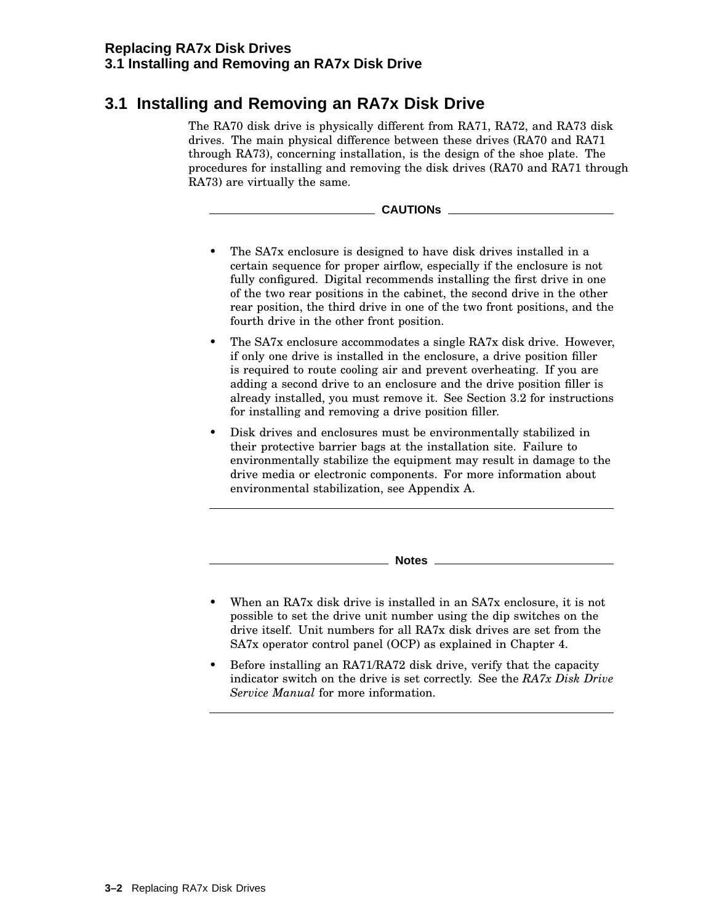#### **Replacing RA7x Disk Drives 3.1 Installing and Removing an RA7x Disk Drive**

# **3.1 Installing and Removing an RA7x Disk Drive**

The RA70 disk drive is physically different from RA71, RA72, and RA73 disk drives. The main physical difference between these drives (RA70 and RA71 through RA73), concerning installation, is the design of the shoe plate. The procedures for installing and removing the disk drives (RA70 and RA71 through RA73) are virtually the same.

**CAUTIONs**

- The SA7x enclosure is designed to have disk drives installed in a certain sequence for proper airflow, especially if the enclosure is not fully configured. Digital recommends installing the first drive in one of the two rear positions in the cabinet, the second drive in the other rear position, the third drive in one of the two front positions, and the fourth drive in the other front position.
- The SA7x enclosure accommodates a single RA7x disk drive. However, if only one drive is installed in the enclosure, a drive position filler is required to route cooling air and prevent overheating. If you are adding a second drive to an enclosure and the drive position filler is already installed, you must remove it. See Section 3.2 for instructions for installing and removing a drive position filler.
- Disk drives and enclosures must be environmentally stabilized in their protective barrier bags at the installation site. Failure to environmentally stabilize the equipment may result in damage to the drive media or electronic components. For more information about environmental stabilization, see Appendix A.

**Notes**

- When an RA7x disk drive is installed in an SA7x enclosure, it is not possible to set the drive unit number using the dip switches on the drive itself. Unit numbers for all RA7x disk drives are set from the SA7x operator control panel (OCP) as explained in Chapter 4.
- Before installing an RA71/RA72 disk drive, verify that the capacity indicator switch on the drive is set correctly. See the *RA7x Disk Drive Service Manual* for more information.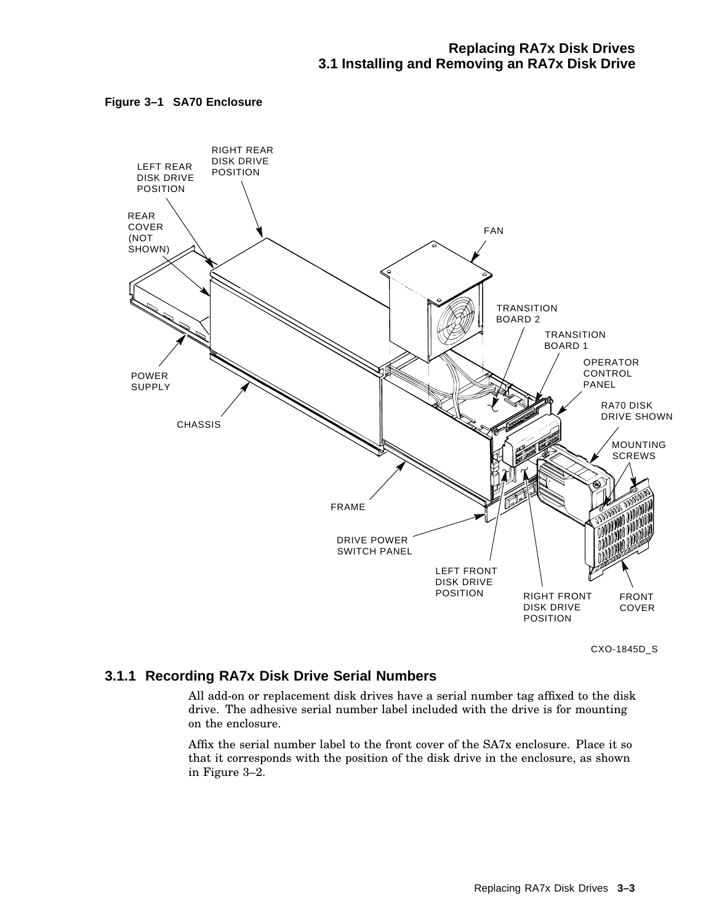



CXO-1845D\_S

## **3.1.1 Recording RA7x Disk Drive Serial Numbers**

All add-on or replacement disk drives have a serial number tag affixed to the disk drive. The adhesive serial number label included with the drive is for mounting on the enclosure.

Affix the serial number label to the front cover of the SA7x enclosure. Place it so that it corresponds with the position of the disk drive in the enclosure, as shown in Figure 3–2.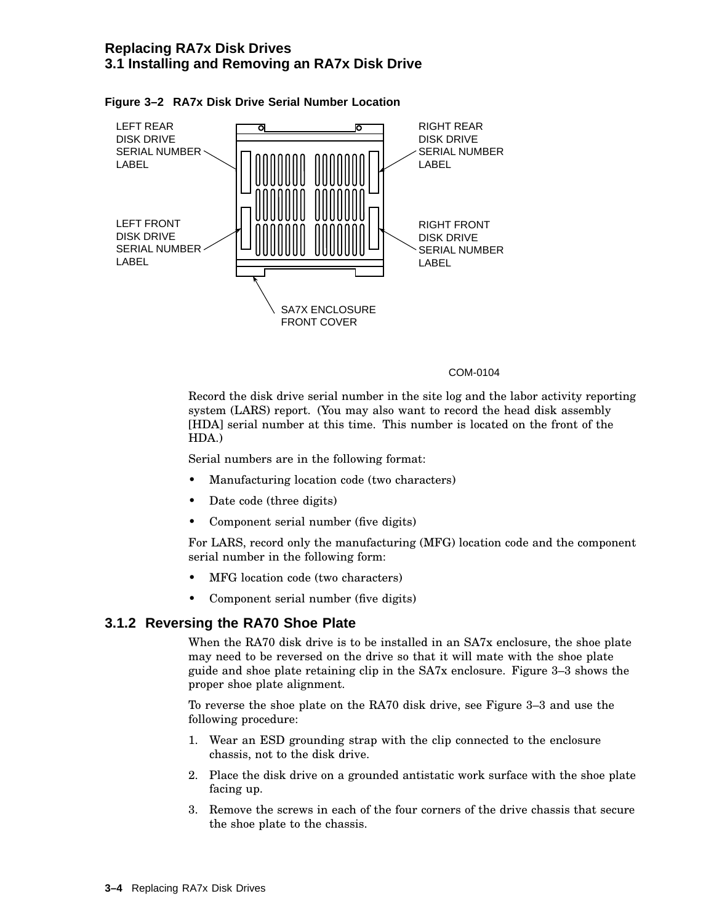## **Replacing RA7x Disk Drives 3.1 Installing and Removing an RA7x Disk Drive**



#### **Figure 3–2 RA7x Disk Drive Serial Number Location**

#### COM-0104

Record the disk drive serial number in the site log and the labor activity reporting system (LARS) report. (You may also want to record the head disk assembly [HDA] serial number at this time. This number is located on the front of the HDA.)

Serial numbers are in the following format:

- Manufacturing location code (two characters)
- Date code (three digits)
- Component serial number (five digits)

For LARS, record only the manufacturing (MFG) location code and the component serial number in the following form:

- MFG location code (two characters)
- Component serial number (five digits)

#### **3.1.2 Reversing the RA70 Shoe Plate**

When the RA70 disk drive is to be installed in an SA7x enclosure, the shoe plate may need to be reversed on the drive so that it will mate with the shoe plate guide and shoe plate retaining clip in the SA7x enclosure. Figure 3–3 shows the proper shoe plate alignment.

To reverse the shoe plate on the RA70 disk drive, see Figure 3–3 and use the following procedure:

- 1. Wear an ESD grounding strap with the clip connected to the enclosure chassis, not to the disk drive.
- 2. Place the disk drive on a grounded antistatic work surface with the shoe plate facing up.
- 3. Remove the screws in each of the four corners of the drive chassis that secure the shoe plate to the chassis.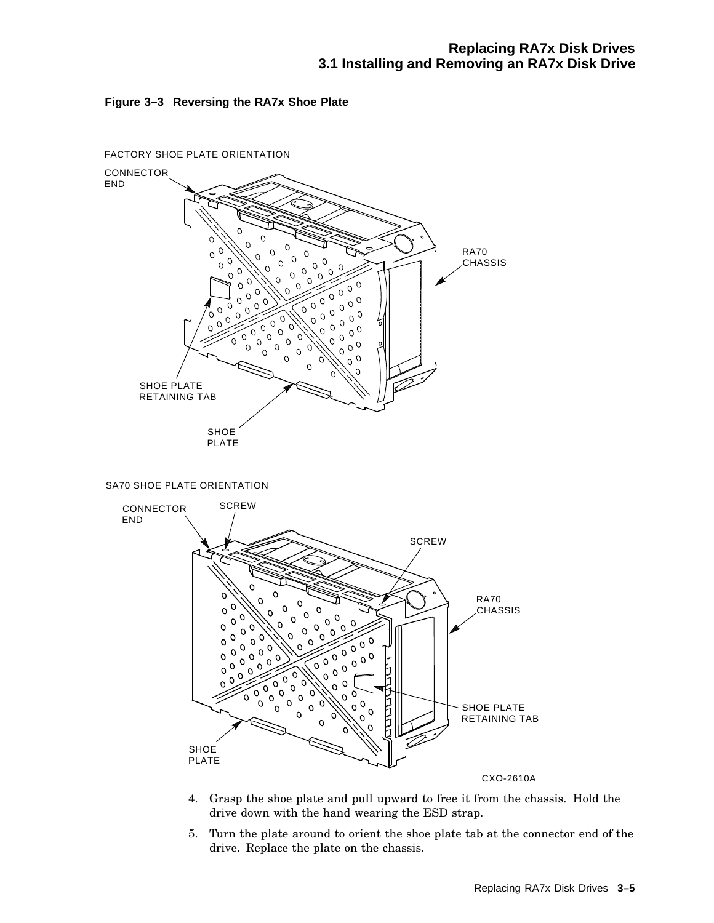



- 4. Grasp the shoe plate and pull upward to free it from the chassis. Hold the drive down with the hand wearing the ESD strap.
- 5. Turn the plate around to orient the shoe plate tab at the connector end of the drive. Replace the plate on the chassis.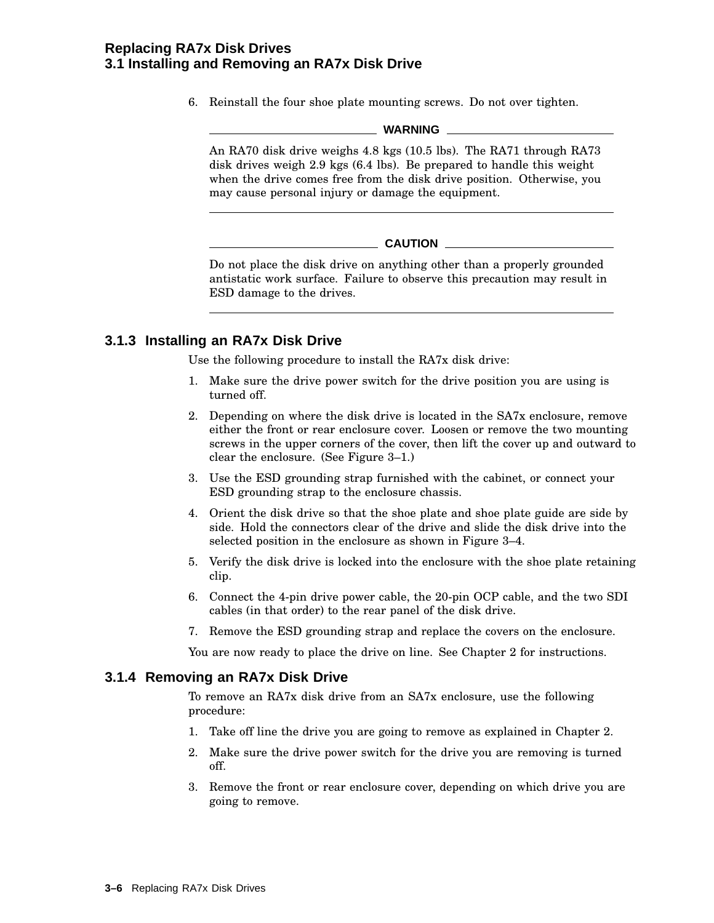6. Reinstall the four shoe plate mounting screws. Do not over tighten.

#### **WARNING**

An RA70 disk drive weighs 4.8 kgs (10.5 lbs). The RA71 through RA73 disk drives weigh 2.9 kgs (6.4 lbs). Be prepared to handle this weight when the drive comes free from the disk drive position. Otherwise, you may cause personal injury or damage the equipment.

#### $\_$  CAUTION  $\_$

Do not place the disk drive on anything other than a properly grounded antistatic work surface. Failure to observe this precaution may result in ESD damage to the drives.

#### **3.1.3 Installing an RA7x Disk Drive**

Use the following procedure to install the RA7x disk drive:

- 1. Make sure the drive power switch for the drive position you are using is turned off.
- 2. Depending on where the disk drive is located in the SA7x enclosure, remove either the front or rear enclosure cover. Loosen or remove the two mounting screws in the upper corners of the cover, then lift the cover up and outward to clear the enclosure. (See Figure 3–1.)
- 3. Use the ESD grounding strap furnished with the cabinet, or connect your ESD grounding strap to the enclosure chassis.
- 4. Orient the disk drive so that the shoe plate and shoe plate guide are side by side. Hold the connectors clear of the drive and slide the disk drive into the selected position in the enclosure as shown in Figure 3–4.
- 5. Verify the disk drive is locked into the enclosure with the shoe plate retaining clip.
- 6. Connect the 4-pin drive power cable, the 20-pin OCP cable, and the two SDI cables (in that order) to the rear panel of the disk drive.
- 7. Remove the ESD grounding strap and replace the covers on the enclosure.

You are now ready to place the drive on line. See Chapter 2 for instructions.

#### **3.1.4 Removing an RA7x Disk Drive**

To remove an RA7x disk drive from an SA7x enclosure, use the following procedure:

- 1. Take off line the drive you are going to remove as explained in Chapter 2.
- 2. Make sure the drive power switch for the drive you are removing is turned off.
- 3. Remove the front or rear enclosure cover, depending on which drive you are going to remove.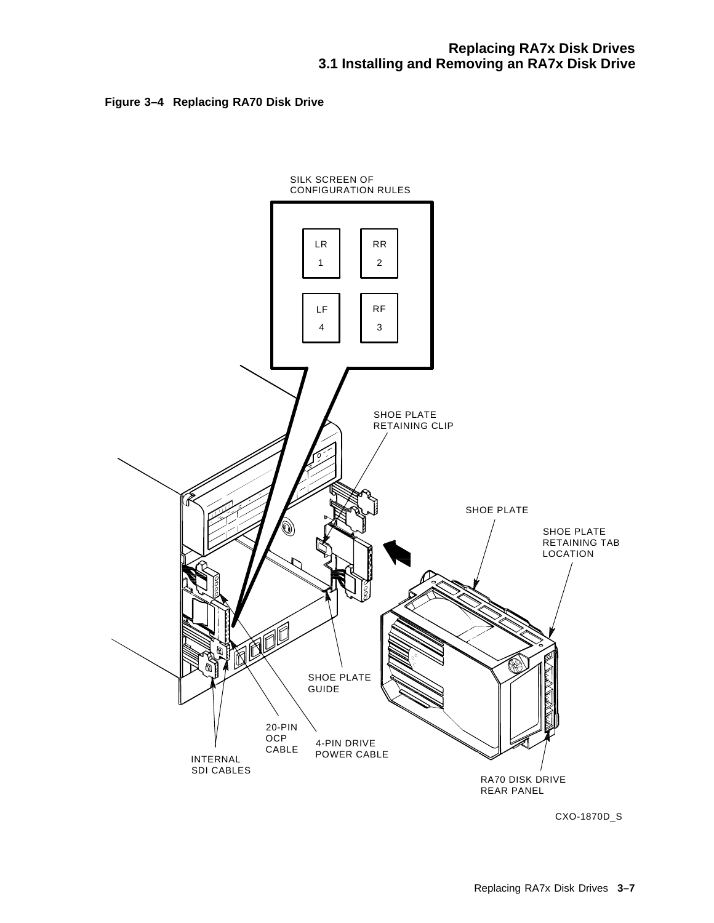



CXO-1870D\_S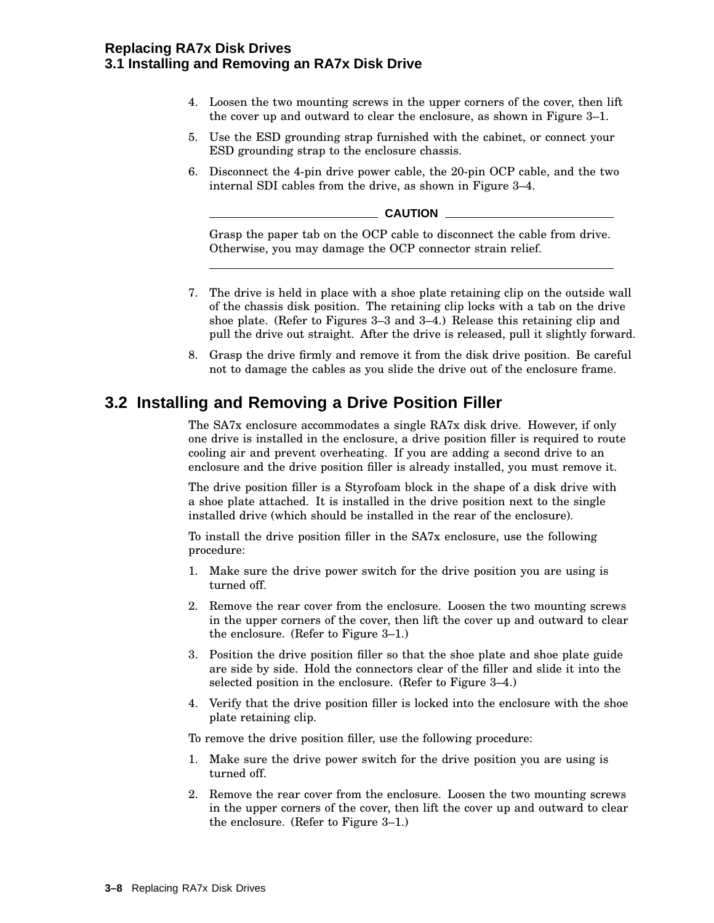#### **Replacing RA7x Disk Drives 3.1 Installing and Removing an RA7x Disk Drive**

- 4. Loosen the two mounting screws in the upper corners of the cover, then lift the cover up and outward to clear the enclosure, as shown in Figure 3–1.
- 5. Use the ESD grounding strap furnished with the cabinet, or connect your ESD grounding strap to the enclosure chassis.
- 6. Disconnect the 4-pin drive power cable, the 20-pin OCP cable, and the two internal SDI cables from the drive, as shown in Figure 3–4.

**CAUTION**

Grasp the paper tab on the OCP cable to disconnect the cable from drive. Otherwise, you may damage the OCP connector strain relief.

- 7. The drive is held in place with a shoe plate retaining clip on the outside wall of the chassis disk position. The retaining clip locks with a tab on the drive shoe plate. (Refer to Figures 3–3 and 3–4.) Release this retaining clip and pull the drive out straight. After the drive is released, pull it slightly forward.
- 8. Grasp the drive firmly and remove it from the disk drive position. Be careful not to damage the cables as you slide the drive out of the enclosure frame.

# **3.2 Installing and Removing a Drive Position Filler**

The SA7x enclosure accommodates a single RA7x disk drive. However, if only one drive is installed in the enclosure, a drive position filler is required to route cooling air and prevent overheating. If you are adding a second drive to an enclosure and the drive position filler is already installed, you must remove it.

The drive position filler is a Styrofoam block in the shape of a disk drive with a shoe plate attached. It is installed in the drive position next to the single installed drive (which should be installed in the rear of the enclosure).

To install the drive position filler in the SA7x enclosure, use the following procedure:

- 1. Make sure the drive power switch for the drive position you are using is turned off.
- 2. Remove the rear cover from the enclosure. Loosen the two mounting screws in the upper corners of the cover, then lift the cover up and outward to clear the enclosure. (Refer to Figure 3–1.)
- 3. Position the drive position filler so that the shoe plate and shoe plate guide are side by side. Hold the connectors clear of the filler and slide it into the selected position in the enclosure. (Refer to Figure 3–4.)
- 4. Verify that the drive position filler is locked into the enclosure with the shoe plate retaining clip.

To remove the drive position filler, use the following procedure:

- 1. Make sure the drive power switch for the drive position you are using is turned off.
- 2. Remove the rear cover from the enclosure. Loosen the two mounting screws in the upper corners of the cover, then lift the cover up and outward to clear the enclosure. (Refer to Figure 3–1.)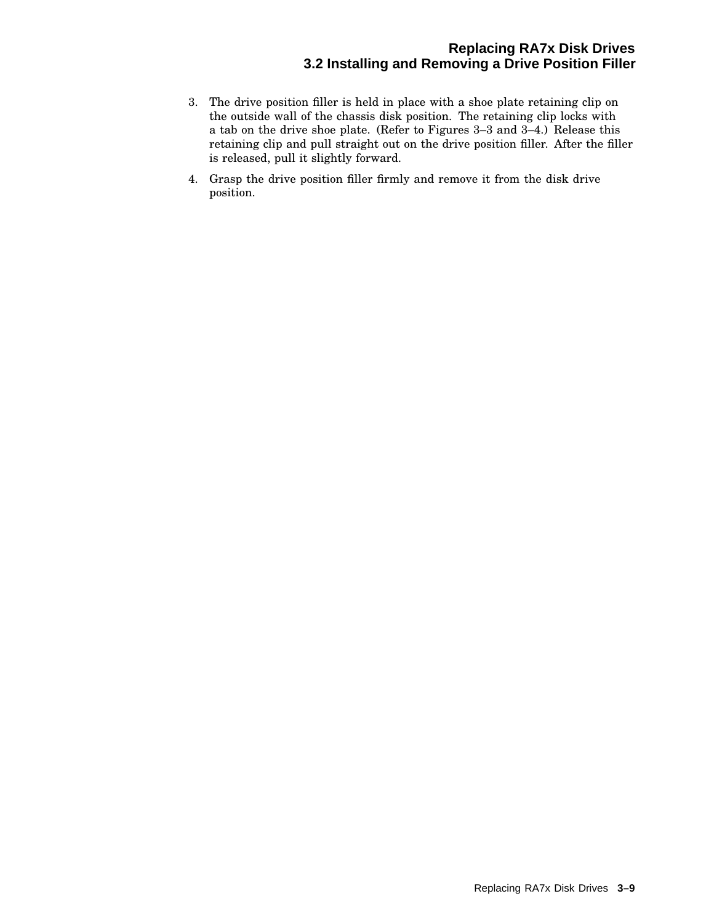- 3. The drive position filler is held in place with a shoe plate retaining clip on the outside wall of the chassis disk position. The retaining clip locks with a tab on the drive shoe plate. (Refer to Figures 3–3 and 3–4.) Release this retaining clip and pull straight out on the drive position filler. After the filler is released, pull it slightly forward.
- 4. Grasp the drive position filler firmly and remove it from the disk drive position.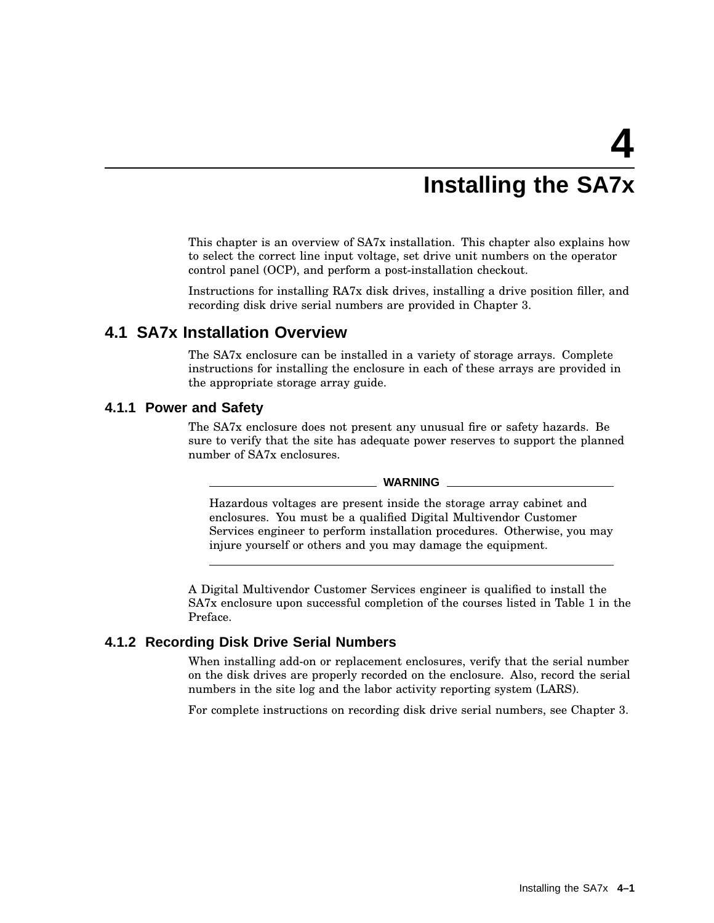## **Installing the SA7x**

This chapter is an overview of SA7x installation. This chapter also explains how to select the correct line input voltage, set drive unit numbers on the operator control panel (OCP), and perform a post-installation checkout.

Instructions for installing RA7x disk drives, installing a drive position filler, and recording disk drive serial numbers are provided in Chapter 3.

## **4.1 SA7x Installation Overview**

The SA7x enclosure can be installed in a variety of storage arrays. Complete instructions for installing the enclosure in each of these arrays are provided in the appropriate storage array guide.

#### **4.1.1 Power and Safety**

The SA7x enclosure does not present any unusual fire or safety hazards. Be sure to verify that the site has adequate power reserves to support the planned number of SA7x enclosures.

**WARNING**

Hazardous voltages are present inside the storage array cabinet and enclosures. You must be a qualified Digital Multivendor Customer Services engineer to perform installation procedures. Otherwise, you may injure yourself or others and you may damage the equipment.

A Digital Multivendor Customer Services engineer is qualified to install the SA7x enclosure upon successful completion of the courses listed in Table 1 in the Preface.

#### **4.1.2 Recording Disk Drive Serial Numbers**

When installing add-on or replacement enclosures, verify that the serial number on the disk drives are properly recorded on the enclosure. Also, record the serial numbers in the site log and the labor activity reporting system (LARS).

For complete instructions on recording disk drive serial numbers, see Chapter 3.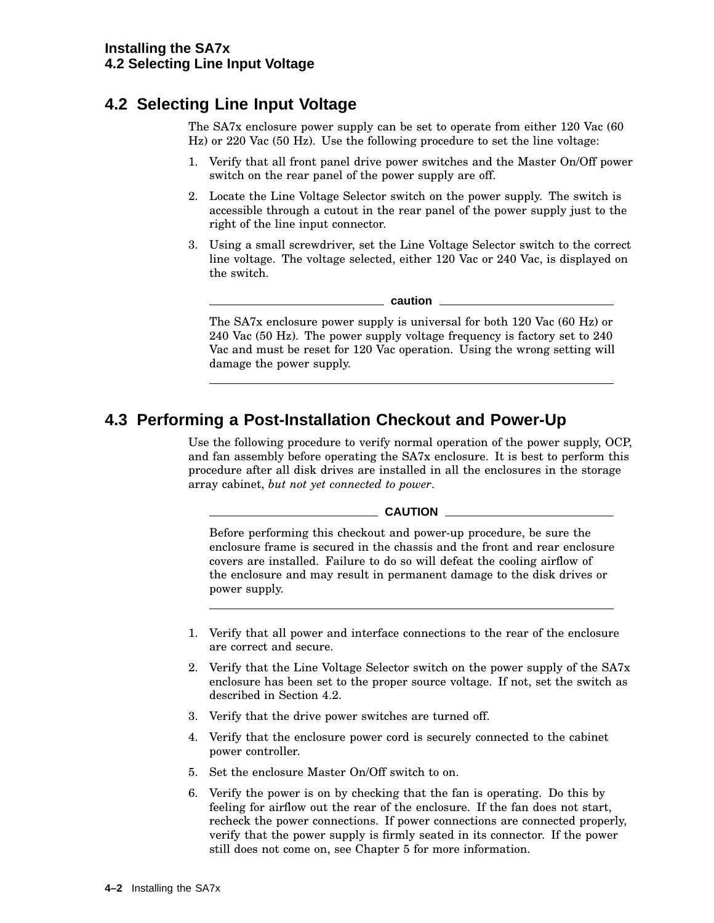## **4.2 Selecting Line Input Voltage**

The SA7x enclosure power supply can be set to operate from either 120 Vac (60 Hz) or 220 Vac (50 Hz). Use the following procedure to set the line voltage:

- 1. Verify that all front panel drive power switches and the Master On/Off power switch on the rear panel of the power supply are off.
- 2. Locate the Line Voltage Selector switch on the power supply. The switch is accessible through a cutout in the rear panel of the power supply just to the right of the line input connector.
- 3. Using a small screwdriver, set the Line Voltage Selector switch to the correct line voltage. The voltage selected, either 120 Vac or 240 Vac, is displayed on the switch.

<u>\_\_\_\_\_\_\_\_\_\_\_\_\_</u>\_ caution \_\_\_\_\_\_\_\_\_\_

The SA7x enclosure power supply is universal for both 120 Vac (60 Hz) or 240 Vac (50 Hz). The power supply voltage frequency is factory set to 240 Vac and must be reset for 120 Vac operation. Using the wrong setting will damage the power supply.

## **4.3 Performing a Post-Installation Checkout and Power-Up**

Use the following procedure to verify normal operation of the power supply, OCP, and fan assembly before operating the SA7x enclosure. It is best to perform this procedure after all disk drives are installed in all the enclosures in the storage array cabinet, *but not yet connected to power*.

\_\_ CAUTION \_\_\_

Before performing this checkout and power-up procedure, be sure the enclosure frame is secured in the chassis and the front and rear enclosure covers are installed. Failure to do so will defeat the cooling airflow of the enclosure and may result in permanent damage to the disk drives or power supply.

- 1. Verify that all power and interface connections to the rear of the enclosure are correct and secure.
- 2. Verify that the Line Voltage Selector switch on the power supply of the SA7x enclosure has been set to the proper source voltage. If not, set the switch as described in Section 4.2.
- 3. Verify that the drive power switches are turned off.
- 4. Verify that the enclosure power cord is securely connected to the cabinet power controller.
- 5. Set the enclosure Master On/Off switch to on.
- 6. Verify the power is on by checking that the fan is operating. Do this by feeling for airflow out the rear of the enclosure. If the fan does not start, recheck the power connections. If power connections are connected properly, verify that the power supply is firmly seated in its connector. If the power still does not come on, see Chapter 5 for more information.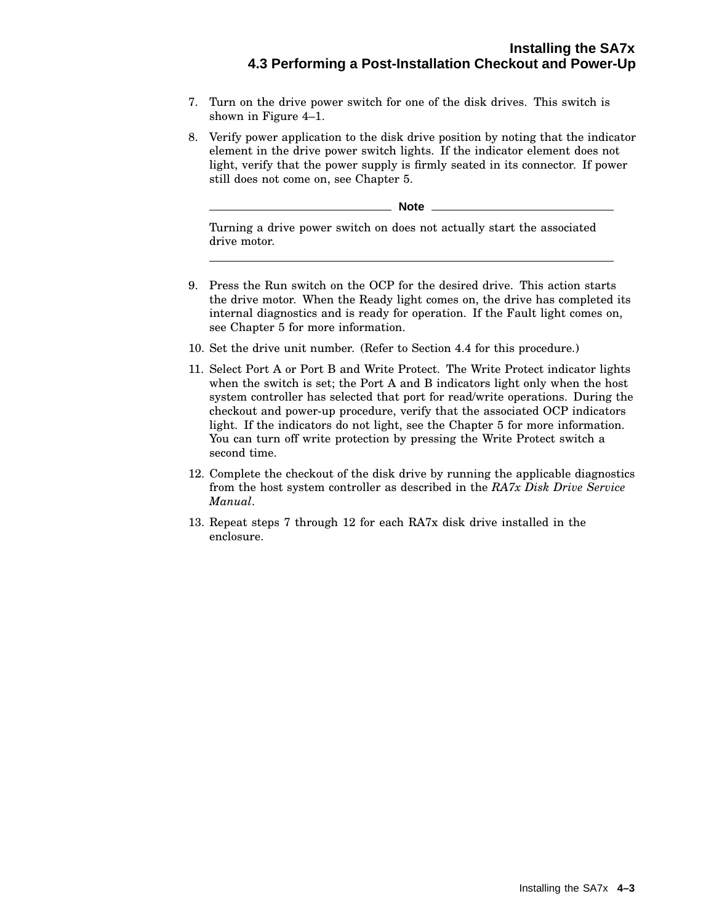- 7. Turn on the drive power switch for one of the disk drives. This switch is shown in Figure 4–1.
- 8. Verify power application to the disk drive position by noting that the indicator element in the drive power switch lights. If the indicator element does not light, verify that the power supply is firmly seated in its connector. If power still does not come on, see Chapter 5.

**Note** \_\_\_\_\_\_\_

Turning a drive power switch on does not actually start the associated drive motor.

- 9. Press the Run switch on the OCP for the desired drive. This action starts the drive motor. When the Ready light comes on, the drive has completed its internal diagnostics and is ready for operation. If the Fault light comes on, see Chapter 5 for more information.
- 10. Set the drive unit number. (Refer to Section 4.4 for this procedure.)
- 11. Select Port A or Port B and Write Protect. The Write Protect indicator lights when the switch is set; the Port A and B indicators light only when the host system controller has selected that port for read/write operations. During the checkout and power-up procedure, verify that the associated OCP indicators light. If the indicators do not light, see the Chapter 5 for more information. You can turn off write protection by pressing the Write Protect switch a second time.
- 12. Complete the checkout of the disk drive by running the applicable diagnostics from the host system controller as described in the *RA7x Disk Drive Service Manual*.
- 13. Repeat steps 7 through 12 for each RA7x disk drive installed in the enclosure.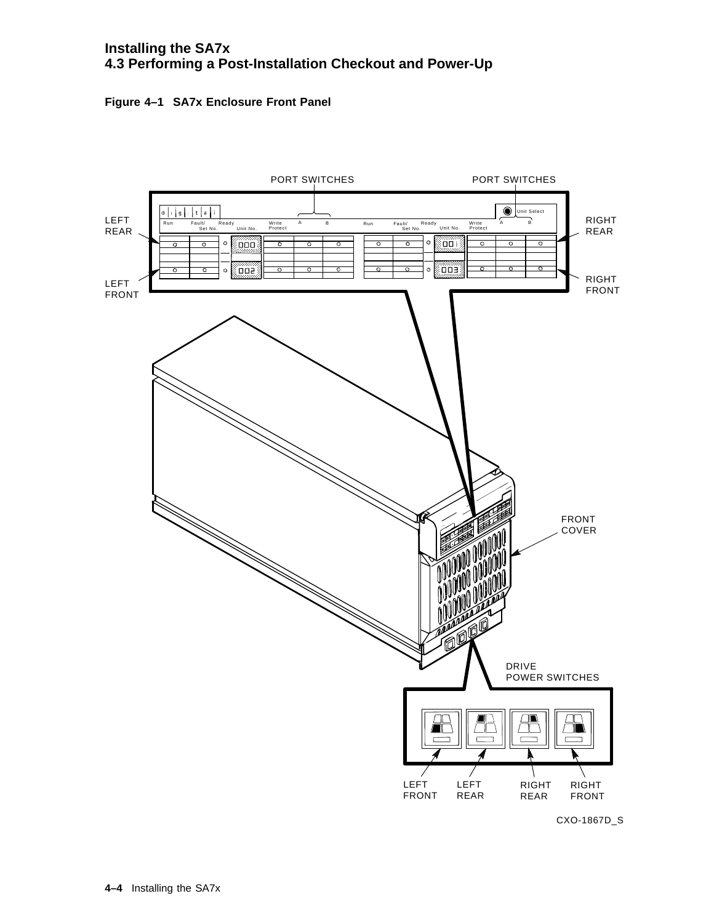#### **Installing the SA7x 4.3 Performing a Post-Installation Checkout and Power-Up**





CXO-1867D\_S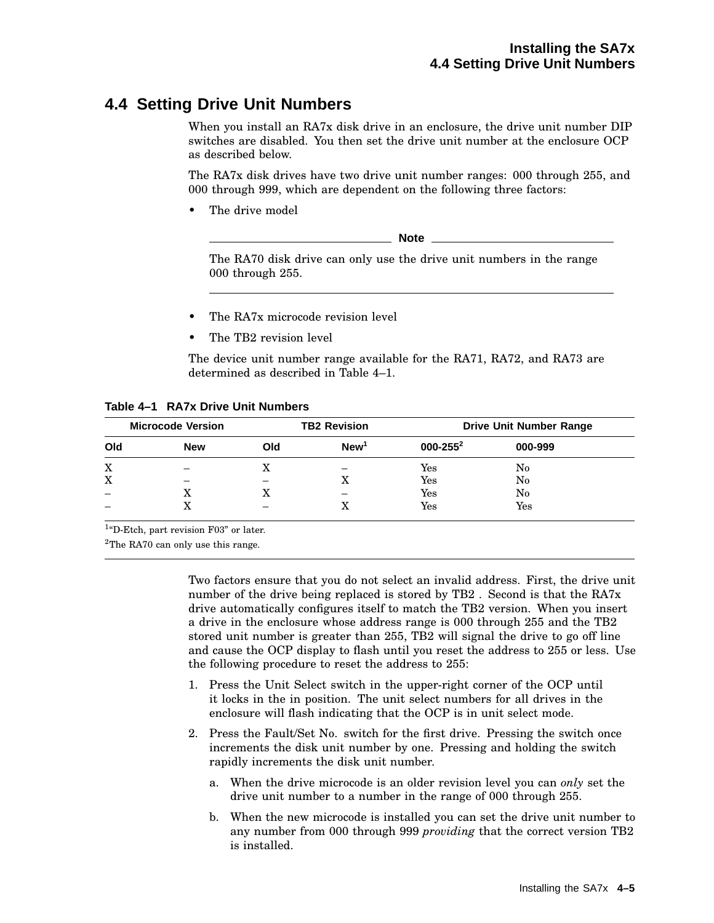## **4.4 Setting Drive Unit Numbers**

When you install an RA7x disk drive in an enclosure, the drive unit number DIP switches are disabled. You then set the drive unit number at the enclosure OCP as described below.

The RA7x disk drives have two drive unit number ranges: 000 through 255, and 000 through 999, which are dependent on the following three factors:

The drive model

**Note**

The RA70 disk drive can only use the drive unit numbers in the range 000 through 255.

- The RA7x microcode revision level
- The TB2 revision level

The device unit number range available for the RA71, RA72, and RA73 are determined as described in Table 4–1.

**Table 4–1 RA7x Drive Unit Numbers**

| <b>Microcode Version</b> |            | <b>TB2 Revision</b> |                  | <b>Drive Unit Number Range</b> |         |
|--------------------------|------------|---------------------|------------------|--------------------------------|---------|
| Old                      | <b>New</b> | Old                 | New <sup>1</sup> | $000 - 255^2$                  | 000-999 |
| X                        |            |                     |                  | Yes                            | No      |
| X                        |            |                     |                  | $\operatorname{Yes}$           | No      |
| $\overline{\phantom{0}}$ |            |                     |                  | $\operatorname{Yes}$           | No      |
|                          |            |                     |                  | Yes                            | Yes     |

<sup>1</sup>"D-Etch, part revision F03" or later.

<sup>2</sup>The RA70 can only use this range.

Two factors ensure that you do not select an invalid address. First, the drive unit number of the drive being replaced is stored by TB2 . Second is that the RA7x drive automatically configures itself to match the TB2 version. When you insert a drive in the enclosure whose address range is 000 through 255 and the TB2 stored unit number is greater than 255, TB2 will signal the drive to go off line and cause the OCP display to flash until you reset the address to 255 or less. Use the following procedure to reset the address to 255:

- 1. Press the Unit Select switch in the upper-right corner of the OCP until it locks in the in position. The unit select numbers for all drives in the enclosure will flash indicating that the OCP is in unit select mode.
- 2. Press the Fault/Set No. switch for the first drive. Pressing the switch once increments the disk unit number by one. Pressing and holding the switch rapidly increments the disk unit number.
	- a. When the drive microcode is an older revision level you can *only* set the drive unit number to a number in the range of 000 through 255.
	- b. When the new microcode is installed you can set the drive unit number to any number from 000 through 999 *providing* that the correct version TB2 is installed.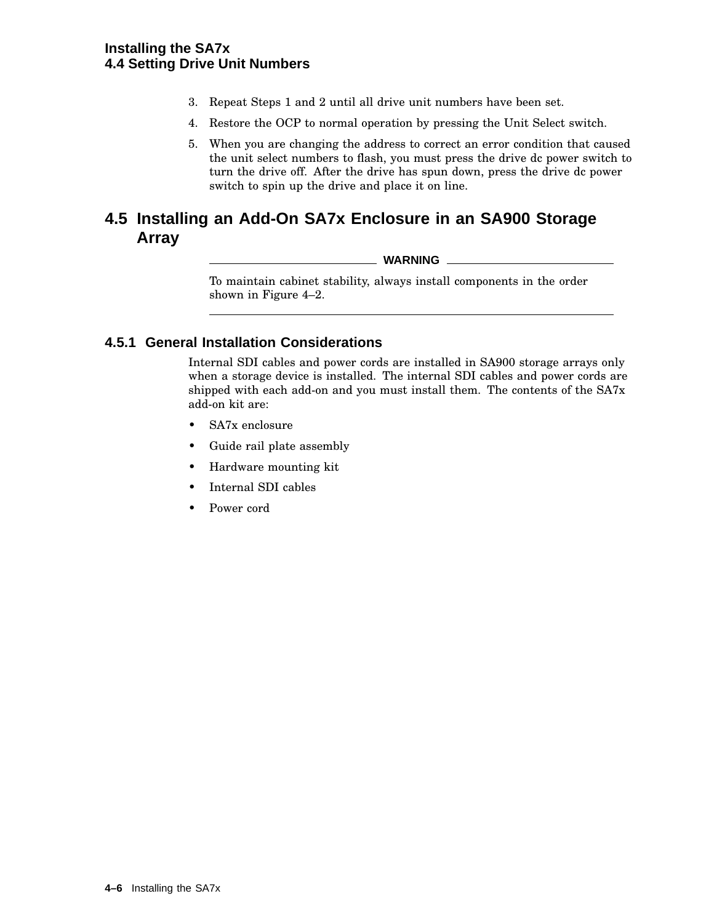- 3. Repeat Steps 1 and 2 until all drive unit numbers have been set.
- 4. Restore the OCP to normal operation by pressing the Unit Select switch.
- 5. When you are changing the address to correct an error condition that caused the unit select numbers to flash, you must press the drive dc power switch to turn the drive off. After the drive has spun down, press the drive dc power switch to spin up the drive and place it on line.

## **4.5 Installing an Add-On SA7x Enclosure in an SA900 Storage Array**

**WARNING**

To maintain cabinet stability, always install components in the order shown in Figure 4–2.

#### **4.5.1 General Installation Considerations**

Internal SDI cables and power cords are installed in SA900 storage arrays only when a storage device is installed. The internal SDI cables and power cords are shipped with each add-on and you must install them. The contents of the SA7x add-on kit are:

- SA7x enclosure
- Guide rail plate assembly
- Hardware mounting kit
- Internal SDI cables
- Power cord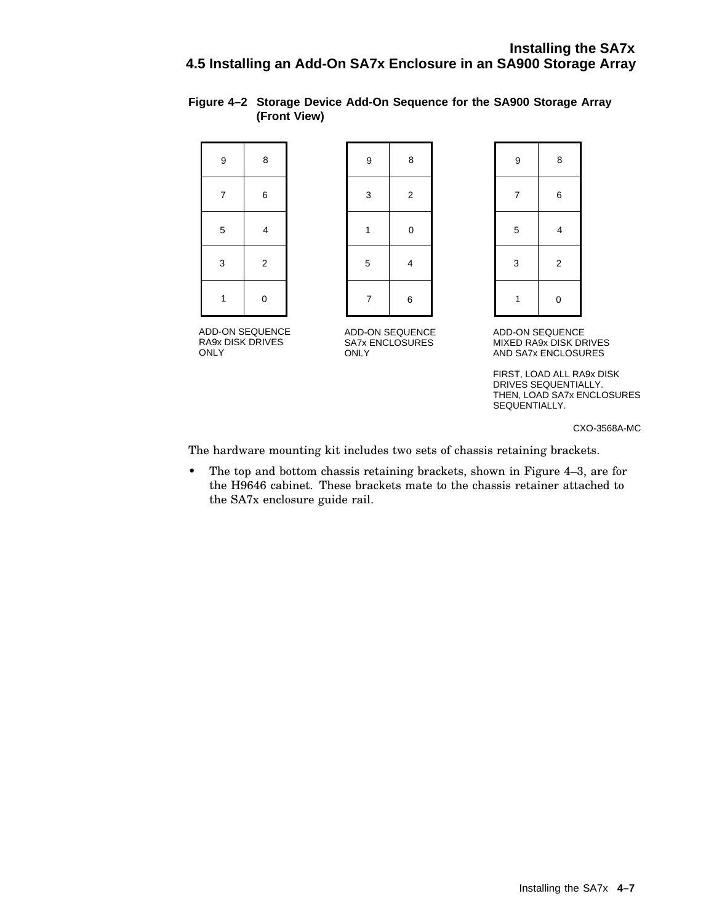#### **Figure 4–2 Storage Device Add-On Sequence for the SA900 Storage Array (Front View)**



ADD-ON SEQUENCE RA9x DISK DRIVES ONLY



ADD-ON SEQUENCE SA7x ENCLOSURES **ONLY** 



ADD-ON SEQUENCE MIXED RA9x DISK DRIVES AND SA7x ENCLOSURES

FIRST, LOAD ALL RA9x DISK DRIVES SEQUENTIALLY. THEN, LOAD SA7x ENCLOSURES SEQUENTIALLY.

CXO-3568A-MC

The hardware mounting kit includes two sets of chassis retaining brackets.

• The top and bottom chassis retaining brackets, shown in Figure 4–3, are for the H9646 cabinet. These brackets mate to the chassis retainer attached to the SA7x enclosure guide rail.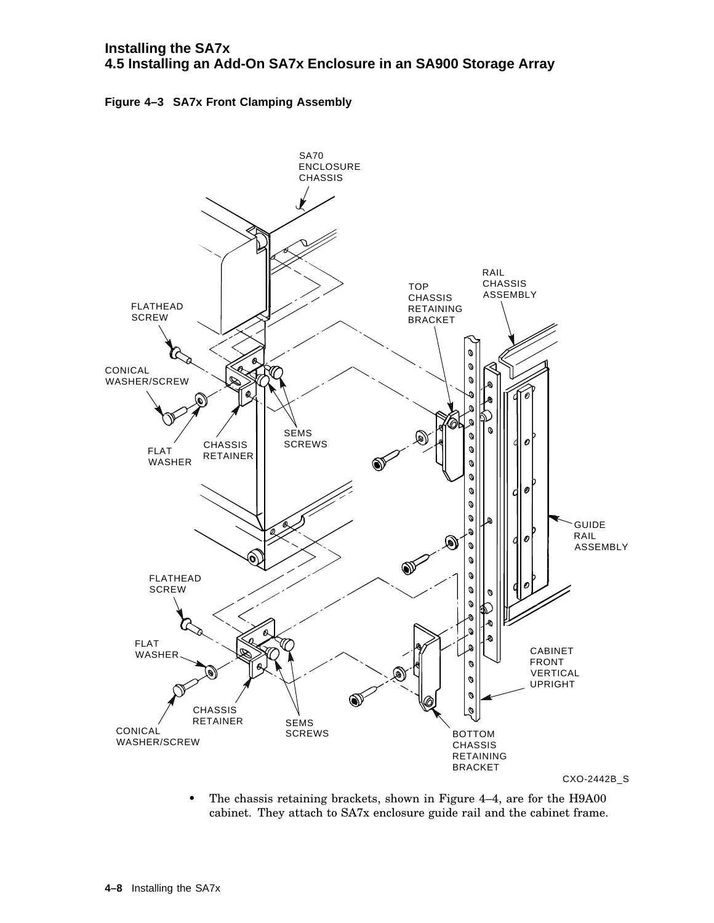



• The chassis retaining brackets, shown in Figure 4–4, are for the H9A00 cabinet. They attach to SA7x enclosure guide rail and the cabinet frame.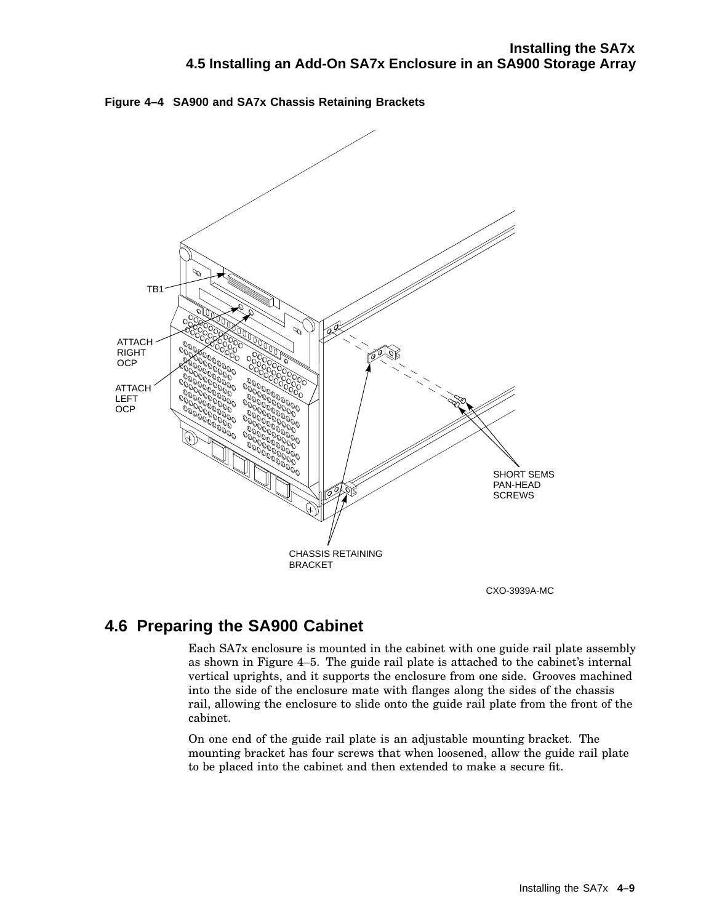



## **4.6 Preparing the SA900 Cabinet**

Each SA7x enclosure is mounted in the cabinet with one guide rail plate assembly as shown in Figure 4–5. The guide rail plate is attached to the cabinet's internal vertical uprights, and it supports the enclosure from one side. Grooves machined into the side of the enclosure mate with flanges along the sides of the chassis rail, allowing the enclosure to slide onto the guide rail plate from the front of the cabinet.

On one end of the guide rail plate is an adjustable mounting bracket. The mounting bracket has four screws that when loosened, allow the guide rail plate to be placed into the cabinet and then extended to make a secure fit.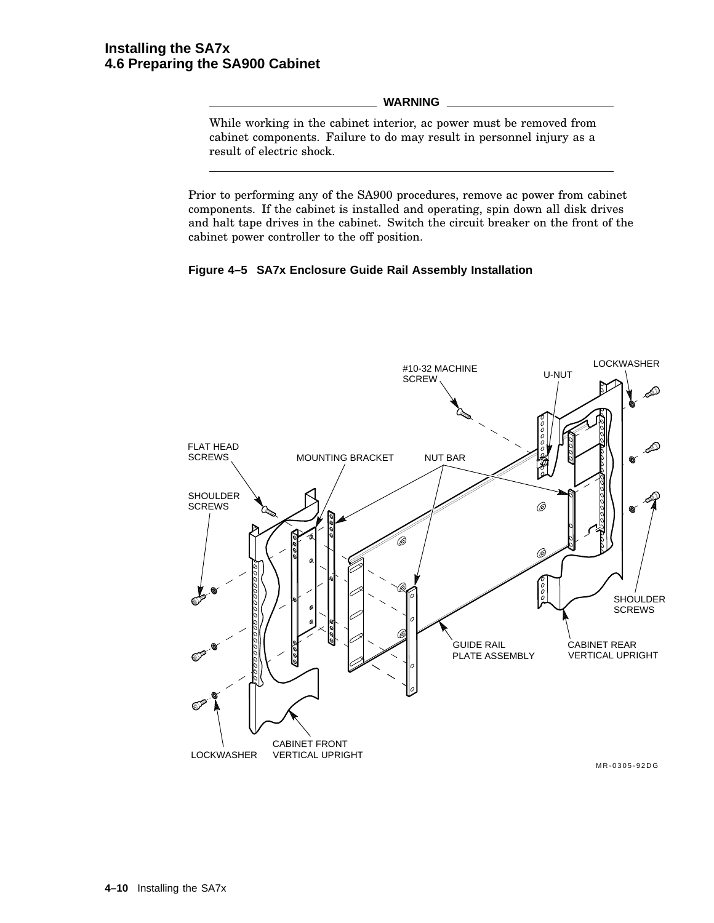#### **WARNING**

While working in the cabinet interior, ac power must be removed from cabinet components. Failure to do may result in personnel injury as a result of electric shock.

Prior to performing any of the SA900 procedures, remove ac power from cabinet components. If the cabinet is installed and operating, spin down all disk drives and halt tape drives in the cabinet. Switch the circuit breaker on the front of the cabinet power controller to the off position.

#### **Figure 4–5 SA7x Enclosure Guide Rail Assembly Installation**



MR-0305-92DG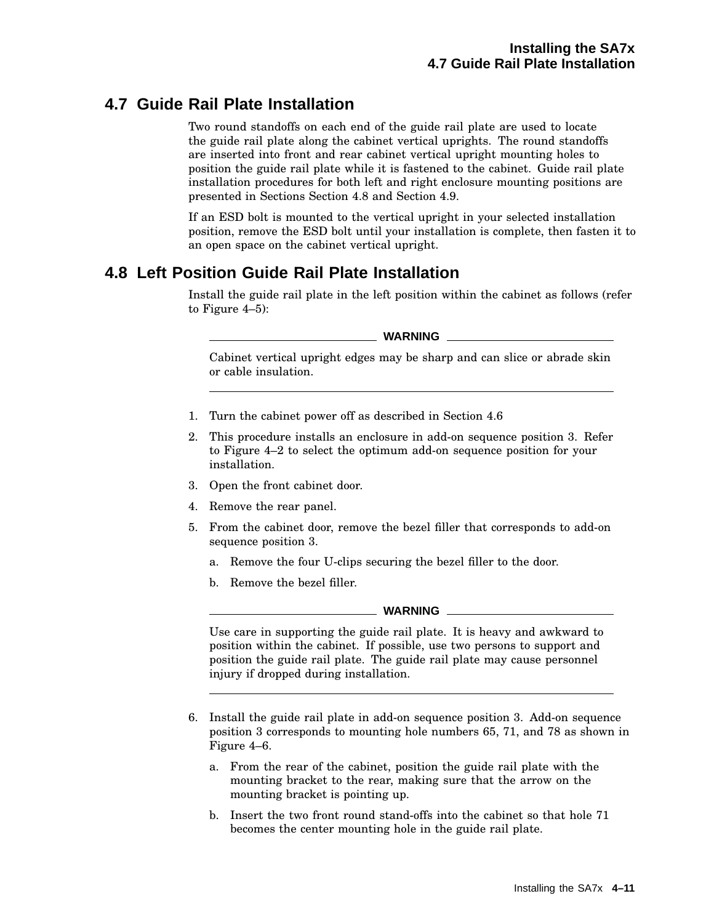## **4.7 Guide Rail Plate Installation**

Two round standoffs on each end of the guide rail plate are used to locate the guide rail plate along the cabinet vertical uprights. The round standoffs are inserted into front and rear cabinet vertical upright mounting holes to position the guide rail plate while it is fastened to the cabinet. Guide rail plate installation procedures for both left and right enclosure mounting positions are presented in Sections Section 4.8 and Section 4.9.

If an ESD bolt is mounted to the vertical upright in your selected installation position, remove the ESD bolt until your installation is complete, then fasten it to an open space on the cabinet vertical upright.

## **4.8 Left Position Guide Rail Plate Installation**

Install the guide rail plate in the left position within the cabinet as follows (refer to Figure 4–5):

**WARNING**

Cabinet vertical upright edges may be sharp and can slice or abrade skin or cable insulation.

- 1. Turn the cabinet power off as described in Section 4.6
- 2. This procedure installs an enclosure in add-on sequence position 3. Refer to Figure 4–2 to select the optimum add-on sequence position for your installation.
- 3. Open the front cabinet door.
- 4. Remove the rear panel.
- 5. From the cabinet door, remove the bezel filler that corresponds to add-on sequence position 3.
	- a. Remove the four U-clips securing the bezel filler to the door.
	- b. Remove the bezel filler.

#### **WARNING**

Use care in supporting the guide rail plate. It is heavy and awkward to position within the cabinet. If possible, use two persons to support and position the guide rail plate. The guide rail plate may cause personnel injury if dropped during installation.

- 6. Install the guide rail plate in add-on sequence position 3. Add-on sequence position 3 corresponds to mounting hole numbers 65, 71, and 78 as shown in Figure 4–6.
	- a. From the rear of the cabinet, position the guide rail plate with the mounting bracket to the rear, making sure that the arrow on the mounting bracket is pointing up.
	- b. Insert the two front round stand-offs into the cabinet so that hole 71 becomes the center mounting hole in the guide rail plate.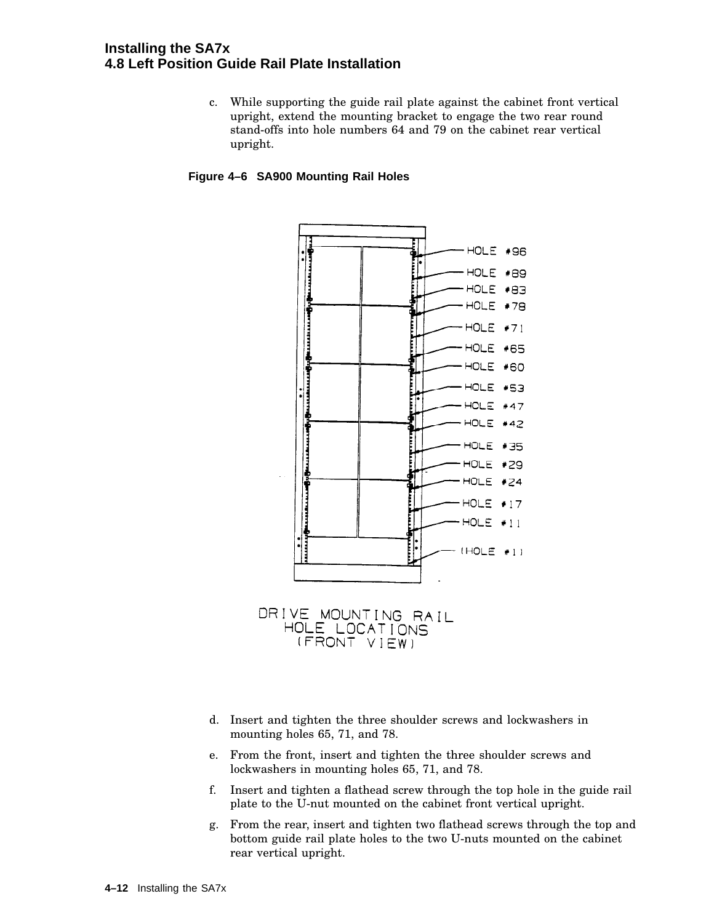#### **Installing the SA7x 4.8 Left Position Guide Rail Plate Installation**

c. While supporting the guide rail plate against the cabinet front vertical upright, extend the mounting bracket to engage the two rear round stand-offs into hole numbers 64 and 79 on the cabinet rear vertical upright.

#### **Figure 4–6 SA900 Mounting Rail Holes**



DRIVE MOUNTING RAIL HOLE LOCATIONS (FRONT VIEW)

- d. Insert and tighten the three shoulder screws and lockwashers in mounting holes 65, 71, and 78.
- e. From the front, insert and tighten the three shoulder screws and lockwashers in mounting holes 65, 71, and 78.
- f. Insert and tighten a flathead screw through the top hole in the guide rail plate to the U-nut mounted on the cabinet front vertical upright.
- g. From the rear, insert and tighten two flathead screws through the top and bottom guide rail plate holes to the two U-nuts mounted on the cabinet rear vertical upright.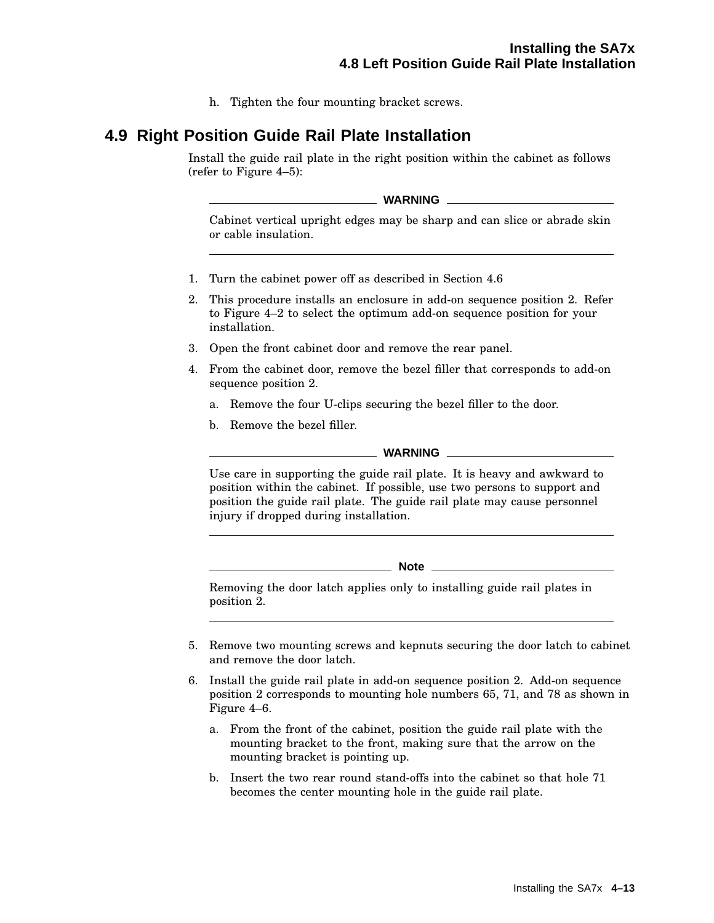h. Tighten the four mounting bracket screws.

### **4.9 Right Position Guide Rail Plate Installation**

Install the guide rail plate in the right position within the cabinet as follows (refer to Figure 4–5):

**WARNING**

Cabinet vertical upright edges may be sharp and can slice or abrade skin or cable insulation.

- 1. Turn the cabinet power off as described in Section 4.6
- 2. This procedure installs an enclosure in add-on sequence position 2. Refer to Figure 4–2 to select the optimum add-on sequence position for your installation.
- 3. Open the front cabinet door and remove the rear panel.
- 4. From the cabinet door, remove the bezel filler that corresponds to add-on sequence position 2.
	- a. Remove the four U-clips securing the bezel filler to the door.
	- b. Remove the bezel filler.

#### **WARNING**

Use care in supporting the guide rail plate. It is heavy and awkward to position within the cabinet. If possible, use two persons to support and position the guide rail plate. The guide rail plate may cause personnel injury if dropped during installation.

**Note**

Removing the door latch applies only to installing guide rail plates in position 2.

- 5. Remove two mounting screws and kepnuts securing the door latch to cabinet and remove the door latch.
- 6. Install the guide rail plate in add-on sequence position 2. Add-on sequence position 2 corresponds to mounting hole numbers 65, 71, and 78 as shown in Figure 4–6.
	- a. From the front of the cabinet, position the guide rail plate with the mounting bracket to the front, making sure that the arrow on the mounting bracket is pointing up.
	- b. Insert the two rear round stand-offs into the cabinet so that hole 71 becomes the center mounting hole in the guide rail plate.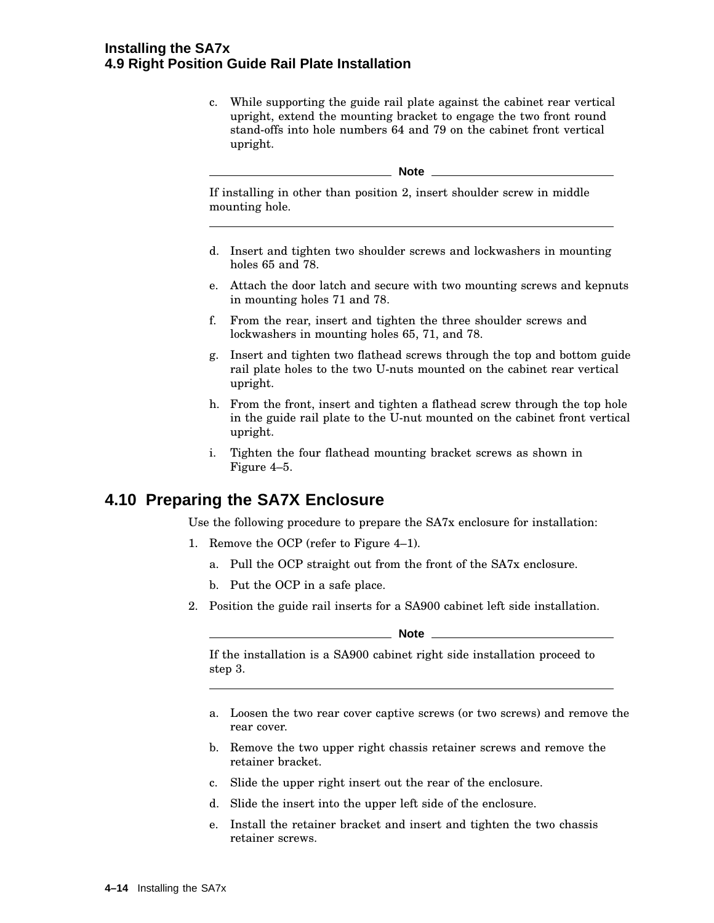#### **Installing the SA7x 4.9 Right Position Guide Rail Plate Installation**

c. While supporting the guide rail plate against the cabinet rear vertical upright, extend the mounting bracket to engage the two front round stand-offs into hole numbers 64 and 79 on the cabinet front vertical upright.

**Note Note** 

If installing in other than position 2, insert shoulder screw in middle mounting hole.

- d. Insert and tighten two shoulder screws and lockwashers in mounting holes 65 and 78.
- e. Attach the door latch and secure with two mounting screws and kepnuts in mounting holes 71 and 78.
- f. From the rear, insert and tighten the three shoulder screws and lockwashers in mounting holes 65, 71, and 78.
- g. Insert and tighten two flathead screws through the top and bottom guide rail plate holes to the two U-nuts mounted on the cabinet rear vertical upright.
- h. From the front, insert and tighten a flathead screw through the top hole in the guide rail plate to the U-nut mounted on the cabinet front vertical upright.
- i. Tighten the four flathead mounting bracket screws as shown in Figure 4–5.

## **4.10 Preparing the SA7X Enclosure**

Use the following procedure to prepare the SA7x enclosure for installation:

- 1. Remove the OCP (refer to Figure 4–1).
	- a. Pull the OCP straight out from the front of the SA7x enclosure.
	- b. Put the OCP in a safe place.
- 2. Position the guide rail inserts for a SA900 cabinet left side installation.

**Note**

If the installation is a SA900 cabinet right side installation proceed to step 3.

- a. Loosen the two rear cover captive screws (or two screws) and remove the rear cover.
- b. Remove the two upper right chassis retainer screws and remove the retainer bracket.
- c. Slide the upper right insert out the rear of the enclosure.
- d. Slide the insert into the upper left side of the enclosure.
- e. Install the retainer bracket and insert and tighten the two chassis retainer screws.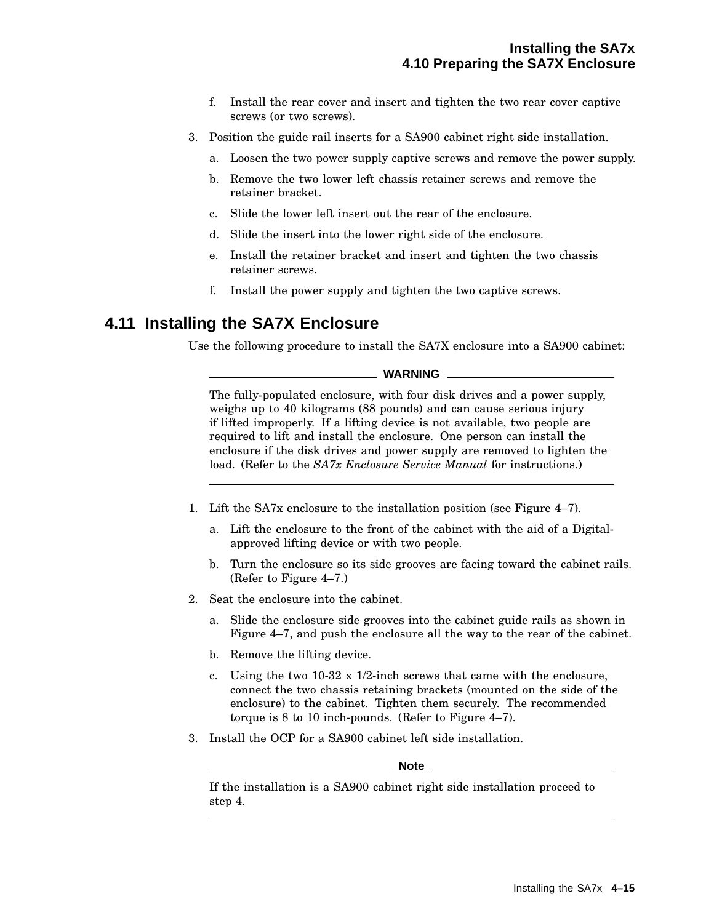- f. Install the rear cover and insert and tighten the two rear cover captive screws (or two screws).
- 3. Position the guide rail inserts for a SA900 cabinet right side installation.
	- a. Loosen the two power supply captive screws and remove the power supply.
	- b. Remove the two lower left chassis retainer screws and remove the retainer bracket.
	- c. Slide the lower left insert out the rear of the enclosure.
	- d. Slide the insert into the lower right side of the enclosure.
	- e. Install the retainer bracket and insert and tighten the two chassis retainer screws.
	- f. Install the power supply and tighten the two captive screws.

### **4.11 Installing the SA7X Enclosure**

Use the following procedure to install the SA7X enclosure into a SA900 cabinet:

#### **WARNING**

The fully-populated enclosure, with four disk drives and a power supply, weighs up to 40 kilograms (88 pounds) and can cause serious injury if lifted improperly. If a lifting device is not available, two people are required to lift and install the enclosure. One person can install the enclosure if the disk drives and power supply are removed to lighten the load. (Refer to the *SA7x Enclosure Service Manual* for instructions.)

- 1. Lift the SA7x enclosure to the installation position (see Figure 4–7).
	- a. Lift the enclosure to the front of the cabinet with the aid of a Digitalapproved lifting device or with two people.
	- b. Turn the enclosure so its side grooves are facing toward the cabinet rails. (Refer to Figure 4–7.)
- 2. Seat the enclosure into the cabinet.
	- a. Slide the enclosure side grooves into the cabinet guide rails as shown in Figure 4–7, and push the enclosure all the way to the rear of the cabinet.
	- b. Remove the lifting device.
	- c. Using the two 10-32 x 1/2-inch screws that came with the enclosure, connect the two chassis retaining brackets (mounted on the side of the enclosure) to the cabinet. Tighten them securely. The recommended torque is 8 to 10 inch-pounds. (Refer to Figure 4–7).
- 3. Install the OCP for a SA900 cabinet left side installation.

#### **Note**

If the installation is a SA900 cabinet right side installation proceed to step 4.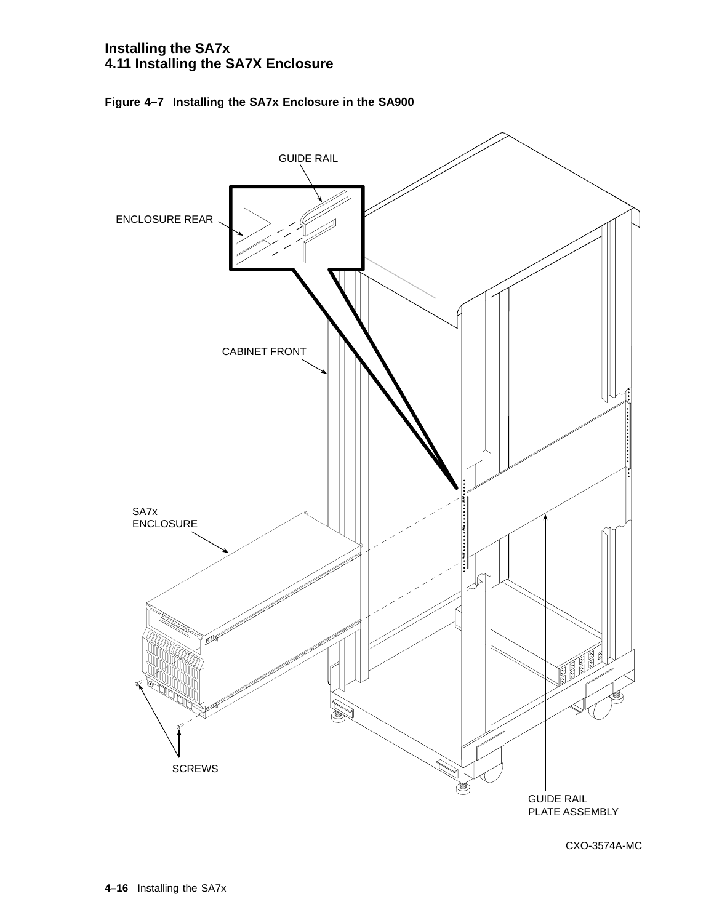#### **Installing the SA7x 4.11 Installing the SA7X Enclosure**





CXO-3574A-MC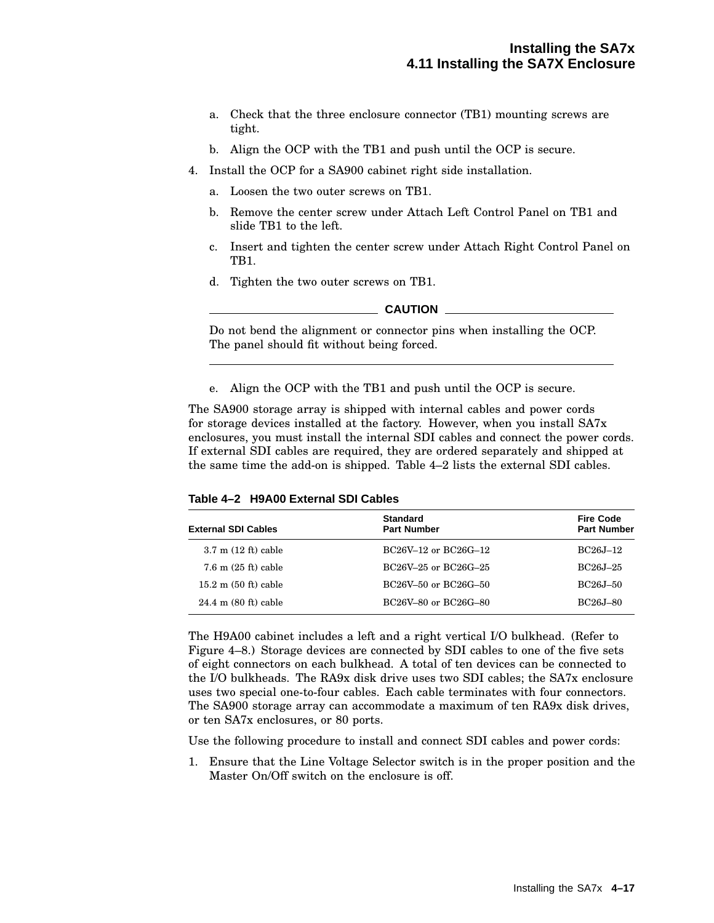- a. Check that the three enclosure connector (TB1) mounting screws are tight.
- b. Align the OCP with the TB1 and push until the OCP is secure.
- 4. Install the OCP for a SA900 cabinet right side installation.
	- a. Loosen the two outer screws on TB1.
	- b. Remove the center screw under Attach Left Control Panel on TB1 and slide TB1 to the left.
	- c. Insert and tighten the center screw under Attach Right Control Panel on TB1.
	- d. Tighten the two outer screws on TB1.

**CAUTION**

Do not bend the alignment or connector pins when installing the OCP. The panel should fit without being forced.

e. Align the OCP with the TB1 and push until the OCP is secure.

The SA900 storage array is shipped with internal cables and power cords for storage devices installed at the factory. However, when you install SA7x enclosures, you must install the internal SDI cables and connect the power cords. If external SDI cables are required, they are ordered separately and shipped at the same time the add-on is shipped. Table 4–2 lists the external SDI cables.

**Table 4–2 H9A00 External SDI Cables**

| <b>External SDI Cables</b>     | <b>Standard</b><br><b>Part Number</b> | <b>Fire Code</b><br><b>Part Number</b> |  |
|--------------------------------|---------------------------------------|----------------------------------------|--|
| $3.7 \text{ m}$ (12 ft) cable  | BC26V-12 or BC26G-12                  | BC <sub>26</sub> J <sub>-12</sub>      |  |
| $7.6 \text{ m}$ (25 ft) cable  | BC26V-25 or BC26G-25                  | BC <sub>26</sub> J <sub>-25</sub>      |  |
| $15.2 \text{ m}$ (50 ft) cable | BC26V-50 or BC26G-50                  | BC26J-50                               |  |
| $24.4 \text{ m}$ (80 ft) cable | BC26V-80 or BC26G-80                  | BC26J-80                               |  |
|                                |                                       |                                        |  |

The H9A00 cabinet includes a left and a right vertical I/O bulkhead. (Refer to Figure 4–8.) Storage devices are connected by SDI cables to one of the five sets of eight connectors on each bulkhead. A total of ten devices can be connected to the I/O bulkheads. The RA9x disk drive uses two SDI cables; the SA7x enclosure uses two special one-to-four cables. Each cable terminates with four connectors. The SA900 storage array can accommodate a maximum of ten RA9x disk drives, or ten SA7x enclosures, or 80 ports.

Use the following procedure to install and connect SDI cables and power cords:

1. Ensure that the Line Voltage Selector switch is in the proper position and the Master On/Off switch on the enclosure is off.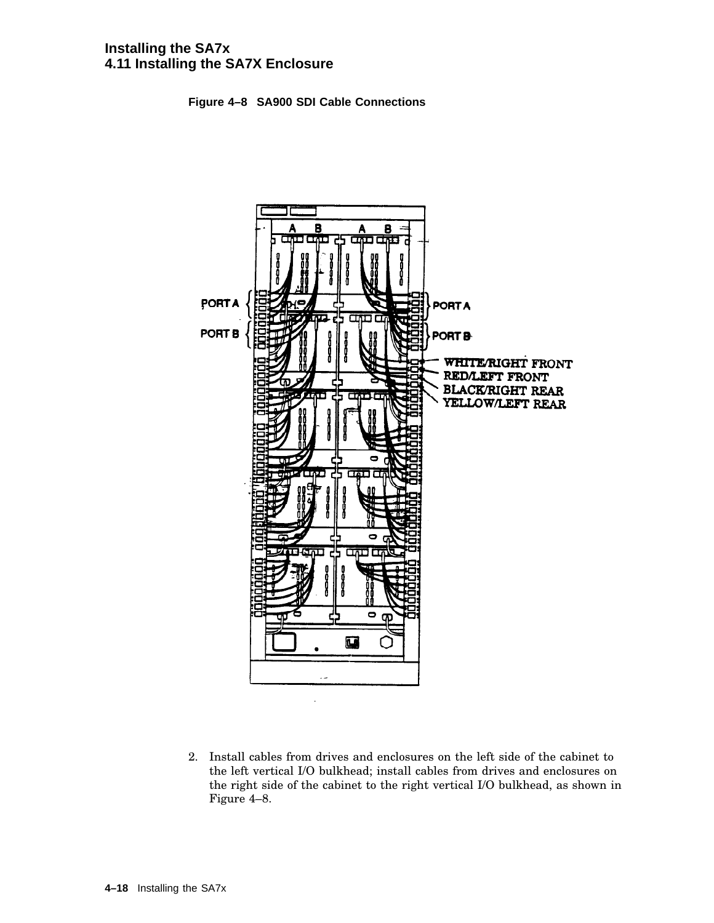



2. Install cables from drives and enclosures on the left side of the cabinet to the left vertical I/O bulkhead; install cables from drives and enclosures on the right side of the cabinet to the right vertical I/O bulkhead, as shown in Figure 4–8.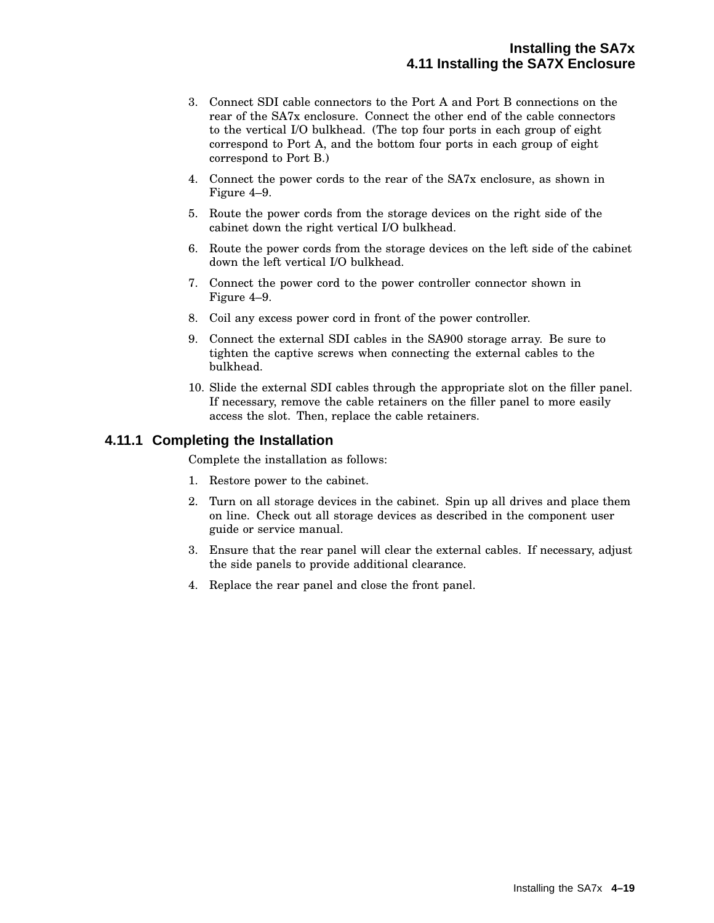- 3. Connect SDI cable connectors to the Port A and Port B connections on the rear of the SA7x enclosure. Connect the other end of the cable connectors to the vertical I/O bulkhead. (The top four ports in each group of eight correspond to Port A, and the bottom four ports in each group of eight correspond to Port B.)
- 4. Connect the power cords to the rear of the SA7x enclosure, as shown in Figure 4–9.
- 5. Route the power cords from the storage devices on the right side of the cabinet down the right vertical I/O bulkhead.
- 6. Route the power cords from the storage devices on the left side of the cabinet down the left vertical I/O bulkhead.
- 7. Connect the power cord to the power controller connector shown in Figure 4–9.
- 8. Coil any excess power cord in front of the power controller.
- 9. Connect the external SDI cables in the SA900 storage array. Be sure to tighten the captive screws when connecting the external cables to the bulkhead.
- 10. Slide the external SDI cables through the appropriate slot on the filler panel. If necessary, remove the cable retainers on the filler panel to more easily access the slot. Then, replace the cable retainers.

#### **4.11.1 Completing the Installation**

Complete the installation as follows:

- 1. Restore power to the cabinet.
- 2. Turn on all storage devices in the cabinet. Spin up all drives and place them on line. Check out all storage devices as described in the component user guide or service manual.
- 3. Ensure that the rear panel will clear the external cables. If necessary, adjust the side panels to provide additional clearance.
- 4. Replace the rear panel and close the front panel.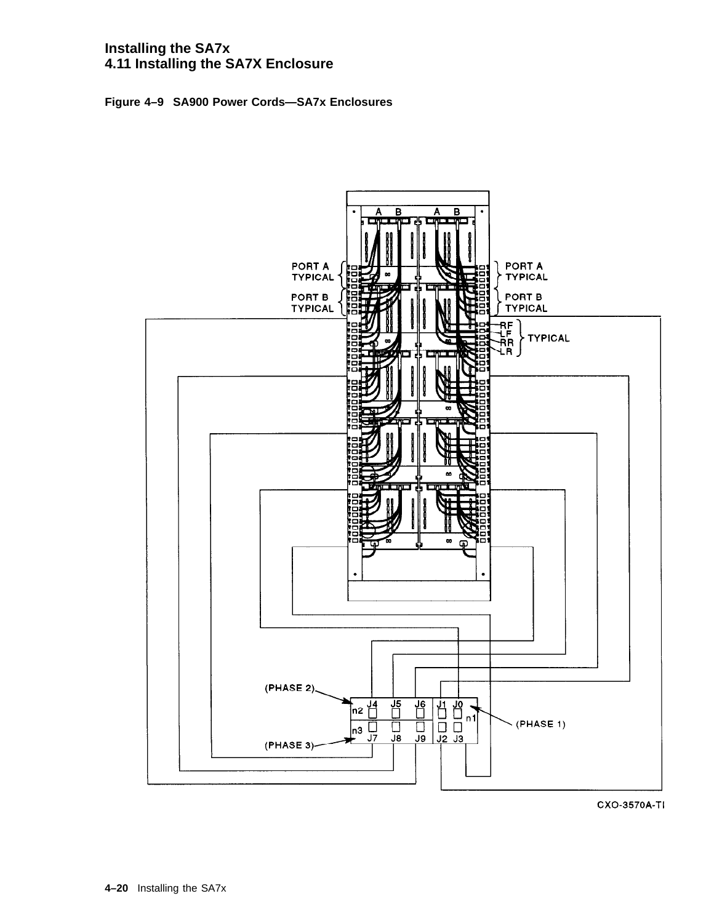#### **Installing the SA7x 4.11 Installing the SA7X Enclosure**





CXO-3570A-TI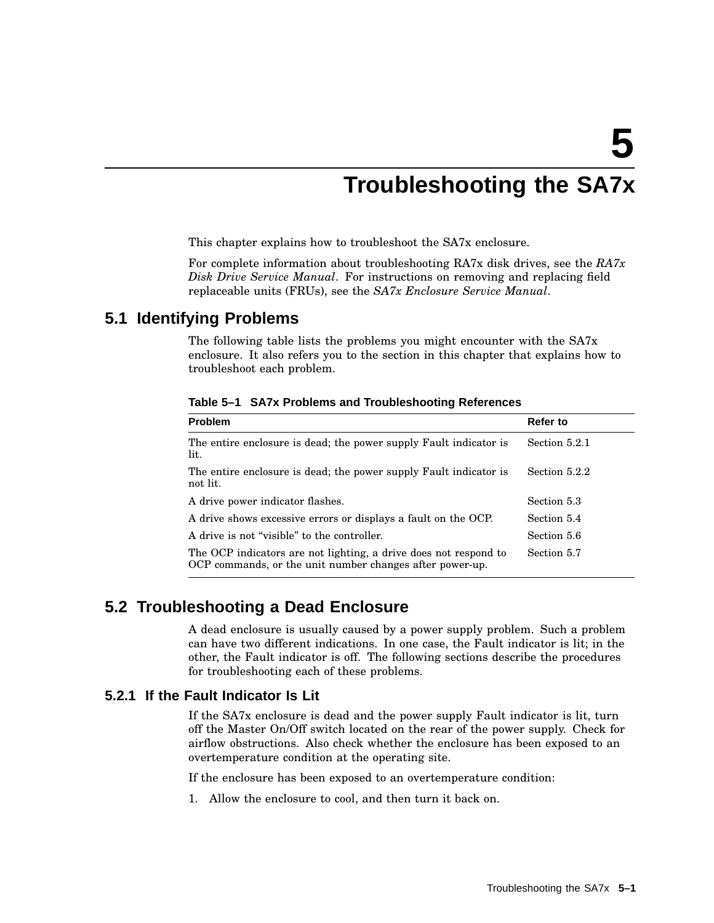## **Troubleshooting the SA7x**

This chapter explains how to troubleshoot the SA7x enclosure.

For complete information about troubleshooting RA7x disk drives, see the *RA7x Disk Drive Service Manual*. For instructions on removing and replacing field replaceable units (FRUs), see the *SA7x Enclosure Service Manual*.

## **5.1 Identifying Problems**

The following table lists the problems you might encounter with the SA7x enclosure. It also refers you to the section in this chapter that explains how to troubleshoot each problem.

| <b>Problem</b>                                                                                                               | Refer to      |
|------------------------------------------------------------------------------------------------------------------------------|---------------|
| The entire enclosure is dead; the power supply Fault indicator is<br>lit.                                                    | Section 5.2.1 |
| The entire enclosure is dead; the power supply Fault indicator is<br>not lit.                                                | Section 5.2.2 |
| A drive power indicator flashes.                                                                                             | Section 5.3   |
| A drive shows excessive errors or displays a fault on the OCP.                                                               | Section 5.4   |
| A drive is not "visible" to the controller.                                                                                  | Section 5.6   |
| The OCP indicators are not lighting, a drive does not respond to<br>OCP commands, or the unit number changes after power-up. | Section 5.7   |

**Table 5–1 SA7x Problems and Troubleshooting References**

## **5.2 Troubleshooting a Dead Enclosure**

A dead enclosure is usually caused by a power supply problem. Such a problem can have two different indications. In one case, the Fault indicator is lit; in the other, the Fault indicator is off. The following sections describe the procedures for troubleshooting each of these problems.

### **5.2.1 If the Fault Indicator Is Lit**

If the SA7x enclosure is dead and the power supply Fault indicator is lit, turn off the Master On/Off switch located on the rear of the power supply. Check for airflow obstructions. Also check whether the enclosure has been exposed to an overtemperature condition at the operating site.

If the enclosure has been exposed to an overtemperature condition:

1. Allow the enclosure to cool, and then turn it back on.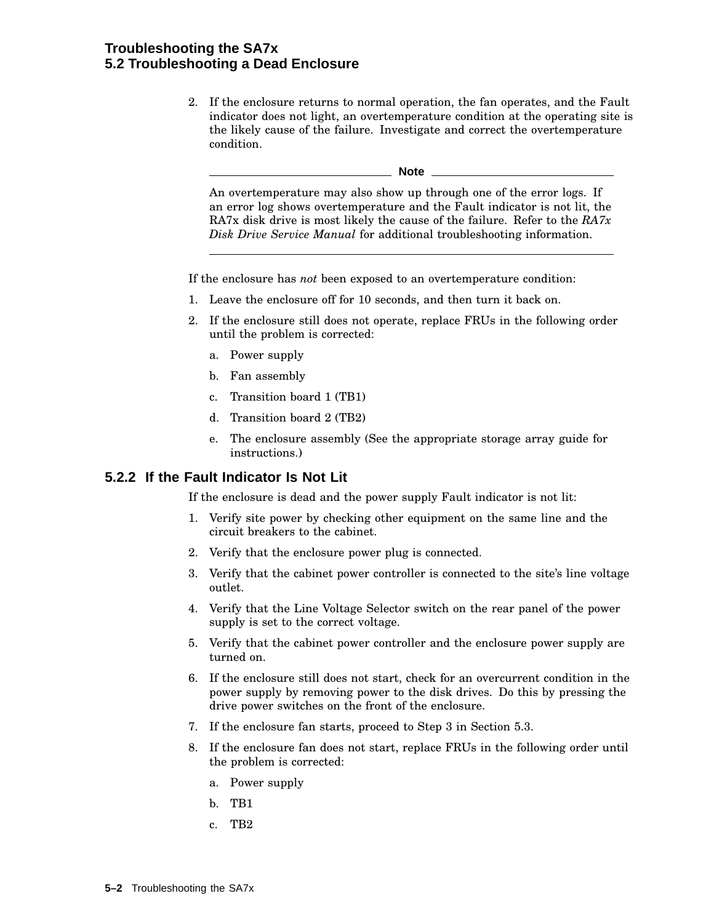#### **Troubleshooting the SA7x 5.2 Troubleshooting a Dead Enclosure**

2. If the enclosure returns to normal operation, the fan operates, and the Fault indicator does not light, an overtemperature condition at the operating site is the likely cause of the failure. Investigate and correct the overtemperature condition.

**Note** 2008

An overtemperature may also show up through one of the error logs. If an error log shows overtemperature and the Fault indicator is not lit, the RA7x disk drive is most likely the cause of the failure. Refer to the *RA7x Disk Drive Service Manual* for additional troubleshooting information.

If the enclosure has *not* been exposed to an overtemperature condition:

- 1. Leave the enclosure off for 10 seconds, and then turn it back on.
- 2. If the enclosure still does not operate, replace FRUs in the following order until the problem is corrected:
	- a. Power supply
	- b. Fan assembly
	- c. Transition board 1 (TB1)
	- d. Transition board 2 (TB2)
	- e. The enclosure assembly (See the appropriate storage array guide for instructions.)

#### **5.2.2 If the Fault Indicator Is Not Lit**

If the enclosure is dead and the power supply Fault indicator is not lit:

- 1. Verify site power by checking other equipment on the same line and the circuit breakers to the cabinet.
- 2. Verify that the enclosure power plug is connected.
- 3. Verify that the cabinet power controller is connected to the site's line voltage outlet.
- 4. Verify that the Line Voltage Selector switch on the rear panel of the power supply is set to the correct voltage.
- 5. Verify that the cabinet power controller and the enclosure power supply are turned on.
- 6. If the enclosure still does not start, check for an overcurrent condition in the power supply by removing power to the disk drives. Do this by pressing the drive power switches on the front of the enclosure.
- 7. If the enclosure fan starts, proceed to Step 3 in Section 5.3.
- 8. If the enclosure fan does not start, replace FRUs in the following order until the problem is corrected:
	- a. Power supply
	- b. TB1
	- c. TB2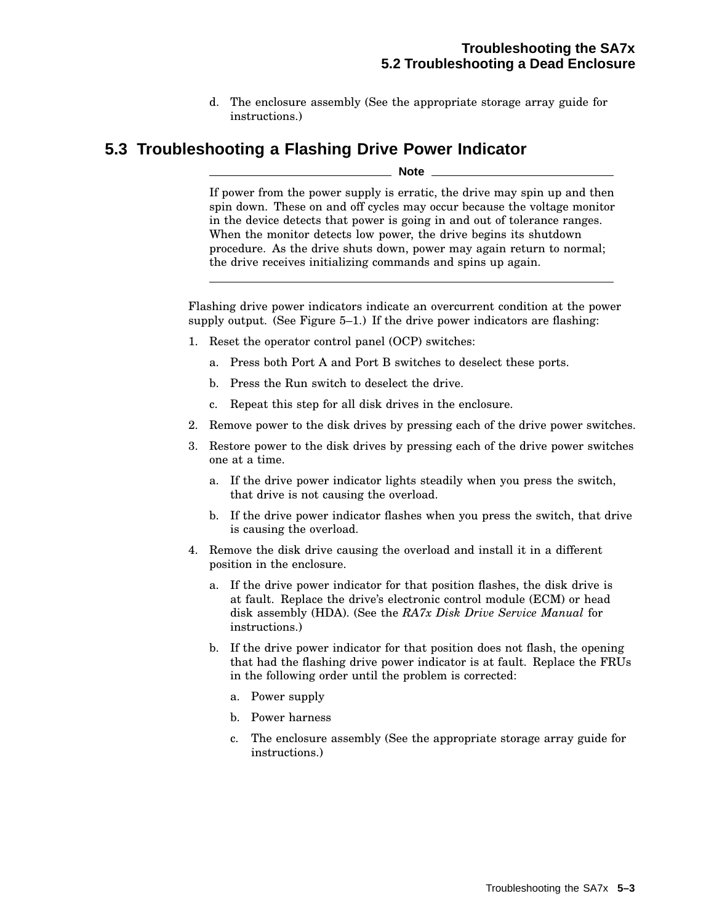d. The enclosure assembly (See the appropriate storage array guide for instructions.)

## **5.3 Troubleshooting a Flashing Drive Power Indicator**

**Note**

If power from the power supply is erratic, the drive may spin up and then spin down. These on and off cycles may occur because the voltage monitor in the device detects that power is going in and out of tolerance ranges. When the monitor detects low power, the drive begins its shutdown procedure. As the drive shuts down, power may again return to normal; the drive receives initializing commands and spins up again.

Flashing drive power indicators indicate an overcurrent condition at the power supply output. (See Figure 5–1.) If the drive power indicators are flashing:

- 1. Reset the operator control panel (OCP) switches:
	- a. Press both Port A and Port B switches to deselect these ports.
	- b. Press the Run switch to deselect the drive.
	- c. Repeat this step for all disk drives in the enclosure.
- 2. Remove power to the disk drives by pressing each of the drive power switches.
- 3. Restore power to the disk drives by pressing each of the drive power switches one at a time.
	- a. If the drive power indicator lights steadily when you press the switch, that drive is not causing the overload.
	- b. If the drive power indicator flashes when you press the switch, that drive is causing the overload.
- 4. Remove the disk drive causing the overload and install it in a different position in the enclosure.
	- a. If the drive power indicator for that position flashes, the disk drive is at fault. Replace the drive's electronic control module (ECM) or head disk assembly (HDA). (See the *RA7x Disk Drive Service Manual* for instructions.)
	- b. If the drive power indicator for that position does not flash, the opening that had the flashing drive power indicator is at fault. Replace the FRUs in the following order until the problem is corrected:
		- a. Power supply
		- b. Power harness
		- c. The enclosure assembly (See the appropriate storage array guide for instructions.)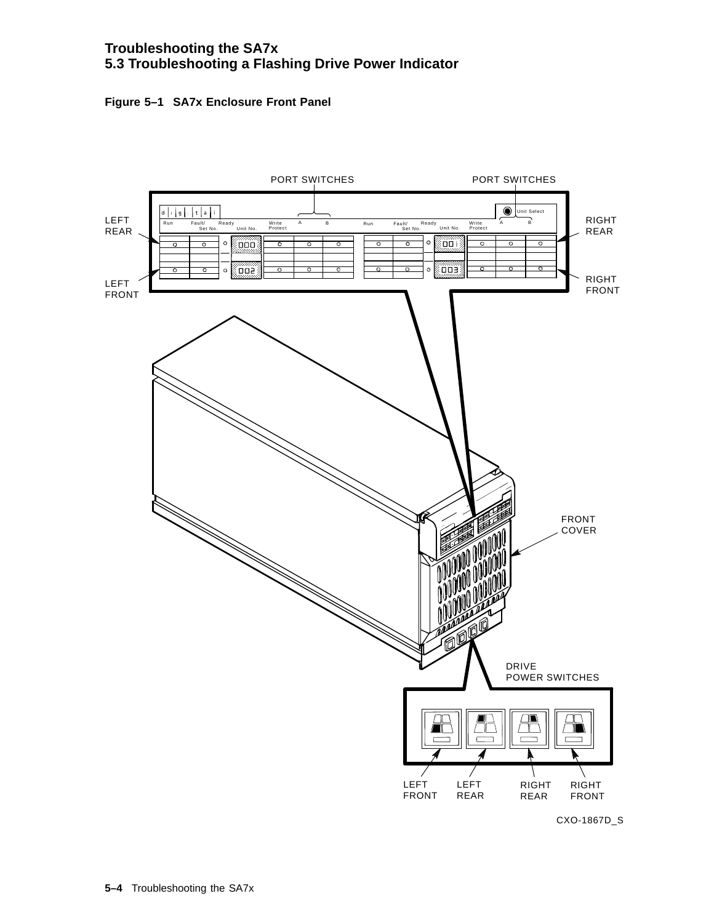#### **Troubleshooting the SA7x 5.3 Troubleshooting a Flashing Drive Power Indicator**





CXO-1867D\_S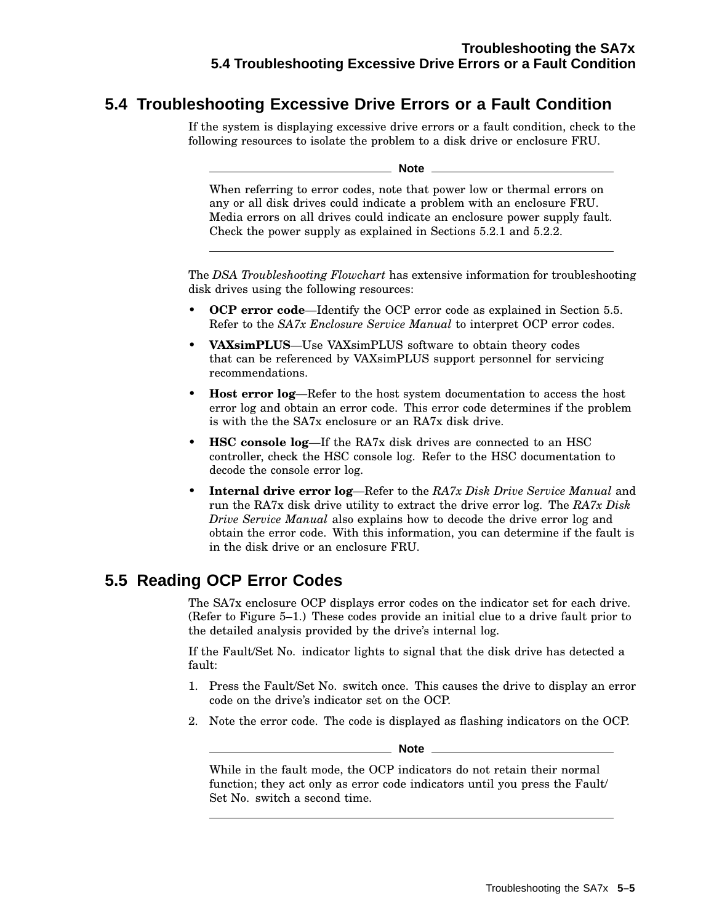## **5.4 Troubleshooting Excessive Drive Errors or a Fault Condition**

If the system is displaying excessive drive errors or a fault condition, check to the following resources to isolate the problem to a disk drive or enclosure FRU.

**Note**

When referring to error codes, note that power low or thermal errors on any or all disk drives could indicate a problem with an enclosure FRU. Media errors on all drives could indicate an enclosure power supply fault. Check the power supply as explained in Sections 5.2.1 and 5.2.2.

The *DSA Troubleshooting Flowchart* has extensive information for troubleshooting disk drives using the following resources:

- **OCP error code**—Identify the OCP error code as explained in Section 5.5. Refer to the *SA7x Enclosure Service Manual* to interpret OCP error codes.
- **VAXsimPLUS**—Use VAXsimPLUS software to obtain theory codes that can be referenced by VAXsimPLUS support personnel for servicing recommendations.
- **Host error log**—Refer to the host system documentation to access the host error log and obtain an error code. This error code determines if the problem is with the the SA7x enclosure or an RA7x disk drive.
- **HSC console log**—If the RA7x disk drives are connected to an HSC controller, check the HSC console log. Refer to the HSC documentation to decode the console error log.
- **Internal drive error log**—Refer to the *RA7x Disk Drive Service Manual* and run the RA7x disk drive utility to extract the drive error log. The *RA7x Disk Drive Service Manual* also explains how to decode the drive error log and obtain the error code. With this information, you can determine if the fault is in the disk drive or an enclosure FRU.

## **5.5 Reading OCP Error Codes**

The SA7x enclosure OCP displays error codes on the indicator set for each drive. (Refer to Figure 5–1.) These codes provide an initial clue to a drive fault prior to the detailed analysis provided by the drive's internal log.

If the Fault/Set No. indicator lights to signal that the disk drive has detected a fault:

- 1. Press the Fault/Set No. switch once. This causes the drive to display an error code on the drive's indicator set on the OCP.
- 2. Note the error code. The code is displayed as flashing indicators on the OCP.

**Note**

While in the fault mode, the OCP indicators do not retain their normal function; they act only as error code indicators until you press the Fault/ Set No. switch a second time.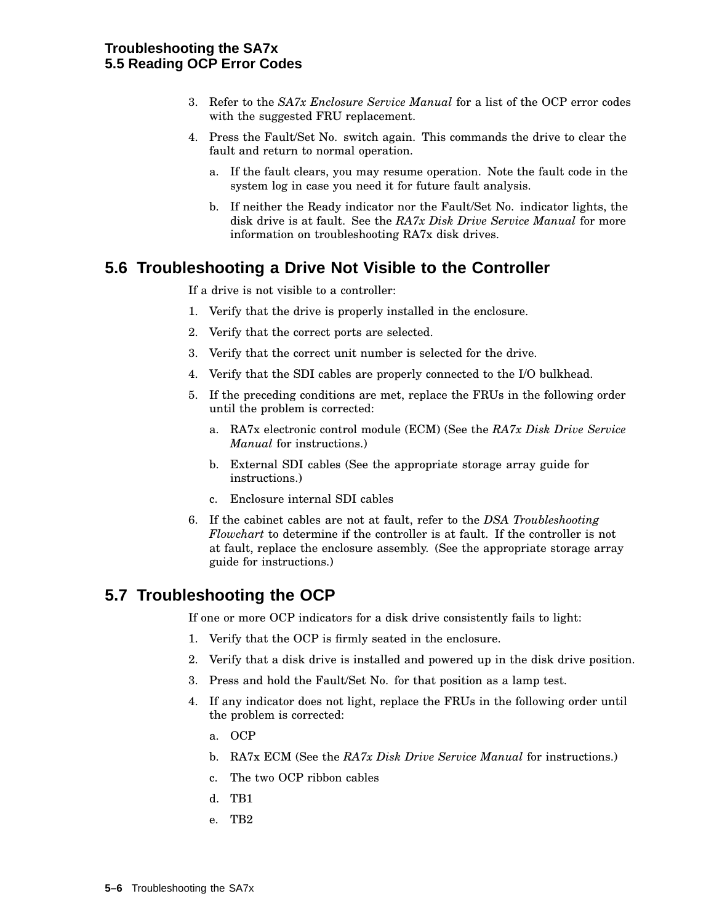- 3. Refer to the *SA7x Enclosure Service Manual* for a list of the OCP error codes with the suggested FRU replacement.
- 4. Press the Fault/Set No. switch again. This commands the drive to clear the fault and return to normal operation.
	- a. If the fault clears, you may resume operation. Note the fault code in the system log in case you need it for future fault analysis.
	- b. If neither the Ready indicator nor the Fault/Set No. indicator lights, the disk drive is at fault. See the *RA7x Disk Drive Service Manual* for more information on troubleshooting RA7x disk drives.

## **5.6 Troubleshooting a Drive Not Visible to the Controller**

If a drive is not visible to a controller:

- 1. Verify that the drive is properly installed in the enclosure.
- 2. Verify that the correct ports are selected.
- 3. Verify that the correct unit number is selected for the drive.
- 4. Verify that the SDI cables are properly connected to the I/O bulkhead.
- 5. If the preceding conditions are met, replace the FRUs in the following order until the problem is corrected:
	- a. RA7x electronic control module (ECM) (See the *RA7x Disk Drive Service Manual* for instructions.)
	- b. External SDI cables (See the appropriate storage array guide for instructions.)
	- c. Enclosure internal SDI cables
- 6. If the cabinet cables are not at fault, refer to the *DSA Troubleshooting Flowchart* to determine if the controller is at fault. If the controller is not at fault, replace the enclosure assembly. (See the appropriate storage array guide for instructions.)

## **5.7 Troubleshooting the OCP**

If one or more OCP indicators for a disk drive consistently fails to light:

- 1. Verify that the OCP is firmly seated in the enclosure.
- 2. Verify that a disk drive is installed and powered up in the disk drive position.
- 3. Press and hold the Fault/Set No. for that position as a lamp test.
- 4. If any indicator does not light, replace the FRUs in the following order until the problem is corrected:
	- a. OCP
	- b. RA7x ECM (See the *RA7x Disk Drive Service Manual* for instructions.)
	- c. The two OCP ribbon cables
	- d. TB1
	- e. TB2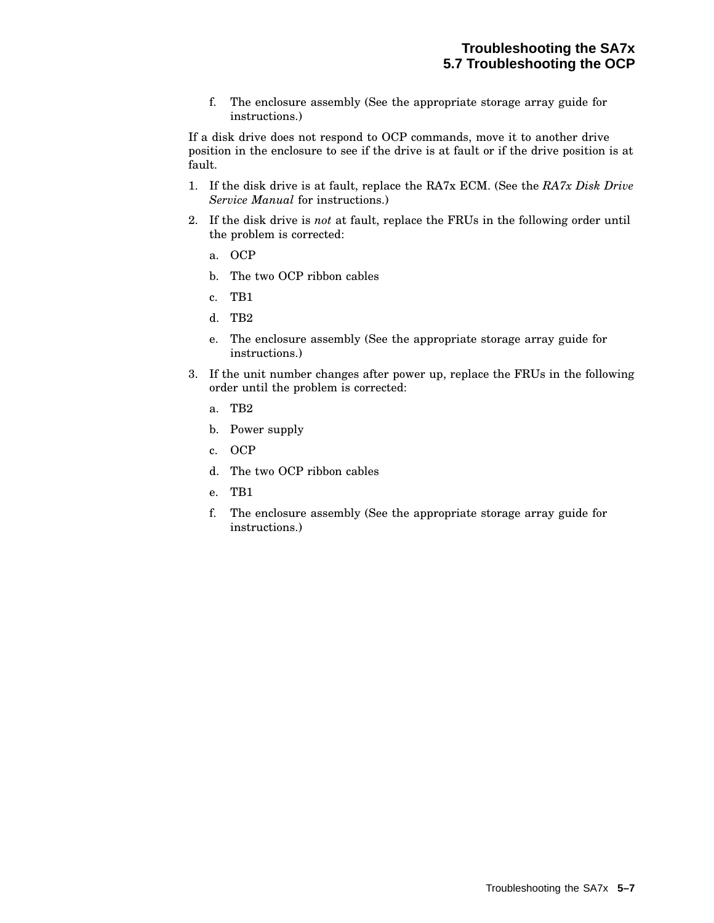f. The enclosure assembly (See the appropriate storage array guide for instructions.)

If a disk drive does not respond to OCP commands, move it to another drive position in the enclosure to see if the drive is at fault or if the drive position is at fault.

- 1. If the disk drive is at fault, replace the RA7x ECM. (See the *RA7x Disk Drive Service Manual* for instructions.)
- 2. If the disk drive is *not* at fault, replace the FRUs in the following order until the problem is corrected:
	- a. OCP
	- b. The two OCP ribbon cables
	- c. TB1
	- d. TB2
	- e. The enclosure assembly (See the appropriate storage array guide for instructions.)
- 3. If the unit number changes after power up, replace the FRUs in the following order until the problem is corrected:
	- a. TB2
	- b. Power supply
	- c. OCP
	- d. The two OCP ribbon cables
	- e. TB1
	- f. The enclosure assembly (See the appropriate storage array guide for instructions.)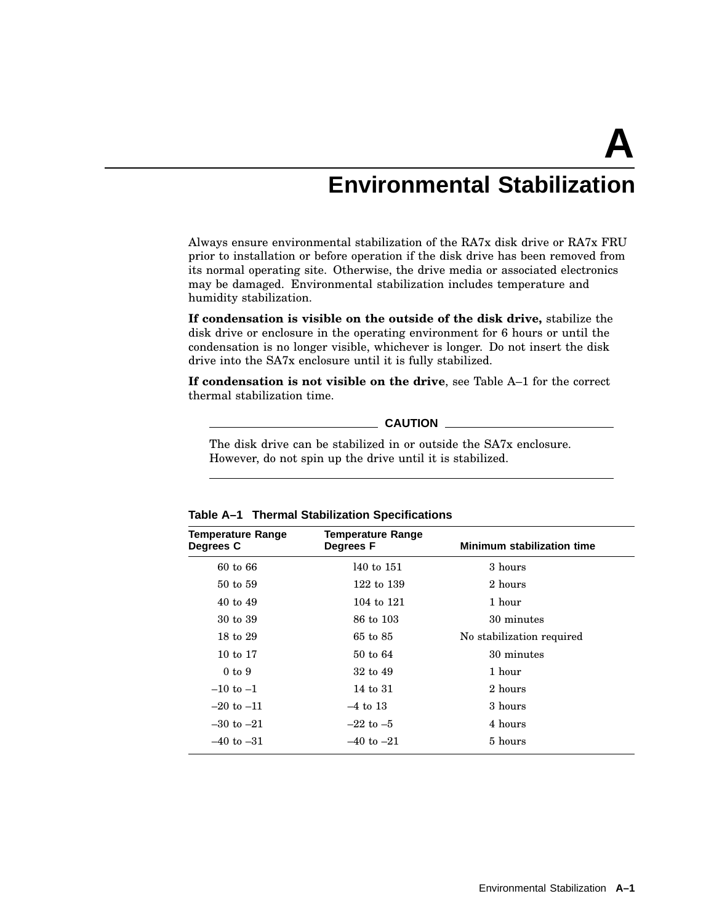## **Environmental Stabilization**

Always ensure environmental stabilization of the RA7x disk drive or RA7x FRU prior to installation or before operation if the disk drive has been removed from its normal operating site. Otherwise, the drive media or associated electronics may be damaged. Environmental stabilization includes temperature and humidity stabilization.

**If condensation is visible on the outside of the disk drive,** stabilize the disk drive or enclosure in the operating environment for 6 hours or until the condensation is no longer visible, whichever is longer. Do not insert the disk drive into the SA7x enclosure until it is fully stabilized.

**If condensation is not visible on the drive**, see Table A–1 for the correct thermal stabilization time.

 $\equiv$  CAUTION  $\equiv$ 

The disk drive can be stabilized in or outside the SA7x enclosure. However, do not spin up the drive until it is stabilized.

| <b>Temperature Range</b><br>Degrees C | <b>Temperature Range</b><br>Degrees F | Minimum stabilization time |
|---------------------------------------|---------------------------------------|----------------------------|
| 60 to 66                              | 140 to 151                            | 3 hours                    |
| 50 to 59                              | $122 \text{ to } 139$                 | 2 hours                    |
| $40 \text{ to } 49$                   | 104 to 121                            | 1 hour                     |
| 30 to 39                              | 86 to 103                             | 30 minutes                 |
| 18 to 29                              | 65 to 85                              | No stabilization required  |
| 10 to 17                              | 50 to 64                              | 30 minutes                 |
| $0 \text{ to } 9$                     | 32 to 49                              | 1 hour                     |
| $-10$ to $-1$                         | 14 to 31                              | 2 hours                    |
| $-20$ to $-11$                        | $-4$ to $13$                          | 3 hours                    |
| $-30$ to $-21$                        | $-22$ to $-5$                         | 4 hours                    |
| $-40$ to $-31$                        | $-40$ to $-21$                        | 5 hours                    |
|                                       |                                       |                            |

**Table A–1 Thermal Stabilization Specifications**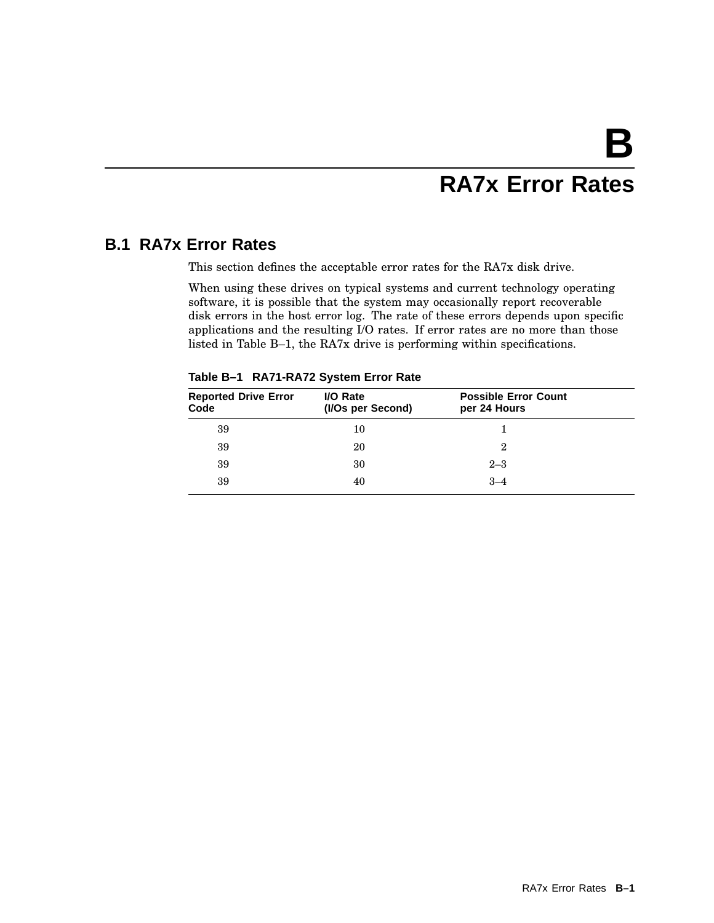## **RA7x Error Rates**

## **B.1 RA7x Error Rates**

This section defines the acceptable error rates for the RA7x disk drive.

When using these drives on typical systems and current technology operating software, it is possible that the system may occasionally report recoverable disk errors in the host error log. The rate of these errors depends upon specific applications and the resulting I/O rates. If error rates are no more than those listed in Table B–1, the RA7x drive is performing within specifications.

|  | Table B-1 RA71-RA72 System Error Rate |  |  |  |
|--|---------------------------------------|--|--|--|
|--|---------------------------------------|--|--|--|

| I/O Rate<br>(I/Os per Second) | <b>Possible Error Count</b><br>per 24 Hours |  |
|-------------------------------|---------------------------------------------|--|
| 10                            |                                             |  |
| 20                            | 2                                           |  |
| 30                            | $2 - 3$                                     |  |
| 40                            | $3 - 4$                                     |  |
|                               |                                             |  |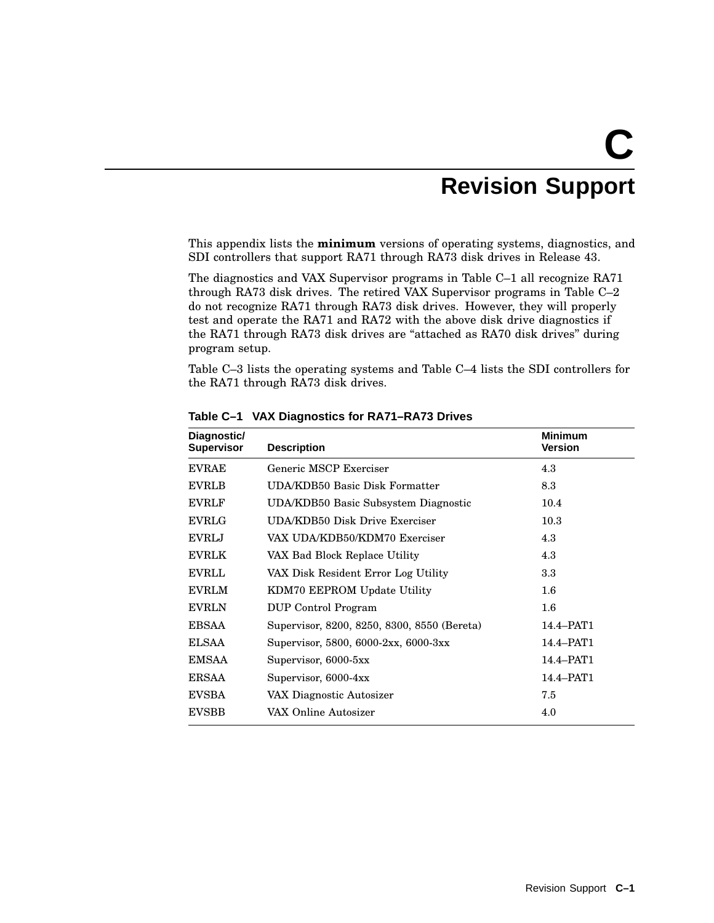# **C Revision Support**

This appendix lists the **minimum** versions of operating systems, diagnostics, and SDI controllers that support RA71 through RA73 disk drives in Release 43.

The diagnostics and VAX Supervisor programs in Table C–1 all recognize RA71 through RA73 disk drives. The retired VAX Supervisor programs in Table C–2 do not recognize RA71 through RA73 disk drives. However, they will properly test and operate the RA71 and RA72 with the above disk drive diagnostics if the RA71 through RA73 disk drives are ''attached as RA70 disk drives'' during program setup.

Table C–3 lists the operating systems and Table C–4 lists the SDI controllers for the RA71 through RA73 disk drives.

| Diagnostic/<br><b>Supervisor</b> | <b>Description</b>                          | <b>Minimum</b><br><b>Version</b> |
|----------------------------------|---------------------------------------------|----------------------------------|
| <b>EVRAE</b>                     | Generic MSCP Exerciser                      | 4.3                              |
| <b>EVRLB</b>                     | UDA/KDB50 Basic Disk Formatter              | 8.3                              |
| <b>EVRLF</b>                     | UDA/KDB50 Basic Subsystem Diagnostic        | 10.4                             |
| <b>EVRLG</b>                     | UDA/KDB50 Disk Drive Exerciser              | 10.3                             |
| <b>EVRLJ</b>                     | VAX UDA/KDB50/KDM70 Exerciser               | 4.3                              |
| <b>EVRLK</b>                     | VAX Bad Block Replace Utility               | 4.3                              |
| <b>EVRLL</b>                     | VAX Disk Resident Error Log Utility         | 3.3                              |
| <b>EVRLM</b>                     | KDM70 EEPROM Update Utility                 | $1.6\,$                          |
| <b>EVRLN</b>                     | <b>DUP Control Program</b>                  | $1.6\,$                          |
| <b>EBSAA</b>                     | Supervisor, 8200, 8250, 8300, 8550 (Bereta) | 14.4-PAT1                        |
| ELSAA                            | Supervisor, 5800, 6000-2xx, 6000-3xx        | 14.4-PAT1                        |
| <b>EMSAA</b>                     | Supervisor, 6000-5xx                        | 14.4-PAT1                        |
| <b>ERSAA</b>                     | Supervisor, 6000-4xx                        | 14.4-PAT1                        |
| <b>EVSBA</b>                     | VAX Diagnostic Autosizer                    | 7.5                              |
| <b>EVSBB</b>                     | VAX Online Autosizer                        | 4.0                              |
|                                  |                                             |                                  |

**Table C–1 VAX Diagnostics for RA71–RA73 Drives**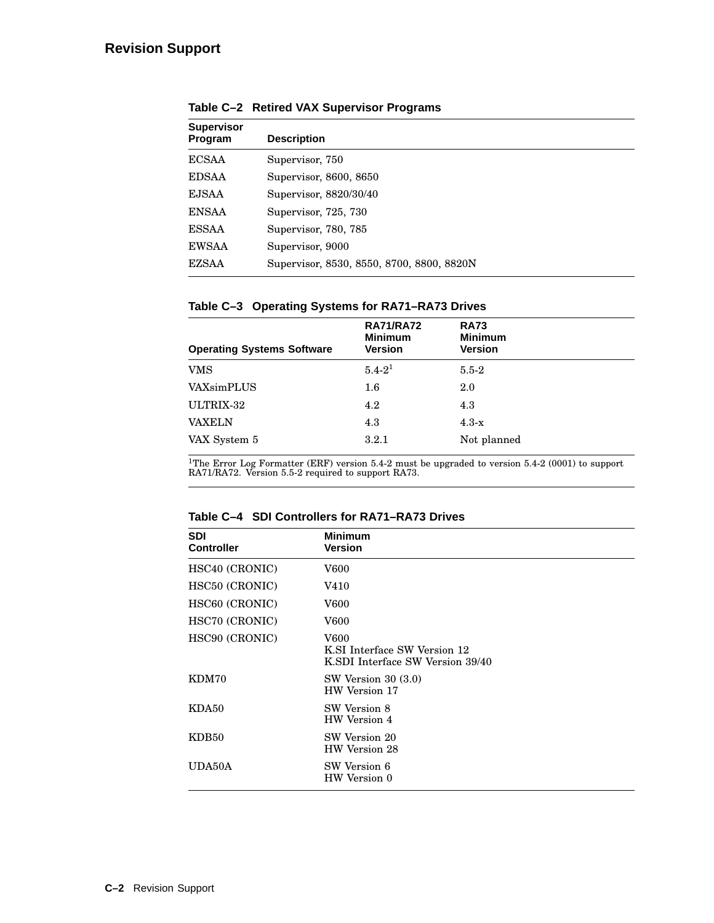| Supervisor   |                                           |
|--------------|-------------------------------------------|
| Program      | <b>Description</b>                        |
| $\rm{ECSAA}$ | Supervisor, 750                           |
| EDSAA        | Supervisor, 8600, 8650                    |
| EJSAA        | Supervisor, 8820/30/40                    |
| ENSAA        | Supervisor, 725, 730                      |
| ESSAA        | Supervisor, 780, 785                      |
| EWSAA        | Supervisor, 9000                          |
| EZSAA        | Supervisor, 8530, 8550, 8700, 8800, 8820N |
|              |                                           |

**Table C–2 Retired VAX Supervisor Programs**

#### **Table C–3 Operating Systems for RA71–RA73 Drives**

| <b>Operating Systems Software</b> | <b>RA71/RA72</b><br><b>Minimum</b><br><b>Version</b> | <b>RA73</b><br><b>Minimum</b><br><b>Version</b> |
|-----------------------------------|------------------------------------------------------|-------------------------------------------------|
| <b>VMS</b>                        | $5.4 - 2^{1}$                                        | $5.5 - 2$                                       |
| <b>VAXsimPLUS</b>                 | $1.6\,$                                              | 2.0                                             |
| ULTRIX-32                         | 4.2                                                  | 4.3                                             |
| <b>VAXELN</b>                     | 4.3                                                  | $4.3-x$                                         |
| VAX System 5                      | 3.2.1                                                | Not planned                                     |

<sup>1</sup>The Error Log Formatter (ERF) version 5.4-2 must be upgraded to version 5.4-2 (0001) to support<br>RA71/RA72. Version 5.5-2 required to support RA73.

| Table C-4 SDI Controllers for RA71-RA73 Drives |
|------------------------------------------------|
|------------------------------------------------|

| <b>SDI</b><br><b>Controller</b> | <b>Minimum</b><br><b>Version</b>                                         |
|---------------------------------|--------------------------------------------------------------------------|
| HSC40 (CRONIC)                  | V600                                                                     |
| HSC50 (CRONIC)                  | <b>V410</b>                                                              |
| HSC60 (CRONIC)                  | V600                                                                     |
| HSC70 (CRONIC)                  | V600                                                                     |
| HSC90 (CRONIC)                  | V600<br>K.SI Interface SW Version 12<br>K.SDI Interface SW Version 39/40 |
| KDM70                           | SW Version 30(3.0)<br>HW Version 17                                      |
| KDA50                           | SW Version 8<br>HW Version 4                                             |
| KDB <sub>50</sub>               | SW Version 20<br>HW Version 28                                           |
| UDA50A                          | SW Version 6<br>HW Version 0                                             |